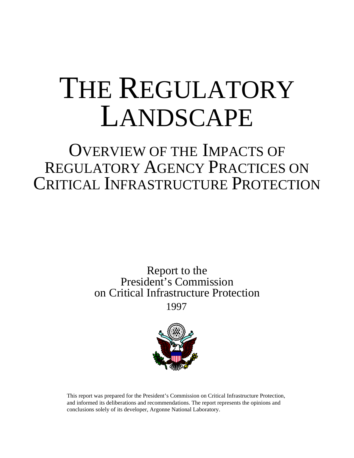# THE REGULATORY LANDSCAPE

# OVERVIEW OF THE IMPACTS OF REGULATORY AGENCY PRACTICES ON CRITICAL INFRASTRUCTURE PROTECTION

Report to the President's Commission on Critical Infrastructure Protection 1997



This report was prepared for the President's Commission on Critical Infrastructure Protection, and informed its deliberations and recommendations. The report represents the opinions and conclusions solely of its developer, Argonne National Laboratory.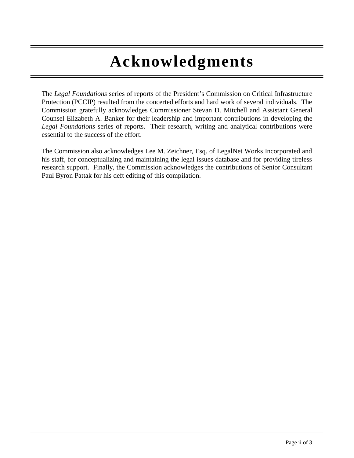# **Acknowledgments**

The *Legal Foundations* series of reports of the President's Commission on Critical Infrastructure Protection (PCCIP) resulted from the concerted efforts and hard work of several individuals. The Commission gratefully acknowledges Commissioner Stevan D. Mitchell and Assistant General Counsel Elizabeth A. Banker for their leadership and important contributions in developing the *Legal Foundations* series of reports. Their research, writing and analytical contributions were essential to the success of the effort.

The Commission also acknowledges Lee M. Zeichner, Esq. of LegalNet Works Incorporated and his staff, for conceptualizing and maintaining the legal issues database and for providing tireless research support. Finally, the Commission acknowledges the contributions of Senior Consultant Paul Byron Pattak for his deft editing of this compilation.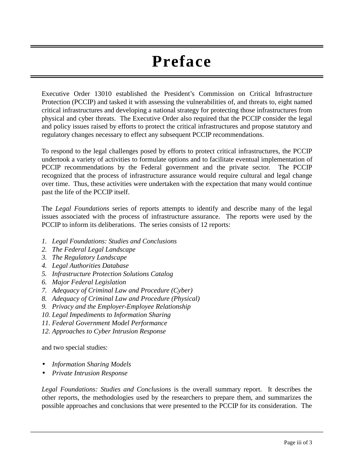# **Preface**

Executive Order 13010 established the President's Commission on Critical Infrastructure Protection (PCCIP) and tasked it with assessing the vulnerabilities of, and threats to, eight named critical infrastructures and developing a national strategy for protecting those infrastructures from physical and cyber threats. The Executive Order also required that the PCCIP consider the legal and policy issues raised by efforts to protect the critical infrastructures and propose statutory and regulatory changes necessary to effect any subsequent PCCIP recommendations.

To respond to the legal challenges posed by efforts to protect critical infrastructures, the PCCIP undertook a variety of activities to formulate options and to facilitate eventual implementation of PCCIP recommendations by the Federal government and the private sector. The PCCIP recognized that the process of infrastructure assurance would require cultural and legal change over time. Thus, these activities were undertaken with the expectation that many would continue past the life of the PCCIP itself.

The *Legal Foundations* series of reports attempts to identify and describe many of the legal issues associated with the process of infrastructure assurance. The reports were used by the PCCIP to inform its deliberations. The series consists of 12 reports:

- *1. Legal Foundations: Studies and Conclusions*
- *2. The Federal Legal Landscape*
- *3. The Regulatory Landscape*
- *4. Legal Authorities Database*
- *5. Infrastructure Protection Solutions Catalog*
- *6. Major Federal Legislation*
- *7. Adequacy of Criminal Law and Procedure (Cyber)*
- *8. Adequacy of Criminal Law and Procedure (Physical)*
- *9. Privacy and the Employer-Employee Relationship*
- *10. Legal Impediments to Information Sharing*
- *11. Federal Government Model Performance*
- *12. Approaches to Cyber Intrusion Response*

and two special studies:

- *Information Sharing Models*
- *Private Intrusion Response*

*Legal Foundations: Studies and Conclusions* is the overall summary report. It describes the other reports, the methodologies used by the researchers to prepare them, and summarizes the possible approaches and conclusions that were presented to the PCCIP for its consideration. The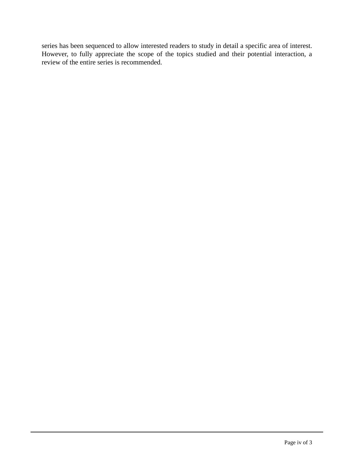series has been sequenced to allow interested readers to study in detail a specific area of interest. However, to fully appreciate the scope of the topics studied and their potential interaction, a review of the entire series is recommended.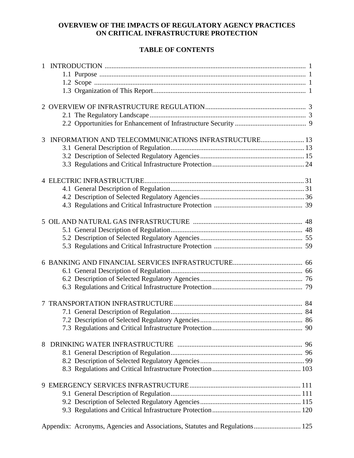# **OVERVIEW OF THE IMPACTS OF REGULATORY AGENCY PRACTICES ON CRITICAL INFRASTRUCTURE PROTECTION**

# **TABLE OF CONTENTS**

|   | 3 INFORMATION AND TELECOMMUNICATIONS INFRASTRUCTURE 13                      |  |
|---|-----------------------------------------------------------------------------|--|
|   |                                                                             |  |
|   |                                                                             |  |
|   |                                                                             |  |
|   |                                                                             |  |
|   |                                                                             |  |
|   |                                                                             |  |
|   |                                                                             |  |
|   |                                                                             |  |
|   |                                                                             |  |
|   |                                                                             |  |
|   |                                                                             |  |
|   |                                                                             |  |
|   |                                                                             |  |
|   |                                                                             |  |
|   |                                                                             |  |
|   |                                                                             |  |
|   |                                                                             |  |
|   |                                                                             |  |
|   |                                                                             |  |
|   |                                                                             |  |
|   |                                                                             |  |
| 8 |                                                                             |  |
|   |                                                                             |  |
|   |                                                                             |  |
|   |                                                                             |  |
|   |                                                                             |  |
|   |                                                                             |  |
|   |                                                                             |  |
|   |                                                                             |  |
|   |                                                                             |  |
|   | Appendix: Acronyms, Agencies and Associations, Statutes and Regulations 125 |  |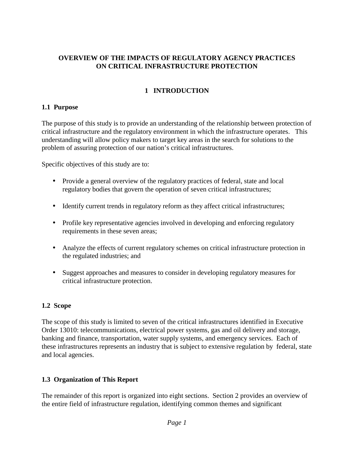# **OVERVIEW OF THE IMPACTS OF REGULATORY AGENCY PRACTICES ON CRITICAL INFRASTRUCTURE PROTECTION**

# **1 INTRODUCTION**

# **1.1 Purpose**

The purpose of this study is to provide an understanding of the relationship between protection of critical infrastructure and the regulatory environment in which the infrastructure operates. This understanding will allow policy makers to target key areas in the search for solutions to the problem of assuring protection of our nation's critical infrastructures.

Specific objectives of this study are to:

- Provide a general overview of the regulatory practices of federal, state and local regulatory bodies that govern the operation of seven critical infrastructures;
- Identify current trends in regulatory reform as they affect critical infrastructures;
- Profile key representative agencies involved in developing and enforcing regulatory requirements in these seven areas;
- Analyze the effects of current regulatory schemes on critical infrastructure protection in the regulated industries; and
- Suggest approaches and measures to consider in developing regulatory measures for critical infrastructure protection.

# **1.2 Scope**

The scope of this study is limited to seven of the critical infrastructures identified in Executive Order 13010: telecommunications, electrical power systems, gas and oil delivery and storage, banking and finance, transportation, water supply systems, and emergency services. Each of these infrastructures represents an industry that is subject to extensive regulation by federal, state and local agencies.

# **1.3 Organization of This Report**

The remainder of this report is organized into eight sections. Section 2 provides an overview of the entire field of infrastructure regulation, identifying common themes and significant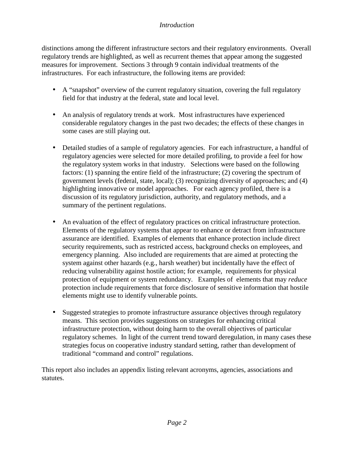# *Introduction*

distinctions among the different infrastructure sectors and their regulatory environments. Overall regulatory trends are highlighted, as well as recurrent themes that appear among the suggested measures for improvement. Sections 3 through 9 contain individual treatments of the infrastructures. For each infrastructure, the following items are provided:

- A "snapshot" overview of the current regulatory situation, covering the full regulatory field for that industry at the federal, state and local level.
- An analysis of regulatory trends at work. Most infrastructures have experienced considerable regulatory changes in the past two decades; the effects of these changes in some cases are still playing out.
- Detailed studies of a sample of regulatory agencies. For each infrastructure, a handful of regulatory agencies were selected for more detailed profiling, to provide a feel for how the regulatory system works in that industry. Selections were based on the following factors: (1) spanning the entire field of the infrastructure; (2) covering the spectrum of government levels (federal, state, local); (3) recognizing diversity of approaches; and (4) highlighting innovative or model approaches. For each agency profiled, there is a discussion of its regulatory jurisdiction, authority, and regulatory methods, and a summary of the pertinent regulations.
- An evaluation of the effect of regulatory practices on critical infrastructure protection. Elements of the regulatory systems that appear to enhance or detract from infrastructure assurance are identified. Examples of elements that enhance protection include direct security requirements, such as restricted access, background checks on employees, and emergency planning. Also included are requirements that are aimed at protecting the system against other hazards (e.g., harsh weather) but incidentally have the effect of reducing vulnerability against hostile action; for example, requirements for physical protection of equipment or system redundancy. Examples of elements that may *reduce*  protection include requirements that force disclosure of sensitive information that hostile elements might use to identify vulnerable points.
- Suggested strategies to promote infrastructure assurance objectives through regulatory means. This section provides suggestions on strategies for enhancing critical infrastructure protection, without doing harm to the overall objectives of particular regulatory schemes. In light of the current trend toward deregulation, in many cases these strategies focus on cooperative industry standard setting, rather than development of traditional "command and control" regulations.

This report also includes an appendix listing relevant acronyms, agencies, associations and statutes.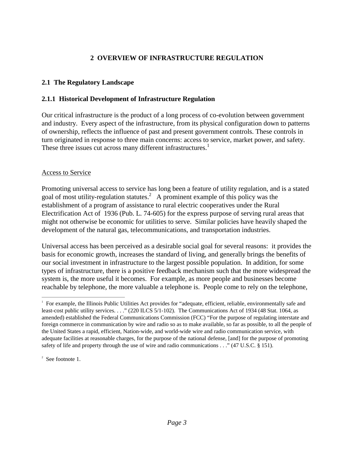# **2 OVERVIEW OF INFRASTRUCTURE REGULATION**

# **2.1 The Regulatory Landscape**

#### **2.1.1 Historical Development of Infrastructure Regulation**

Our critical infrastructure is the product of a long process of co-evolution between government and industry. Every aspect of the infrastructure, from its physical configuration down to patterns of ownership, reflects the influence of past and present government controls. These controls in turn originated in response to three main concerns: access to service, market power, and safety. These three issues cut across many different infrastructures.<sup>1</sup>

#### Access to Service

Promoting universal access to service has long been a feature of utility regulation, and is a stated goal of most utility-regulation statutes.<sup>2</sup> A prominent example of this policy was the establishment of a program of assistance to rural electric cooperatives under the Rural Electrification Act of 1936 (Pub. L. 74-605) for the express purpose of serving rural areas that might not otherwise be economic for utilities to serve. Similar policies have heavily shaped the development of the natural gas, telecommunications, and transportation industries.

Universal access has been perceived as a desirable social goal for several reasons: it provides the basis for economic growth, increases the standard of living, and generally brings the benefits of our social investment in infrastructure to the largest possible population. In addition, for some types of infrastructure, there is a positive feedback mechanism such that the more widespread the system is, the more useful it becomes. For example, as more people and businesses become reachable by telephone, the more valuable a telephone is. People come to rely on the telephone,

<sup>&</sup>lt;sup>1</sup> For example, the Illinois Public Utilities Act provides for "adequate, efficient, reliable, environmentally safe and least-cost public utility services. . . ." (220 ILCS 5/1-102). The Communications Act of 1934 (48 Stat. 1064, as amended) established the Federal Communications Commission (FCC) "For the purpose of regulating interstate and foreign commerce in communication by wire and radio so as to make available, so far as possible, to all the people of the United States a rapid, efficient, Nation-wide, and world-wide wire and radio communication service, with adequate facilities at reasonable charges, for the purpose of the national defense, [and] for the purpose of promoting safety of life and property through the use of wire and radio communications . . ." (47 U.S.C. § 151).

<sup>&</sup>lt;sup>2</sup> See footnote 1.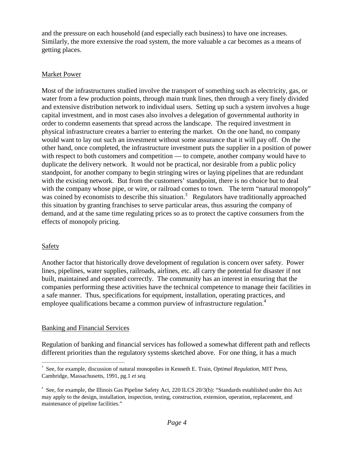and the pressure on each household (and especially each business) to have one increases. Similarly, the more extensive the road system, the more valuable a car becomes as a means of getting places.

# Market Power

Most of the infrastructures studied involve the transport of something such as electricity, gas, or water from a few production points, through main trunk lines, then through a very finely divided and extensive distribution network to individual users. Setting up such a system involves a huge capital investment, and in most cases also involves a delegation of governmental authority in order to condemn easements that spread across the landscape. The required investment in physical infrastructure creates a barrier to entering the market. On the one hand, no company would want to lay out such an investment without some assurance that it will pay off. On the other hand, once completed, the infrastructure investment puts the supplier in a position of power with respect to both customers and competition — to compete, another company would have to duplicate the delivery network. It would not be practical, nor desirable from a public policy standpoint, for another company to begin stringing wires or laying pipelines that are redundant with the existing network. But from the customers' standpoint, there is no choice but to deal with the company whose pipe, or wire, or railroad comes to town. The term "natural monopoly" was coined by economists to describe this situation.<sup>3</sup> Regulators have traditionally approached this situation by granting franchises to serve particular areas, thus assuring the company of demand, and at the same time regulating prices so as to protect the captive consumers from the effects of monopoly pricing.

# **Safety**

Another factor that historically drove development of regulation is concern over safety. Power lines, pipelines, water supplies, railroads, airlines, etc. all carry the potential for disaster if not built, maintained and operated correctly. The community has an interest in ensuring that the companies performing these activities have the technical competence to manage their facilities in a safe manner. Thus, specifications for equipment, installation, operating practices, and employee qualifications became a common purview of infrastructure regulation.<sup>4</sup>

# Banking and Financial Services

Regulation of banking and financial services has followed a somewhat different path and reflects different priorities than the regulatory systems sketched above. For one thing, it has a much

<sup>&</sup>lt;sup>3</sup> See, for example, discussion of natural monopolies in Kenneth E. Train, *Optimal Regulation*, MIT Press, Cambridge, Massachusetts, 1991, pg.1 *et seq.* 

<sup>&</sup>lt;sup>4</sup> See, for example, the Illinois Gas Pipeline Safety Act, 220 ILCS 20/3(b): "Standards established under this Act may apply to the design, installation, inspection, testing, construction, extension, operation, replacement, and maintenance of pipeline facilities."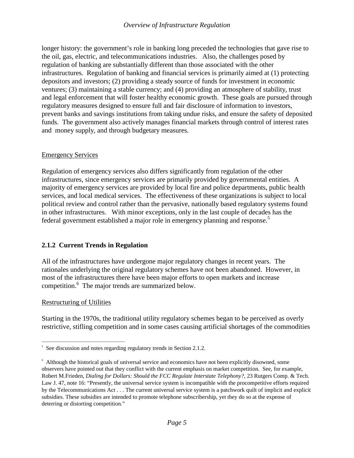#### *Overview of Infrastructure Regulation*

longer history: the government's role in banking long preceded the technologies that gave rise to the oil, gas, electric, and telecommunications industries. Also, the challenges posed by regulation of banking are substantially different than those associated with the other infrastructures. Regulation of banking and financial services is primarily aimed at (1) protecting depositors and investors; (2) providing a steady source of funds for investment in economic ventures; (3) maintaining a stable currency; and (4) providing an atmosphere of stability, trust and legal enforcement that will foster healthy economic growth. These goals are pursued through regulatory measures designed to ensure full and fair disclosure of information to investors, prevent banks and savings institutions from taking undue risks, and ensure the safety of deposited funds. The government also actively manages financial markets through control of interest rates and money supply, and through budgetary measures.

#### Emergency Services

Regulation of emergency services also differs significantly from regulation of the other infrastructures, since emergency services are primarily provided by governmental entities. A majority of emergency services are provided by local fire and police departments, public health services, and local medical services. The effectiveness of these organizations is subject to local political review and control rather than the pervasive, nationally based regulatory systems found in other infrastructures. With minor exceptions, only in the last couple of decades has the federal government established a major role in emergency planning and response.<sup>5</sup>

# **2.1.2 Current Trends in Regulation**

All of the infrastructures have undergone major regulatory changes in recent years. The rationales underlying the original regulatory schemes have not been abandoned. However, in most of the infrastructures there have been major efforts to open markets and increase competition.<sup>6</sup> The major trends are summarized below.

# Restructuring of Utilities

Starting in the 1970s, the traditional utility regulatory schemes began to be perceived as overly restrictive, stifling competition and in some cases causing artificial shortages of the commodities

<sup>&</sup>lt;sup>5</sup> See discussion and notes regarding regulatory trends in Section 2.1.2.

<sup>6</sup> Although the historical goals of universal service and economics have not been explicitly disowned, some observers have pointed out that they conflict with the current emphasis on market competition. See, for example, Robert M.Frieden, *Dialing for Dollars: Should the FCC Regulate Interstate Telephony?*, 23 Rutgers Comp. & Tech. Law J. 47, note 16: "Presently, the universal service system is incompatible with the procompetitive efforts required by the Telecommunications Act . . . The current universal service system is a patchwork quilt of implicit and explicit subsidies. These subsidies are intended to promote telephone subscribership, yet they do so at the expense of deterring or distorting competition."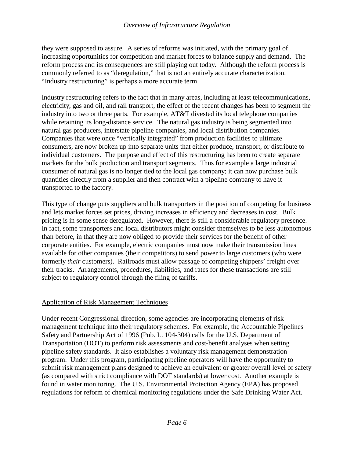they were supposed to assure. A series of reforms was initiated, with the primary goal of increasing opportunities for competition and market forces to balance supply and demand. The reform process and its consequences are still playing out today. Although the reform process is commonly referred to as "deregulation," that is not an entirely accurate characterization. "Industry restructuring" is perhaps a more accurate term.

Industry restructuring refers to the fact that in many areas, including at least telecommunications, electricity, gas and oil, and rail transport, the effect of the recent changes has been to segment the industry into two or three parts. For example, AT&T divested its local telephone companies while retaining its long-distance service. The natural gas industry is being segmented into natural gas producers, interstate pipeline companies, and local distribution companies. Companies that were once "vertically integrated" from production facilities to ultimate consumers, are now broken up into separate units that either produce, transport, or distribute to individual customers. The purpose and effect of this restructuring has been to create separate markets for the bulk production and transport segments. Thus for example a large industrial consumer of natural gas is no longer tied to the local gas company; it can now purchase bulk quantities directly from a supplier and then contract with a pipeline company to have it transported to the factory.

This type of change puts suppliers and bulk transporters in the position of competing for business and lets market forces set prices, driving increases in efficiency and decreases in cost. Bulk pricing is in some sense deregulated. However, there is still a considerable regulatory presence. In fact, some transporters and local distributors might consider themselves to be less autonomous than before, in that they are now obliged to provide their services for the benefit of other corporate entities. For example, electric companies must now make their transmission lines available for other companies (their competitors) to send power to large customers (who were formerly *their* customers). Railroads must allow passage of competing shippers' freight over their tracks. Arrangements, procedures, liabilities, and rates for these transactions are still subject to regulatory control through the filing of tariffs.

# Application of Risk Management Techniques

Under recent Congressional direction, some agencies are incorporating elements of risk management technique into their regulatory schemes. For example, the Accountable Pipelines Safety and Partnership Act of 1996 (Pub. L. 104-304) calls for the U.S. Department of Transportation (DOT) to perform risk assessments and cost-benefit analyses when setting pipeline safety standards. It also establishes a voluntary risk management demonstration program. Under this program, participating pipeline operators will have the opportunity to submit risk management plans designed to achieve an equivalent or greater overall level of safety (as compared with strict compliance with DOT standards) at lower cost. Another example is found in water monitoring. The U.S. Environmental Protection Agency (EPA) has proposed regulations for reform of chemical monitoring regulations under the Safe Drinking Water Act.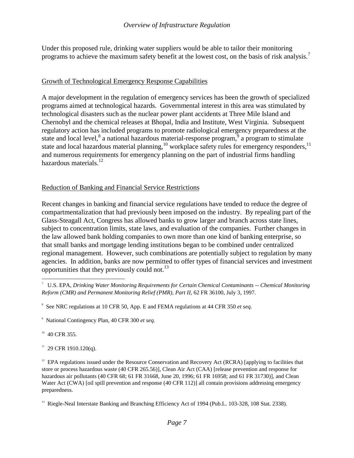Under this proposed rule, drinking water suppliers would be able to tailor their monitoring programs to achieve the maximum safety benefit at the lowest cost, on the basis of risk analysis.<sup>7</sup>

#### Growth of Technological Emergency Response Capabilities

A major development in the regulation of emergency services has been the growth of specialized programs aimed at technological hazards. Governmental interest in this area was stimulated by technological disasters such as the nuclear power plant accidents at Three Mile Island and Chernobyl and the chemical releases at Bhopal, India and Institute, West Virginia. Subsequent regulatory action has included programs to promote radiological emergency preparedness at the state and local level,<sup>8</sup> a national hazardous material-response program,<sup>9</sup> a program to stimulate state and local hazardous material planning,<sup>10</sup> workplace safety rules for emergency responders,<sup>11</sup> and numerous requirements for emergency planning on the part of industrial firms handling hazardous materials.<sup>12</sup>

# Reduction of Banking and Financial Service Restrictions

Recent changes in banking and financial service regulations have tended to reduce the degree of compartmentalization that had previously been imposed on the industry. By repealing part of the Glass-Steagall Act, Congress has allowed banks to grow larger and branch across state lines, subject to concentration limits, state laws, and evaluation of the companies. Further changes in the law allowed bank holding companies to own more than one kind of banking enterprise, so that small banks and mortgage lending institutions began to be combined under centralized regional management. However, such combinations are potentially subject to regulation by many agencies. In addition, banks are now permitted to offer types of financial services and investment opportunities that they previously could not.<sup>13</sup>

<sup>10</sup> 40 CFR 355.

 $11$  29 CFR 1910.120(q).

<sup>12</sup> EPA regulations issued under the Resource Conservation and Recovery Act (RCRA) [applying to facilities that store or process hazardous waste (40 CFR 265.56)], Clean Air Act (CAA) [release prevention and response for hazardous air pollutants (40 CFR 68; 61 FR 31668, June 20, 1996; 61 FR 16958; and 61 FR 31730)], and Clean Water Act (CWA) [oil spill prevention and response (40 CFR 112)] all contain provisions addressing emergency preparedness.

<sup>7</sup> U.S. EPA, *Drinking Water Monitoring Requirements for Certain Chemical Contaminants -- Chemical Monitoring Reform (CMR) and Permanent Monitoring Relief (PMR), Part II*, 62 FR 36100, July 3, 1997.

<sup>8</sup> See NRC regulations at 10 CFR 50, App. E and FEMA regulations at 44 CFR 350 *et seq.* 

<sup>9</sup> National Contingency Plan, 40 CFR 300 *et seq.* 

<sup>&</sup>lt;sup>13</sup> Riegle-Neal Interstate Banking and Branching Efficiency Act of 1994 (Pub.L. 103-328, 108 Stat. 2338).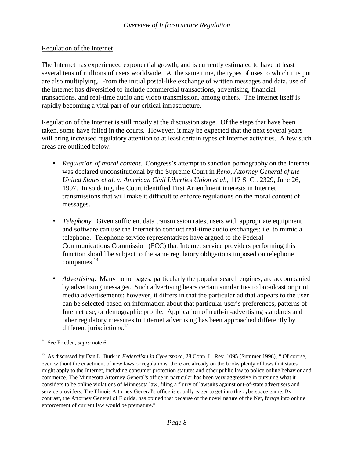#### Regulation of the Internet

The Internet has experienced exponential growth, and is currently estimated to have at least several tens of millions of users worldwide. At the same time, the types of uses to which it is put are also multiplying. From the initial postal-like exchange of written messages and data, use of the Internet has diversified to include commercial transactions, advertising, financial transactions, and real-time audio and video transmission, among others. The Internet itself is rapidly becoming a vital part of our critical infrastructure.

Regulation of the Internet is still mostly at the discussion stage. Of the steps that have been taken, some have failed in the courts. However, it may be expected that the next several years will bring increased regulatory attention to at least certain types of Internet activities. A few such areas are outlined below.

- • *Regulation of moral content*. Congress's attempt to sanction pornography on the Internet was declared unconstitutional by the Supreme Court in *Reno, Attorney General of the United States et al. v. American Civil Liberties Union et al.*, 117 S. Ct. 2329, June 26, 1997. In so doing, the Court identified First Amendment interests in Internet transmissions that will make it difficult to enforce regulations on the moral content of messages.
- *Telephony*. Given sufficient data transmission rates, users with appropriate equipment and software can use the Internet to conduct real-time audio exchanges; i.e. to mimic a telephone. Telephone service representatives have argued to the Federal Communications Commission (FCC) that Internet service providers performing this function should be subject to the same regulatory obligations imposed on telephone companies.14
- *Advertising*. Many home pages, particularly the popular search engines, are accompanied by advertising messages. Such advertising bears certain similarities to broadcast or print media advertisements; however, it differs in that the particular ad that appears to the user can be selected based on information about that particular user's preferences, patterns of Internet use, or demographic profile. Application of truth-in-advertising standards and other regulatory measures to Internet advertising has been approached differently by different jurisdictions.<sup>15</sup>

<sup>14</sup> See Frieden, *supra* note 6.

<sup>&</sup>lt;sup>15</sup> As discussed by Dan L. Burk in *Federalism in Cyberspace*, 28 Conn. L. Rev. 1095 (Summer 1996), " Of course, even without the enactment of new laws or regulations, there are already on the books plenty of laws that states might apply to the Internet, including consumer protection statutes and other public law to police online behavior and commerce. The Minnesota Attorney General's office in particular has been very aggressive in pursuing what it considers to be online violations of Minnesota law, filing a flurry of lawsuits against out-of-state advertisers and service providers. The Illinois Attorney General's office is equally eager to get into the cyberspace game. By contrast, the Attorney General of Florida, has opined that because of the novel nature of the Net, forays into online enforcement of current law would be premature."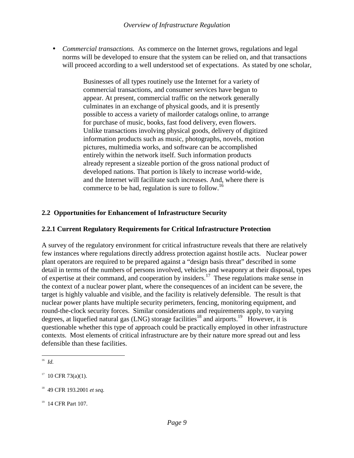• *Commercial transactions.* As commerce on the Internet grows, regulations and legal norms will be developed to ensure that the system can be relied on, and that transactions will proceed according to a well understood set of expectations. As stated by one scholar,

> Businesses of all types routinely use the Internet for a variety of commercial transactions, and consumer services have begun to appear. At present, commercial traffic on the network generally culminates in an exchange of physical goods, and it is presently possible to access a variety of mailorder catalogs online, to arrange for purchase of music, books, fast food delivery, even flowers. Unlike transactions involving physical goods, delivery of digitized information products such as music, photographs, novels, motion pictures, multimedia works, and software can be accomplished entirely within the network itself. Such information products already represent a sizeable portion of the gross national product of developed nations. That portion is likely to increase world-wide, and the Internet will facilitate such increases. And, where there is commerce to be had, regulation is sure to follow.<sup>16</sup>

# **2.2 Opportunities for Enhancement of Infrastructure Security**

# **2.2.1 Current Regulatory Requirements for Critical Infrastructure Protection**

A survey of the regulatory environment for critical infrastructure reveals that there are relatively few instances where regulations directly address protection against hostile acts. Nuclear power plant operators are required to be prepared against a "design basis threat" described in some detail in terms of the numbers of persons involved, vehicles and weaponry at their disposal, types of expertise at their command, and cooperation by insiders.17 These regulations make sense in the context of a nuclear power plant, where the consequences of an incident can be severe, the target is highly valuable and visible, and the facility is relatively defensible. The result is that nuclear power plants have multiple security perimeters, fencing, monitoring equipment, and round-the-clock security forces. Similar considerations and requirements apply, to varying degrees, at liquefied natural gas (LNG) storage facilities<sup>18</sup> and airports.<sup>19</sup> However, it is questionable whether this type of approach could be practically employed in other infrastructure contexts. Most elements of critical infrastructure are by their nature more spread out and less defensible than these facilities.

 $16$  *Id.* 

 $17$  10 CFR 73(a)(1).

<sup>18 49</sup> CFR 193.2001 *et seq.* 

<sup>&</sup>lt;sup>19</sup> 14 CFR Part 107.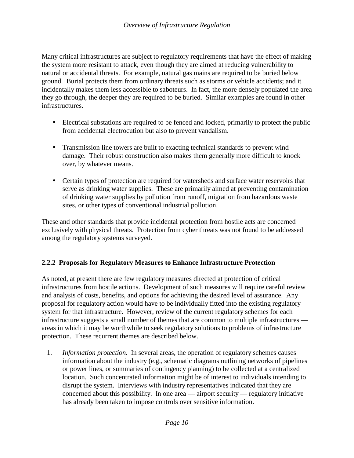Many critical infrastructures are subject to regulatory requirements that have the effect of making the system more resistant to attack, even though they are aimed at reducing vulnerability to natural or accidental threats. For example, natural gas mains are required to be buried below ground. Burial protects them from ordinary threats such as storms or vehicle accidents; and it incidentally makes them less accessible to saboteurs. In fact, the more densely populated the area they go through, the deeper they are required to be buried. Similar examples are found in other infrastructures.

- Electrical substations are required to be fenced and locked, primarily to protect the public from accidental electrocution but also to prevent vandalism.
- Transmission line towers are built to exacting technical standards to prevent wind damage. Their robust construction also makes them generally more difficult to knock over, by whatever means.
- Certain types of protection are required for watersheds and surface water reservoirs that serve as drinking water supplies. These are primarily aimed at preventing contamination of drinking water supplies by pollution from runoff, migration from hazardous waste sites, or other types of conventional industrial pollution.

These and other standards that provide incidental protection from hostile acts are concerned exclusively with physical threats. Protection from cyber threats was not found to be addressed among the regulatory systems surveyed.

# **2.2.2 Proposals for Regulatory Measures to Enhance Infrastructure Protection**

As noted, at present there are few regulatory measures directed at protection of critical infrastructures from hostile actions. Development of such measures will require careful review and analysis of costs, benefits, and options for achieving the desired level of assurance. Any proposal for regulatory action would have to be individually fitted into the existing regulatory system for that infrastructure. However, review of the current regulatory schemes for each infrastructure suggests a small number of themes that are common to multiple infrastructures areas in which it may be worthwhile to seek regulatory solutions to problems of infrastructure protection. These recurrent themes are described below.

 1. *Information protection*. In several areas, the operation of regulatory schemes causes information about the industry (e.g., schematic diagrams outlining networks of pipelines or power lines, or summaries of contingency planning) to be collected at a centralized location. Such concentrated information might be of interest to individuals intending to disrupt the system. Interviews with industry representatives indicated that they are concerned about this possibility. In one area — airport security — regulatory initiative has already been taken to impose controls over sensitive information.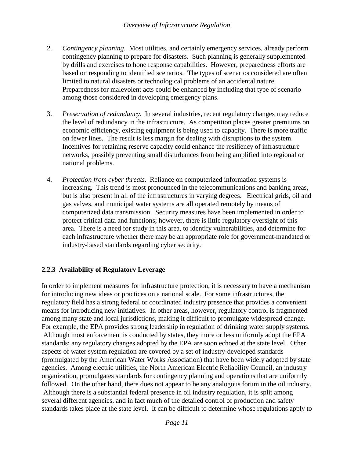- 2. *Contingency planning*. Most utilities, and certainly emergency services, already perform contingency planning to prepare for disasters. Such planning is generally supplemented by drills and exercises to hone response capabilities. However, preparedness efforts are based on responding to identified scenarios. The types of scenarios considered are often limited to natural disasters or technological problems of an accidental nature. Preparedness for malevolent acts could be enhanced by including that type of scenario among those considered in developing emergency plans.
- 3. *Preservation of redundancy*. In several industries, recent regulatory changes may reduce the level of redundancy in the infrastructure. As competition places greater premiums on economic efficiency, existing equipment is being used to capacity. There is more traffic on fewer lines. The result is less margin for dealing with disruptions to the system. Incentives for retaining reserve capacity could enhance the resiliency of infrastructure networks, possibly preventing small disturbances from being amplified into regional or national problems.
- 4. *Protection from cyber threats*. Reliance on computerized information systems is increasing. This trend is most pronounced in the telecommunications and banking areas, but is also present in all of the infrastructures in varying degrees. Electrical grids, oil and gas valves, and municipal water systems are all operated remotely by means of computerized data transmission. Security measures have been implemented in order to protect critical data and functions; however, there is little regulatory oversight of this area. There is a need for study in this area, to identify vulnerabilities, and determine for each infrastructure whether there may be an appropriate role for government-mandated or industry-based standards regarding cyber security.

# **2.2.3 Availability of Regulatory Leverage**

In order to implement measures for infrastructure protection, it is necessary to have a mechanism for introducing new ideas or practices on a national scale. For some infrastructures, the regulatory field has a strong federal or coordinated industry presence that provides a convenient means for introducing new initiatives. In other areas, however, regulatory control is fragmented among many state and local jurisdictions, making it difficult to promulgate widespread change. For example, the EPA provides strong leadership in regulation of drinking water supply systems. Although most enforcement is conducted by states, they more or less uniformly adopt the EPA standards; any regulatory changes adopted by the EPA are soon echoed at the state level. Other aspects of water system regulation are covered by a set of industry-developed standards (promulgated by the American Water Works Association) that have been widely adopted by state agencies. Among electric utilities, the North American Electric Reliability Council, an industry organization, promulgates standards for contingency planning and operations that are uniformly followed. On the other hand, there does not appear to be any analogous forum in the oil industry. Although there is a substantial federal presence in oil industry regulation, it is split among several different agencies, and in fact much of the detailed control of production and safety standards takes place at the state level. It can be difficult to determine whose regulations apply to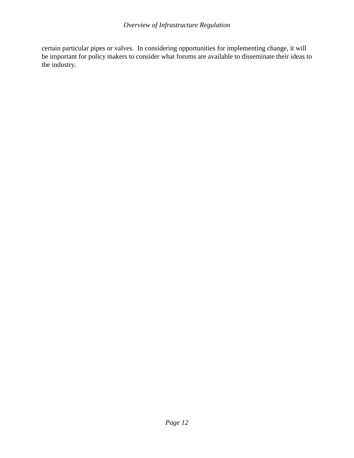certain particular pipes or valves. In considering opportunities for implementing change, it will be important for policy makers to consider what forums are available to disseminate their ideas to the industry.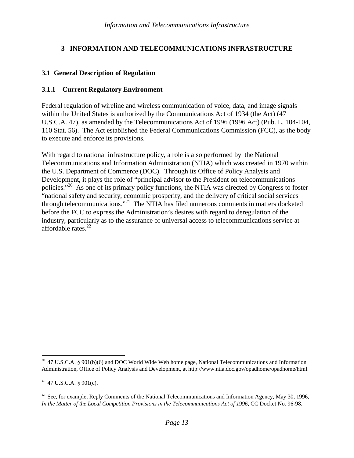# **3 INFORMATION AND TELECOMMUNICATIONS INFRASTRUCTURE**

#### **3.1 General Description of Regulation**

#### **3.1.1 Current Regulatory Environment**

Federal regulation of wireline and wireless communication of voice, data, and image signals within the United States is authorized by the Communications Act of 1934 (the Act) (47 U.S.C.A. 47), as amended by the Telecommunications Act of 1996 (1996 Act) (Pub. L. 104-104, 110 Stat. 56). The Act established the Federal Communications Commission (FCC), as the body to execute and enforce its provisions.

With regard to national infrastructure policy, a role is also performed by the National Telecommunications and Information Administration (NTIA) which was created in 1970 within the U.S. Department of Commerce (DOC). Through its Office of Policy Analysis and Development, it plays the role of "principal advisor to the President on telecommunications policies."20 As one of its primary policy functions, the NTIA was directed by Congress to foster "national safety and security, economic prosperity, and the delivery of critical social services through telecommunications."<sup>21</sup> The NTIA has filed numerous comments in matters docketed before the FCC to express the Administration's desires with regard to deregulation of the industry, particularly as to the assurance of universal access to telecommunications service at affordable rates. $22$ 

<sup>&</sup>lt;sup>20</sup> 47 U.S.C.A. § 901(b)(6) and DOC World Wide Web home page, National Telecommunications and Information Administration, Office of Policy Analysis and Development, at http://www.ntia.doc.gov/opadhome/opadhome/html.

<sup>&</sup>lt;sup>21</sup> 47 U.S.C.A. § 901(c).

 $22$  See, for example, Reply Comments of the National Telecommunications and Information Agency, May 30, 1996, *In the Matter of the Local Competition Provisions in the Telecommunications Act of 1996*, CC Docket No. 96-98.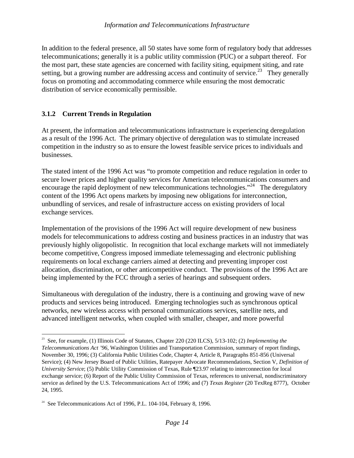In addition to the federal presence, all 50 states have some form of regulatory body that addresses telecommunications; generally it is a public utility commission (PUC) or a subpart thereof. For the most part, these state agencies are concerned with facility siting, equipment siting, and rate setting, but a growing number are addressing access and continuity of service.<sup>23</sup> They generally focus on promoting and accommodating commerce while ensuring the most democratic distribution of service economically permissible.

# **3.1.2 Current Trends in Regulation**

At present, the information and telecommunications infrastructure is experiencing deregulation as a result of the 1996 Act. The primary objective of deregulation was to stimulate increased competition in the industry so as to ensure the lowest feasible service prices to individuals and businesses.

The stated intent of the 1996 Act was "to promote competition and reduce regulation in order to secure lower prices and higher quality services for American telecommunications consumers and encourage the rapid deployment of new telecommunications technologies.<sup> $24$ </sup> The deregulatory content of the 1996 Act opens markets by imposing new obligations for interconnection, unbundling of services, and resale of infrastructure access on existing providers of local exchange services.

Implementation of the provisions of the 1996 Act will require development of new business models for telecommunications to address costing and business practices in an industry that was previously highly oligopolistic. In recognition that local exchange markets will not immediately become competitive, Congress imposed immediate telemessaging and electronic publishing requirements on local exchange carriers aimed at detecting and preventing improper cost allocation, discrimination, or other anticompetitive conduct. The provisions of the 1996 Act are being implemented by the FCC through a series of hearings and subsequent orders.

Simultaneous with deregulation of the industry, there is a continuing and growing wave of new products and services being introduced. Emerging technologies such as synchronous optical networks, new wireless access with personal communications services, satellite nets, and advanced intelligent networks, when coupled with smaller, cheaper, and more powerful

<sup>&</sup>lt;sup>23</sup> See, for example, (1) Illinois Code of Statutes, Chapter 220 (220 ILCS), 5/13-102; (2) *Implementing the Telecommunications Act '96*, Washington Utilities and Transportation Commission, summary of report findings, November 30, 1996; (3) California Public Utilities Code, Chapter 4, Article 8, Paragraphs 851-856 (Universal Service); (4) New Jersey Board of Public Utilities, Ratepayer Advocate Recommendations, Section V, *Definition of University Servic*e; (5) Public Utility Commission of Texas, Rule ¶23.97 relating to interconnection for local exchange service; (6) Report of the Public Utility Commission of Texas, references to universal, nondiscriminatory service as defined by the U.S. Telecommunications Act of 1996; and (7) *Texas Register* (20 TexReg 8777), October 24, 1995.

 $24$  See Telecommunications Act of 1996, P.L. 104-104, February 8, 1996.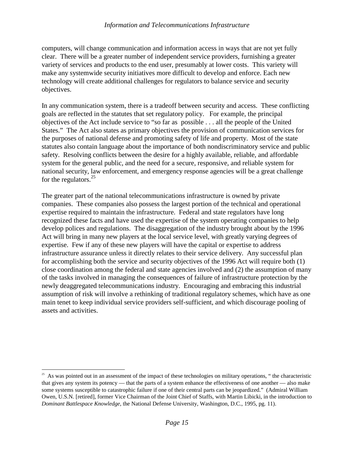#### *Information and Telecommunications Infrastructure*

computers, will change communication and information access in ways that are not yet fully clear. There will be a greater number of independent service providers, furnishing a greater variety of services and products to the end user, presumably at lower costs. This variety will make any systemwide security initiatives more difficult to develop and enforce. Each new technology will create additional challenges for regulators to balance service and security objectives.

In any communication system, there is a tradeoff between security and access. These conflicting goals are reflected in the statutes that set regulatory policy. For example, the principal objectives of the Act include service to "so far as possible . . . all the people of the United States." The Act also states as primary objectives the provision of communication services for the purposes of national defense and promoting safety of life and property. Most of the state statutes also contain language about the importance of both nondiscriminatory service and public safety. Resolving conflicts between the desire for a highly available, reliable, and affordable system for the general public, and the need for a secure, responsive, and reliable system for national security, law enforcement, and emergency response agencies will be a great challenge for the regulators.<sup>25</sup>

The greater part of the national telecommunications infrastructure is owned by private companies. These companies also possess the largest portion of the technical and operational expertise required to maintain the infrastructure. Federal and state regulators have long recognized these facts and have used the expertise of the system operating companies to help develop polices and regulations. The disaggregation of the industry brought about by the 1996 Act will bring in many new players at the local service level, with greatly varying degrees of expertise. Few if any of these new players will have the capital or expertise to address infrastructure assurance unless it directly relates to their service delivery. Any successful plan for accomplishing both the service and security objectives of the 1996 Act will require both (1) close coordination among the federal and state agencies involved and (2) the assumption of many of the tasks involved in managing the consequences of failure of infrastructure protection by the newly deaggregated telecommunications industry. Encouraging and embracing this industrial assumption of risk will involve a rethinking of traditional regulatory schemes, which have as one main tenet to keep individual service providers self-sufficient, and which discourage pooling of assets and activities.

 $25$  As was pointed out in an assessment of the impact of these technologies on military operations, "the characteristic that gives any system its potency — that the parts of a system enhance the effectiveness of one another — also make some systems susceptible to catastrophic failure if one of their central parts can be jeopardized." (Admiral William Owen, U.S.N. [retired], former Vice Chairman of the Joint Chief of Staffs, with Martin Libicki, in the introduction to *Dominant Battlespace Knowledge*, the National Defense University, Washington, D.C., 1995, pg. 11).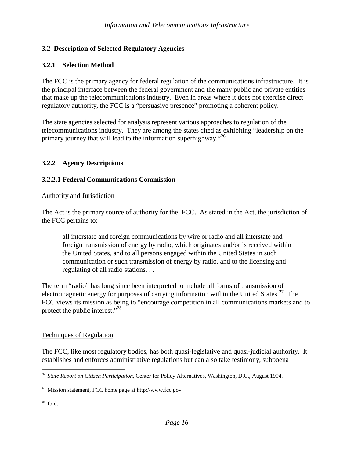# **3.2 Description of Selected Regulatory Agencies**

# **3.2.1 Selection Method**

The FCC is the primary agency for federal regulation of the communications infrastructure. It is the principal interface between the federal government and the many public and private entities that make up the telecommunications industry. Even in areas where it does not exercise direct regulatory authority, the FCC is a "persuasive presence" promoting a coherent policy.

The state agencies selected for analysis represent various approaches to regulation of the telecommunications industry. They are among the states cited as exhibiting "leadership on the primary journey that will lead to the information superhighway."<sup>26</sup>

# **3.2.2 Agency Descriptions**

# **3.2.2.1 Federal Communications Commission**

#### Authority and Jurisdiction

The Act is the primary source of authority for the FCC. As stated in the Act, the jurisdiction of the FCC pertains to:

all interstate and foreign communications by wire or radio and all interstate and foreign transmission of energy by radio, which originates and/or is received within the United States, and to all persons engaged within the United States in such communication or such transmission of energy by radio, and to the licensing and regulating of all radio stations. . .

The term "radio" has long since been interpreted to include all forms of transmission of electromagnetic energy for purposes of carrying information within the United States.<sup>27</sup> The FCC views its mission as being to "encourage competition in all communications markets and to protect the public interest."<sup>28</sup>

# Techniques of Regulation

The FCC, like most regulatory bodies, has both quasi-legislative and quasi-judicial authority. It establishes and enforces administrative regulations but can also take testimony, subpoena

 $28$  Ibid.

<sup>26</sup>*State Report on Citizen Participation*, Center for Policy Alternatives, Washington, D.C., August 1994.

<sup>&</sup>lt;sup>27</sup> Mission statement, FCC home page at http://www.fcc.gov.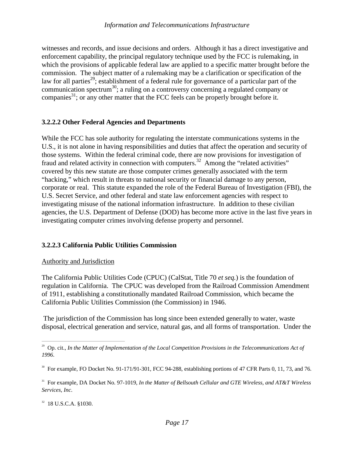witnesses and records, and issue decisions and orders. Although it has a direct investigative and enforcement capability, the principal regulatory technique used by the FCC is rulemaking, in which the provisions of applicable federal law are applied to a specific matter brought before the commission. The subject matter of a rulemaking may be a clarification or specification of the law for all parties<sup>29</sup>; establishment of a federal rule for governance of a particular part of the communication spectrum<sup>30</sup>; a ruling on a controversy concerning a regulated company or companies<sup>31</sup>; or any other matter that the FCC feels can be properly brought before it.

# **3.2.2.2 Other Federal Agencies and Departments**

While the FCC has sole authority for regulating the interstate communications systems in the U.S., it is not alone in having responsibilities and duties that affect the operation and security of those systems. Within the federal criminal code, there are now provisions for investigation of fraud and related activity in connection with computers.<sup>32</sup> Among the "related activities" covered by this new statute are those computer crimes generally associated with the term "hacking," which result in threats to national security or financial damage to any person, corporate or real. This statute expanded the role of the Federal Bureau of Investigation (FBI), the U.S. Secret Service, and other federal and state law enforcement agencies with respect to investigating misuse of the national information infrastructure. In addition to these civilian agencies, the U.S. Department of Defense (DOD) has become more active in the last five years in investigating computer crimes involving defense property and personnel.

# **3.2.2.3 California Public Utilities Commission**

# Authority and Jurisdiction

The California Public Utilities Code (CPUC) (CalStat, Title 70 *et seq.*) is the foundation of regulation in California. The CPUC was developed from the Railroad Commission Amendment of 1911, establishing a constitutionally mandated Railroad Commission, which became the California Public Utilities Commission (the Commission) in 1946.

 The jurisdiction of the Commission has long since been extended generally to water, waste disposal, electrical generation and service, natural gas, and all forms of transportation. Under the

<sup>&</sup>lt;sup>29</sup> Op. cit., *In the Matter of Implementation of the Local Competition Provisions in the Telecommunications Act of 1996*.

 $30$  For example, FO Docket No. 91-171/91-301, FCC 94-288, establishing portions of 47 CFR Parts 0, 11, 73, and 76.

<sup>&</sup>lt;sup>31</sup> For example, DA Docket No. 97-1019, *In the Matter of Bellsouth Cellular and GTE Wireless, and AT&T Wireless Services, Inc*.

<sup>&</sup>lt;sup>32</sup> 18 U.S.C.A. §1030.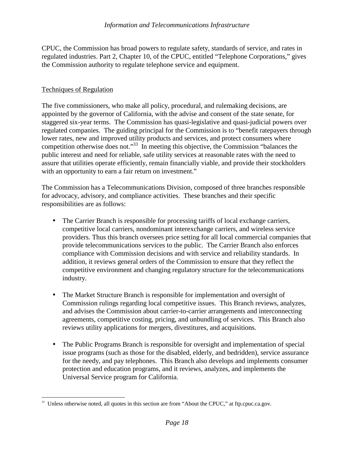CPUC, the Commission has broad powers to regulate safety, standards of service, and rates in regulated industries. Part 2, Chapter 10, of the CPUC, entitled "Telephone Corporations," gives the Commission authority to regulate telephone service and equipment.

# Techniques of Regulation

The five commissioners, who make all policy, procedural, and rulemaking decisions, are appointed by the governor of California, with the advise and consent of the state senate, for staggered six-year terms. The Commission has quasi-legislative and quasi-judicial powers over regulated companies. The guiding principal for the Commission is to "benefit ratepayers through lower rates, new and improved utility products and services, and protect consumers where competition otherwise does not."33 In meeting this objective, the Commission "balances the public interest and need for reliable, safe utility services at reasonable rates with the need to assure that utilities operate efficiently, remain financially viable, and provide their stockholders with an opportunity to earn a fair return on investment."

The Commission has a Telecommunications Division, composed of three branches responsible for advocacy, advisory, and compliance activities. These branches and their specific responsibilities are as follows:

- The Carrier Branch is responsible for processing tariffs of local exchange carriers, competitive local carriers, nondominant interexchange carriers, and wireless service providers. Thus this branch oversees price setting for all local commercial companies that provide telecommunications services to the public. The Carrier Branch also enforces compliance with Commission decisions and with service and reliability standards. In addition, it reviews general orders of the Commission to ensure that they reflect the competitive environment and changing regulatory structure for the telecommunications industry.
- The Market Structure Branch is responsible for implementation and oversight of Commission rulings regarding local competitive issues. This Branch reviews, analyzes, and advises the Commission about carrier-to-carrier arrangements and interconnecting agreements, competitive costing, pricing, and unbundling of services. This Branch also reviews utility applications for mergers, divestitures, and acquisitions.
- The Public Programs Branch is responsible for oversight and implementation of special issue programs (such as those for the disabled, elderly, and bedridden), service assurance for the needy, and pay telephones. This Branch also develops and implements consumer protection and education programs, and it reviews, analyzes, and implements the Universal Service program for California.

<sup>&</sup>lt;sup>33</sup> Unless otherwise noted, all quotes in this section are from "About the CPUC," at ftp.cpuc.ca.gov.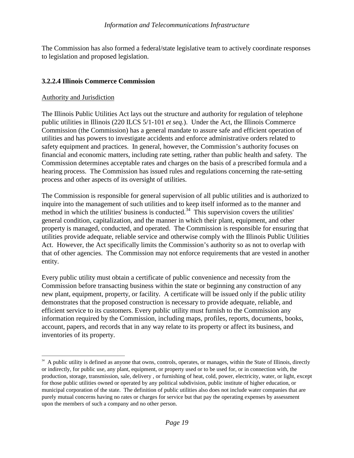The Commission has also formed a federal/state legislative team to actively coordinate responses to legislation and proposed legislation.

# **3.2.2.4 Illinois Commerce Commission**

# Authority and Jurisdiction

The Illinois Public Utilities Act lays out the structure and authority for regulation of telephone public utilities in Illinois (220 ILCS 5/1-101 *et seq.*). Under the Act, the Illinois Commerce Commission (the Commission) has a general mandate to assure safe and efficient operation of utilities and has powers to investigate accidents and enforce administrative orders related to safety equipment and practices. In general, however, the Commission's authority focuses on financial and economic matters, including rate setting, rather than public health and safety. The Commission determines acceptable rates and charges on the basis of a prescribed formula and a hearing process. The Commission has issued rules and regulations concerning the rate-setting process and other aspects of its oversight of utilities.

The Commission is responsible for general supervision of all public utilities and is authorized to inquire into the management of such utilities and to keep itself informed as to the manner and method in which the utilities' business is conducted.<sup>34</sup> This supervision covers the utilities' general condition, capitalization, and the manner in which their plant, equipment, and other property is managed, conducted, and operated. The Commission is responsible for ensuring that utilities provide adequate, reliable service and otherwise comply with the Illinois Public Utilities Act. However, the Act specifically limits the Commission's authority so as not to overlap with that of other agencies. The Commission may not enforce requirements that are vested in another entity.

Every public utility must obtain a certificate of public convenience and necessity from the Commission before transacting business within the state or beginning any construction of any new plant, equipment, property, or facility. A certificate will be issued only if the public utility demonstrates that the proposed construction is necessary to provide adequate, reliable, and efficient service to its customers. Every public utility must furnish to the Commission any information required by the Commission, including maps, profiles, reports, documents, books, account, papers, and records that in any way relate to its property or affect its business, and inventories of its property.

<sup>&</sup>lt;sup>34</sup> A public utility is defined as anyone that owns, controls, operates, or manages, within the State of Illinois, directly or indirectly, for public use, any plant, equipment, or property used or to be used for, or in connection with, the production, storage, transmission, sale, delivery , or furnishing of heat, cold, power, electricity, water, or light, except for those public utilities owned or operated by any political subdivision, public institute of higher education, or municipal corporation of the state. The definition of public utilities also does not include water companies that are purely mutual concerns having no rates or charges for service but that pay the operating expenses by assessment upon the members of such a company and no other person.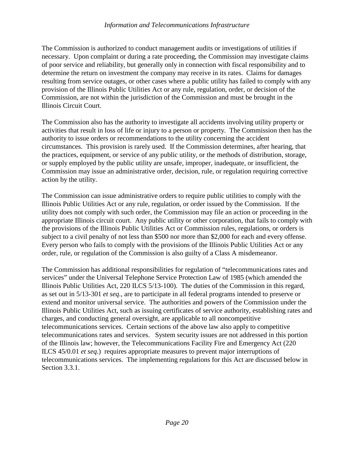#### *Information and Telecommunications Infrastructure*

The Commission is authorized to conduct management audits or investigations of utilities if necessary. Upon complaint or during a rate proceeding, the Commission may investigate claims of poor service and reliability, but generally only in connection with fiscal responsibility and to determine the return on investment the company may receive in its rates. Claims for damages resulting from service outages, or other cases where a public utility has failed to comply with any provision of the Illinois Public Utilities Act or any rule, regulation, order, or decision of the Commission, are not within the jurisdiction of the Commission and must be brought in the Illinois Circuit Court.

The Commission also has the authority to investigate all accidents involving utility property or activities that result in loss of life or injury to a person or property. The Commission then has the authority to issue orders or recommendations to the utility concerning the accident circumstances. This provision is rarely used. If the Commission determines, after hearing, that the practices, equipment, or service of any public utility, or the methods of distribution, storage, or supply employed by the public utility are unsafe, improper, inadequate, or insufficient, the Commission may issue an administrative order, decision, rule, or regulation requiring corrective action by the utility.

The Commission can issue administrative orders to require public utilities to comply with the Illinois Public Utilities Act or any rule, regulation, or order issued by the Commission. If the utility does not comply with such order, the Commission may file an action or proceeding in the appropriate Illinois circuit court. Any public utility or other corporation, that fails to comply with the provisions of the Illinois Public Utilities Act or Commission rules, regulations, or orders is subject to a civil penalty of not less than \$500 nor more than \$2,000 for each and every offense. Every person who fails to comply with the provisions of the Illinois Public Utilities Act or any order, rule, or regulation of the Commission is also guilty of a Class A misdemeanor.

The Commission has additional responsibilities for regulation of "telecommunications rates and services" under the Universal Telephone Service Protection Law of 1985 (which amended the Illinois Public Utilities Act, 220 ILCS 5/13-100). The duties of the Commission in this regard, as set out in 5/13-301 *et seq*., are to participate in all federal programs intended to preserve or extend and monitor universal service. The authorities and powers of the Commission under the Illinois Public Utilities Act, such as issuing certificates of service authority, establishing rates and charges, and conducting general oversight, are applicable to all noncompetitive telecommunications services. Certain sections of the above law also apply to competitive telecommunications rates and services. System security issues are not addressed in this portion of the Illinois law; however, the Telecommunications Facility Fire and Emergency Act (220 ILCS 45/0.01 *et seq*.) requires appropriate measures to prevent major interruptions of telecommunications services. The implementing regulations for this Act are discussed below in Section 3.3.1.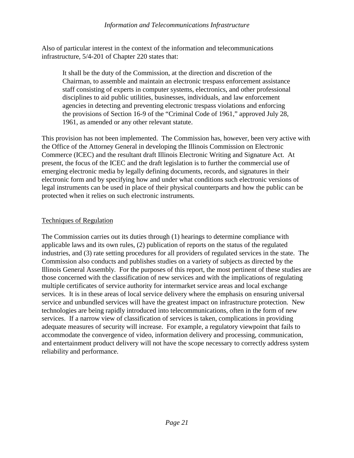Also of particular interest in the context of the information and telecommunications infrastructure, 5/4-201 of Chapter 220 states that:

It shall be the duty of the Commission, at the direction and discretion of the Chairman, to assemble and maintain an electronic trespass enforcement assistance staff consisting of experts in computer systems, electronics, and other professional disciplines to aid public utilities, businesses, individuals, and law enforcement agencies in detecting and preventing electronic trespass violations and enforcing the provisions of Section 16-9 of the "Criminal Code of 1961," approved July 28, 1961, as amended or any other relevant statute.

This provision has not been implemented. The Commission has, however, been very active with the Office of the Attorney General in developing the Illinois Commission on Electronic Commerce (ICEC) and the resultant draft Illinois Electronic Writing and Signature Act. At present, the focus of the ICEC and the draft legislation is to further the commercial use of emerging electronic media by legally defining documents, records, and signatures in their electronic form and by specifying how and under what conditions such electronic versions of legal instruments can be used in place of their physical counterparts and how the public can be protected when it relies on such electronic instruments.

# Techniques of Regulation

The Commission carries out its duties through (1) hearings to determine compliance with applicable laws and its own rules, (2) publication of reports on the status of the regulated industries, and (3) rate setting procedures for all providers of regulated services in the state. The Commission also conducts and publishes studies on a variety of subjects as directed by the Illinois General Assembly. For the purposes of this report, the most pertinent of these studies are those concerned with the classification of new services and with the implications of regulating multiple certificates of service authority for intermarket service areas and local exchange services. It is in these areas of local service delivery where the emphasis on ensuring universal service and unbundled services will have the greatest impact on infrastructure protection. New technologies are being rapidly introduced into telecommunications, often in the form of new services. If a narrow view of classification of services is taken, complications in providing adequate measures of security will increase. For example, a regulatory viewpoint that fails to accommodate the convergence of video, information delivery and processing, communication, and entertainment product delivery will not have the scope necessary to correctly address system reliability and performance.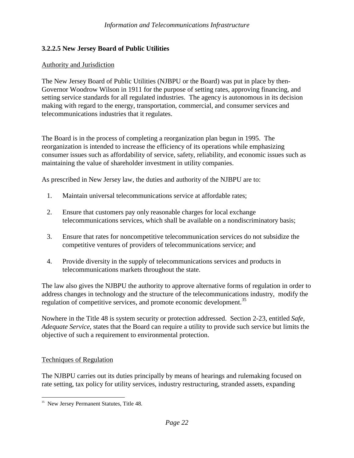# **3.2.2.5 New Jersey Board of Public Utilities**

# Authority and Jurisdiction

The New Jersey Board of Public Utilities (NJBPU or the Board) was put in place by then-Governor Woodrow Wilson in 1911 for the purpose of setting rates, approving financing, and setting service standards for all regulated industries. The agency is autonomous in its decision making with regard to the energy, transportation, commercial, and consumer services and telecommunications industries that it regulates.

The Board is in the process of completing a reorganization plan begun in 1995. The reorganization is intended to increase the efficiency of its operations while emphasizing consumer issues such as affordability of service, safety, reliability, and economic issues such as maintaining the value of shareholder investment in utility companies.

As prescribed in New Jersey law, the duties and authority of the NJBPU are to:

- 1. Maintain universal telecommunications service at affordable rates;
- 2. Ensure that customers pay only reasonable charges for local exchange telecommunications services, which shall be available on a nondiscriminatory basis;
- 3. Ensure that rates for noncompetitive telecommunication services do not subsidize the competitive ventures of providers of telecommunications service; and
- 4. Provide diversity in the supply of telecommunications services and products in telecommunications markets throughout the state.

The law also gives the NJBPU the authority to approve alternative forms of regulation in order to address changes in technology and the structure of the telecommunications industry, modify the regulation of competitive services, and promote economic development.<sup>35</sup>

Nowhere in the Title 48 is system security or protection addressed. Section 2-23, entitled *Safe, Adequate Service*, states that the Board can require a utility to provide such service but limits the objective of such a requirement to environmental protection.

# Techniques of Regulation

The NJBPU carries out its duties principally by means of hearings and rulemaking focused on rate setting, tax policy for utility services, industry restructuring, stranded assets, expanding

<sup>&</sup>lt;sup>35</sup> New Jersey Permanent Statutes, Title 48.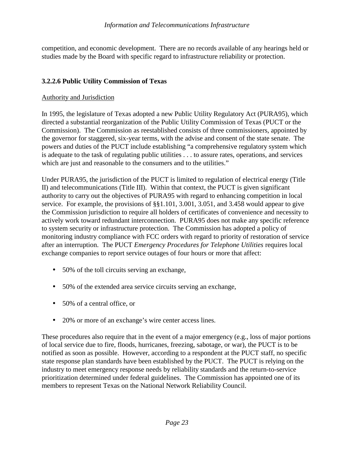competition, and economic development. There are no records available of any hearings held or studies made by the Board with specific regard to infrastructure reliability or protection.

# **3.2.2.6 Public Utility Commission of Texas**

# Authority and Jurisdiction

In 1995, the legislature of Texas adopted a new Public Utility Regulatory Act (PURA95), which directed a substantial reorganization of the Public Utility Commission of Texas (PUCT or the Commission). The Commission as reestablished consists of three commissioners, appointed by the governor for staggered, six-year terms, with the advise and consent of the state senate. The powers and duties of the PUCT include establishing "a comprehensive regulatory system which is adequate to the task of regulating public utilities . . . to assure rates, operations, and services which are just and reasonable to the consumers and to the utilities."

Under PURA95, the jurisdiction of the PUCT is limited to regulation of electrical energy (Title II) and telecommunications (Title III). Within that context, the PUCT is given significant authority to carry out the objectives of PURA95 with regard to enhancing competition in local service. For example, the provisions of §§1.101, 3.001, 3.051, and 3.458 would appear to give the Commission jurisdiction to require all holders of certificates of convenience and necessity to actively work toward redundant interconnection. PURA95 does not make any specific reference to system security or infrastructure protection. The Commission has adopted a policy of monitoring industry compliance with FCC orders with regard to priority of restoration of service after an interruption. The PUCT *Emergency Procedures for Telephone Utilities* requires local exchange companies to report service outages of four hours or more that affect:

- 50% of the toll circuits serving an exchange,
- 50% of the extended area service circuits serving an exchange,
- 50% of a central office, or
- 20% or more of an exchange's wire center access lines.

These procedures also require that in the event of a major emergency (e.g., loss of major portions of local service due to fire, floods, hurricanes, freezing, sabotage, or war), the PUCT is to be notified as soon as possible. However, according to a respondent at the PUCT staff, no specific state response plan standards have been established by the PUCT. The PUCT is relying on the industry to meet emergency response needs by reliability standards and the return-to-service prioritization determined under federal guidelines. The Commission has appointed one of its members to represent Texas on the National Network Reliability Council.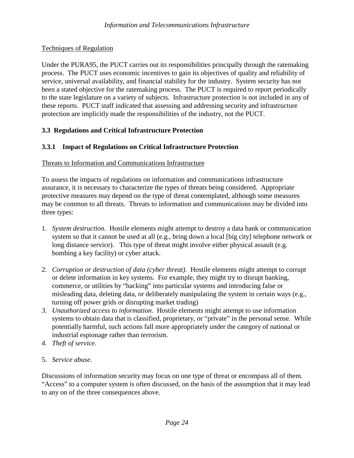# Techniques of Regulation

Under the PURA95, the PUCT carries out its responsibilities principally through the ratemaking process. The PUCT uses economic incentives to gain its objectives of quality and reliability of service, universal availability, and financial stability for the industry. System security has not been a stated objective for the ratemaking process. The PUCT is required to report periodically to the state legislature on a variety of subjects. Infrastructure protection is not included in any of these reports. PUCT staff indicated that assessing and addressing security and infrastructure protection are implicitly made the responsibilities of the industry, not the PUCT.

# **3.3 Regulations and Critical Infrastructure Protection**

# **3.3.1 Impact of Regulations on Critical Infrastructure Protection**

#### Threats to Information and Communications Infrastructure

To assess the impacts of regulations on information and communications infrastructure assurance, it is necessary to characterize the types of threats being considered. Appropriate protective measures may depend on the type of threat contemplated, although some measures may be common to all threats. Threats to information and communications may be divided into three types:

- 1. *System destruction*. Hostile elements might attempt to destroy a data bank or communication system so that it cannot be used at all (e.g., bring down a local [big city] telephone network or long distance service). This type of threat might involve either physical assault (e.g. bombing a key facility) or cyber attack.
- 2. *Corruption or destruction of data (cyber threat)*. Hostile elements might attempt to corrupt or delete information in key systems. For example, they might try to disrupt banking, commerce, or utilities by "hacking" into particular systems and introducing false or misleading data, deleting data, or deliberately manipulating the system in certain ways (e.g., turning off power grids or disrupting market trading)
- *3. Unauthorized access to information*. Hostile elements might attempt to use information systems to obtain data that is classified, proprietary, or "private" in the personal sense. While potentially harmful, such actions fall more appropriately under the category of national or industrial espionage rather than terrorism.
- *4. Theft of service.*
- 5. *Service abuse*.

Discussions of information security may focus on one type of threat or encompass all of them. "Access" to a computer system is often discussed, on the basis of the assumption that it may lead to any on of the three consequences above.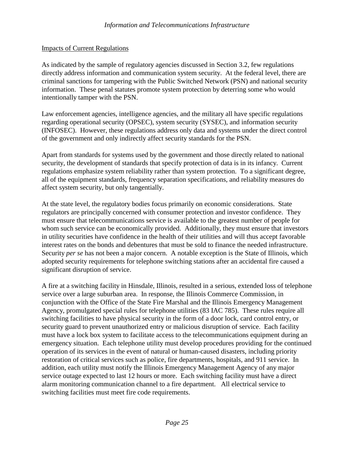# Impacts of Current Regulations

As indicated by the sample of regulatory agencies discussed in Section 3.2, few regulations directly address information and communication system security. At the federal level, there are criminal sanctions for tampering with the Public Switched Network (PSN) and national security information. These penal statutes promote system protection by deterring some who would intentionally tamper with the PSN.

Law enforcement agencies, intelligence agencies, and the military all have specific regulations regarding operational security (OPSEC), system security (SYSEC), and information security (INFOSEC). However, these regulations address only data and systems under the direct control of the government and only indirectly affect security standards for the PSN.

Apart from standards for systems used by the government and those directly related to national security, the development of standards that specify protection of data is in its infancy. Current regulations emphasize system reliability rather than system protection. To a significant degree, all of the equipment standards, frequency separation specifications, and reliability measures do affect system security, but only tangentially.

At the state level, the regulatory bodies focus primarily on economic considerations. State regulators are principally concerned with consumer protection and investor confidence. They must ensure that telecommunications service is available to the greatest number of people for whom such service can be economically provided. Additionally, they must ensure that investors in utility securities have confidence in the health of their utilities and will thus accept favorable interest rates on the bonds and debentures that must be sold to finance the needed infrastructure. Security *per se* has not been a major concern. A notable exception is the State of Illinois, which adopted security requirements for telephone switching stations after an accidental fire caused a significant disruption of service.

A fire at a switching facility in Hinsdale, Illinois, resulted in a serious, extended loss of telephone service over a large suburban area. In response, the Illinois Commerce Commission, in conjunction with the Office of the State Fire Marshal and the Illinois Emergency Management Agency, promulgated special rules for telephone utilities (83 IAC 785). These rules require all switching facilities to have physical security in the form of a door lock, card control entry, or security guard to prevent unauthorized entry or malicious disruption of service. Each facility must have a lock box system to facilitate access to the telecommunications equipment during an emergency situation. Each telephone utility must develop procedures providing for the continued operation of its services in the event of natural or human-caused disasters, including priority restoration of critical services such as police, fire departments, hospitals, and 911 service. In addition, each utility must notify the Illinois Emergency Management Agency of any major service outage expected to last 12 hours or more. Each switching facility must have a direct alarm monitoring communication channel to a fire department. All electrical service to switching facilities must meet fire code requirements.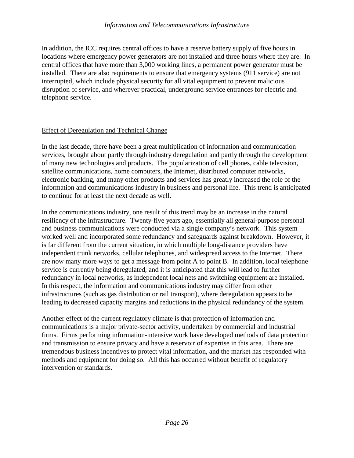#### *Information and Telecommunications Infrastructure*

In addition, the ICC requires central offices to have a reserve battery supply of five hours in locations where emergency power generators are not installed and three hours where they are. In central offices that have more than 3,000 working lines, a permanent power generator must be installed. There are also requirements to ensure that emergency systems (911 service) are not interrupted, which include physical security for all vital equipment to prevent malicious disruption of service, and wherever practical, underground service entrances for electric and telephone service.

# Effect of Deregulation and Technical Change

In the last decade, there have been a great multiplication of information and communication services, brought about partly through industry deregulation and partly through the development of many new technologies and products. The popularization of cell phones, cable television, satellite communications, home computers, the Internet, distributed computer networks, electronic banking, and many other products and services has greatly increased the role of the information and communications industry in business and personal life. This trend is anticipated to continue for at least the next decade as well.

In the communications industry, one result of this trend may be an increase in the natural resiliency of the infrastructure. Twenty-five years ago, essentially all general-purpose personal and business communications were conducted via a single company's network. This system worked well and incorporated some redundancy and safeguards against breakdown. However, it is far different from the current situation, in which multiple long-distance providers have independent trunk networks, cellular telephones, and widespread access to the Internet. There are now many more ways to get a message from point A to point B. In addition, local telephone service is currently being deregulated, and it is anticipated that this will lead to further redundancy in local networks, as independent local nets and switching equipment are installed. In this respect, the information and communications industry may differ from other infrastructures (such as gas distribution or rail transport), where deregulation appears to be leading to decreased capacity margins and reductions in the physical redundancy of the system.

Another effect of the current regulatory climate is that protection of information and communications is a major private-sector activity, undertaken by commercial and industrial firms. Firms performing information-intensive work have developed methods of data protection and transmission to ensure privacy and have a reservoir of expertise in this area. There are tremendous business incentives to protect vital information, and the market has responded with methods and equipment for doing so. All this has occurred without benefit of regulatory intervention or standards.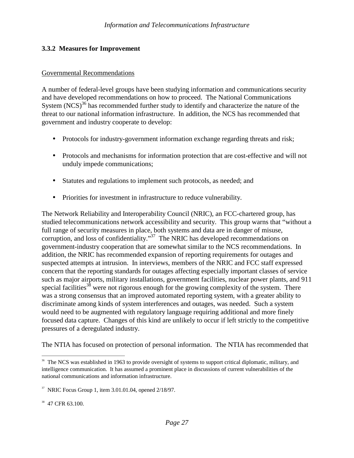# **3.3.2 Measures for Improvement**

#### Governmental Recommendations

A number of federal-level groups have been studying information and communications security and have developed recommendations on how to proceed. The National Communications System  $(NCS)^{36}$  has recommended further study to identify and characterize the nature of the threat to our national information infrastructure. In addition, the NCS has recommended that government and industry cooperate to develop:

- Protocols for industry-government information exchange regarding threats and risk;
- Protocols and mechanisms for information protection that are cost-effective and will not unduly impede communications;
- Statutes and regulations to implement such protocols, as needed; and
- Priorities for investment in infrastructure to reduce vulnerability.

The Network Reliability and Interoperability Council (NRIC), an FCC-chartered group, has studied telecommunications network accessibility and security. This group warns that "without a full range of security measures in place, both systems and data are in danger of misuse, corruption, and loss of confidentiality."<sup>37</sup> The NRIC has developed recommendations on government-industry cooperation that are somewhat similar to the NCS recommendations. In addition, the NRIC has recommended expansion of reporting requirements for outages and suspected attempts at intrusion. In interviews, members of the NRIC and FCC staff expressed concern that the reporting standards for outages affecting especially important classes of service such as major airports, military installations, government facilities, nuclear power plants, and 911 special facilities<sup>38</sup> were not rigorous enough for the growing complexity of the system. There was a strong consensus that an improved automated reporting system, with a greater ability to discriminate among kinds of system interferences and outages, was needed. Such a system would need to be augmented with regulatory language requiring additional and more finely focused data capture. Changes of this kind are unlikely to occur if left strictly to the competitive pressures of a deregulated industry.

The NTIA has focused on protection of personal information. The NTIA has recommended that

<sup>&</sup>lt;sup>36</sup> The NCS was established in 1963 to provide oversight of systems to support critical diplomatic, military, and intelligence communication. It has assumed a prominent place in discussions of current vulnerabilities of the national communications and information infrastructure.

 $37$  NRIC Focus Group 1, item 3.01.01.04, opened 2/18/97.

<sup>&</sup>lt;sup>38</sup> 47 CFR 63.100.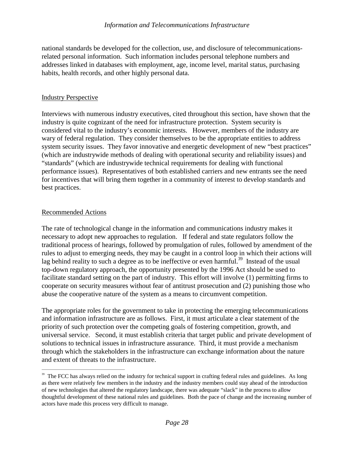national standards be developed for the collection, use, and disclosure of telecommunicationsrelated personal information. Such information includes personal telephone numbers and addresses linked in databases with employment, age, income level, marital status, purchasing habits, health records, and other highly personal data.

# Industry Perspective

Interviews with numerous industry executives, cited throughout this section, have shown that the industry is quite cognizant of the need for infrastructure protection. System security is considered vital to the industry's economic interests. However, members of the industry are wary of federal regulation. They consider themselves to be the appropriate entities to address system security issues. They favor innovative and energetic development of new "best practices" (which are industrywide methods of dealing with operational security and reliability issues) and "standards" (which are industrywide technical requirements for dealing with functional performance issues). Representatives of both established carriers and new entrants see the need for incentives that will bring them together in a community of interest to develop standards and best practices.

#### Recommended Actions

The rate of technological change in the information and communications industry makes it necessary to adopt new approaches to regulation. If federal and state regulators follow the traditional process of hearings, followed by promulgation of rules, followed by amendment of the rules to adjust to emerging needs, they may be caught in a control loop in which their actions will lag behind reality to such a degree as to be ineffective or even harmful.<sup>39</sup> Instead of the usual top-down regulatory approach, the opportunity presented by the 1996 Act should be used to facilitate standard setting on the part of industry. This effort will involve (1) permitting firms to cooperate on security measures without fear of antitrust prosecution and (2) punishing those who abuse the cooperative nature of the system as a means to circumvent competition.

The appropriate roles for the government to take in protecting the emerging telecommunications and information infrastructure are as follows. First, it must articulate a clear statement of the priority of such protection over the competing goals of fostering competition, growth, and universal service. Second, it must establish criteria that target public and private development of solutions to technical issues in infrastructure assurance. Third, it must provide a mechanism through which the stakeholders in the infrastructure can exchange information about the nature and extent of threats to the infrastructure.

<sup>&</sup>lt;sup>39</sup> The FCC has always relied on the industry for technical support in crafting federal rules and guidelines. As long as there were relatively few members in the industry and the industry members could stay ahead of the introduction of new technologies that altered the regulatory landscape, there was adequate "slack" in the process to allow thoughtful development of these national rules and guidelines. Both the pace of change and the increasing number of actors have made this process very difficult to manage.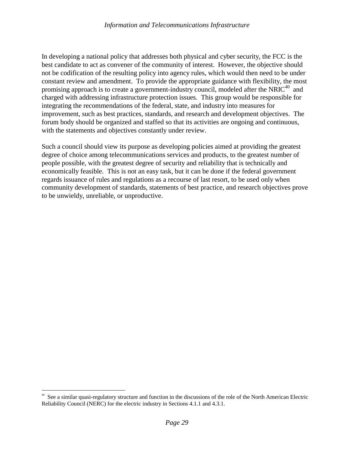In developing a national policy that addresses both physical and cyber security, the FCC is the best candidate to act as convener of the community of interest. However, the objective should not be codification of the resulting policy into agency rules, which would then need to be under constant review and amendment. To provide the appropriate guidance with flexibility, the most promising approach is to create a government-industry council, modeled after the NRIC<sup>40</sup> and charged with addressing infrastructure protection issues. This group would be responsible for integrating the recommendations of the federal, state, and industry into measures for improvement, such as best practices, standards, and research and development objectives. The forum body should be organized and staffed so that its activities are ongoing and continuous, with the statements and objectives constantly under review.

Such a council should view its purpose as developing policies aimed at providing the greatest degree of choice among telecommunications services and products, to the greatest number of people possible, with the greatest degree of security and reliability that is technically and economically feasible. This is not an easy task, but it can be done if the federal government regards issuance of rules and regulations as a recourse of last resort, to be used only when community development of standards, statements of best practice, and research objectives prove to be unwieldy, unreliable, or unproductive.

See a similar quasi-regulatory structure and function in the discussions of the role of the North American Electric Reliability Council (NERC) for the electric industry in Sections 4.1.1 and 4.3.1. 40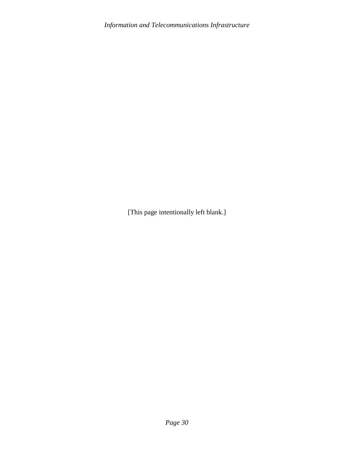[This page intentionally left blank.]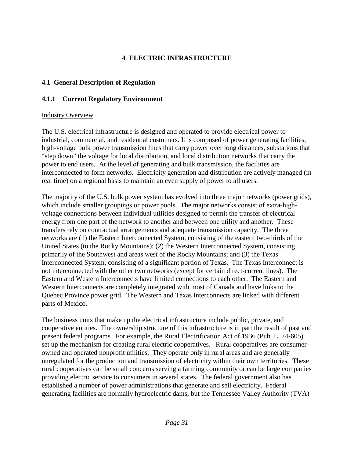# **4 ELECTRIC INFRASTRUCTURE**

# **4.1 General Description of Regulation**

# **4.1.1 Current Regulatory Environment**

#### Industry Overview

The U.S. electrical infrastructure is designed and operated to provide electrical power to industrial, commercial, and residential customers. It is composed of power generating facilities, high-voltage bulk power transmission lines that carry power over long distances, substations that "step down" the voltage for local distribution, and local distribution networks that carry the power to end users. At the level of generating and bulk transmission, the facilities are interconnected to form networks. Electricity generation and distribution are actively managed (in real time) on a regional basis to maintain an even supply of power to all users.

The majority of the U.S. bulk power system has evolved into three major networks (power grids), which include smaller groupings or power pools. The major networks consist of extra-highvoltage connections between individual utilities designed to permit the transfer of electrical energy from one part of the network to another and between one utility and another. These transfers rely on contractual arrangements and adequate transmission capacity. The three networks are (1) the Eastern Interconnected System, consisting of the eastern two-thirds of the United States (to the Rocky Mountains); (2) the Western Interconnected System, consisting primarily of the Southwest and areas west of the Rocky Mountains; and (3) the Texas Interconnected System, consisting of a significant portion of Texas. The Texas Interconnect is not interconnected with the other two networks (except for certain direct-current lines). The Eastern and Western Interconnects have limited connections to each other. The Eastern and Western Interconnects are completely integrated with most of Canada and have links to the Quebec Province power grid. The Western and Texas Interconnects are linked with different parts of Mexico.

The business units that make up the electrical infrastructure include public, private, and cooperative entities. The ownership structure of this infrastructure is in part the result of past and present federal programs. For example, the Rural Electrification Act of 1936 (Pub. L. 74-605) set up the mechanism for creating rural electric cooperatives. Rural cooperatives are consumerowned and operated nonprofit utilities. They operate only in rural areas and are generally unregulated for the production and transmission of electricity within their own territories. These rural cooperatives can be small concerns serving a farming community or can be large companies providing electric service to consumers in several states. The federal government also has established a number of power administrations that generate and sell electricity. Federal generating facilities are normally hydroelectric dams, but the Tennessee Valley Authority (TVA)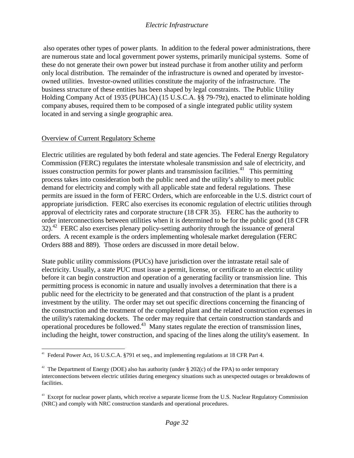also operates other types of power plants. In addition to the federal power administrations, there are numerous state and local government power systems, primarily municipal systems. Some of these do not generate their own power but instead purchase it from another utility and perform only local distribution. The remainder of the infrastructure is owned and operated by investorowned utilities. Investor-owned utilities constitute the majority of the infrastructure. The business structure of these entities has been shaped by legal constraints. The Public Utility Holding Company Act of 1935 (PUHCA) (15 U.S.C.A. §§ 79-79z), enacted to eliminate holding company abuses, required them to be composed of a single integrated public utility system located in and serving a single geographic area.

#### Overview of Current Regulatory Scheme

Electric utilities are regulated by both federal and state agencies. The Federal Energy Regulatory Commission (FERC) regulates the interstate wholesale transmission and sale of electricity, and issues construction permits for power plants and transmission facilities.<sup>41</sup> This permitting process takes into consideration both the public need and the utility's ability to meet public demand for electricity and comply with all applicable state and federal regulations. These permits are issued in the form of FERC Orders, which are enforceable in the U.S. district court of appropriate jurisdiction. FERC also exercises its economic regulation of electric utilities through approval of electricity rates and corporate structure (18 CFR 35). FERC has the authority to order interconnections between utilities when it is determined to be for the public good (18 CFR  $32$ ).<sup>42</sup> FERC also exercises plenary policy-setting authority through the issuance of general orders. A recent example is the orders implementing wholesale market deregulation (FERC Orders 888 and 889). Those orders are discussed in more detail below.

State public utility commissions (PUCs) have jurisdiction over the intrastate retail sale of electricity. Usually, a state PUC must issue a permit, license, or certificate to an electric utility before it can begin construction and operation of a generating facility or transmission line. This permitting process is economic in nature and usually involves a determination that there is a public need for the electricity to be generated and that construction of the plant is a prudent investment by the utility. The order may set out specific directions concerning the financing of the construction and the treatment of the completed plant and the related construction expenses in the utility's ratemaking dockets. The order may require that certain construction standards and operational procedures be followed.43 Many states regulate the erection of transmission lines, including the height, tower construction, and spacing of the lines along the utility's easement. In

<sup>&</sup>lt;sup>41</sup> Federal Power Act, 16 U.S.C.A. §791 et seq., and implementing regulations at 18 CFR Part 4.

<sup>&</sup>lt;sup>42</sup> The Department of Energy (DOE) also has authority (under  $\S$  202(c) of the FPA) to order temporary interconnections between electric utilities during emergency situations such as unexpected outages or breakdowns of facilities.

<sup>&</sup>lt;sup>43</sup> Except for nuclear power plants, which receive a separate license from the U.S. Nuclear Regulatory Commission (NRC) and comply with NRC construction standards and operational procedures.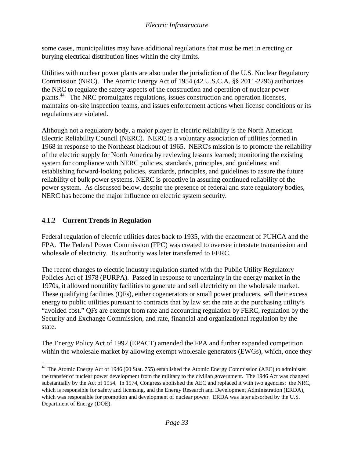some cases, municipalities may have additional regulations that must be met in erecting or burying electrical distribution lines within the city limits.

Utilities with nuclear power plants are also under the jurisdiction of the U.S. Nuclear Regulatory Commission (NRC). The Atomic Energy Act of 1954 (42 U.S.C.A. §§ 2011-2296) authorizes the NRC to regulate the safety aspects of the construction and operation of nuclear power plants.44 The NRC promulgates regulations, issues construction and operation licenses, maintains on-site inspection teams, and issues enforcement actions when license conditions or its regulations are violated.

Although not a regulatory body, a major player in electric reliability is the North American Electric Reliability Council (NERC). NERC is a voluntary association of utilities formed in 1968 in response to the Northeast blackout of 1965. NERC's mission is to promote the reliability of the electric supply for North America by reviewing lessons learned; monitoring the existing system for compliance with NERC policies, standards, principles, and guidelines; and establishing forward-looking policies, standards, principles, and guidelines to assure the future reliability of bulk power systems. NERC is proactive in assuring continued reliability of the power system. As discussed below, despite the presence of federal and state regulatory bodies, NERC has become the major influence on electric system security.

# **4.1.2 Current Trends in Regulation**

Federal regulation of electric utilities dates back to 1935, with the enactment of PUHCA and the FPA. The Federal Power Commission (FPC) was created to oversee interstate transmission and wholesale of electricity. Its authority was later transferred to FERC.

The recent changes to electric industry regulation started with the Public Utility Regulatory Policies Act of 1978 (PURPA). Passed in response to uncertainty in the energy market in the 1970s, it allowed nonutility facilities to generate and sell electricity on the wholesale market. These qualifying facilities (QFs), either cogenerators or small power producers, sell their excess energy to public utilities pursuant to contracts that by law set the rate at the purchasing utility's "avoided cost." QFs are exempt from rate and accounting regulation by FERC, regulation by the Security and Exchange Commission, and rate, financial and organizational regulation by the state.

The Energy Policy Act of 1992 (EPACT) amended the FPA and further expanded competition within the wholesale market by allowing exempt wholesale generators (EWGs), which, once they

<sup>&</sup>lt;sup>44</sup> The Atomic Energy Act of 1946 (60 Stat. 755) established the Atomic Energy Commission (AEC) to administer the transfer of nuclear power development from the military to the civilian government. The 1946 Act was changed substantially by the Act of 1954. In 1974, Congress abolished the AEC and replaced it with two agencies: the NRC, which is responsible for safety and licensing, and the Energy Research and Development Administration (ERDA), which was responsible for promotion and development of nuclear power. ERDA was later absorbed by the U.S. Department of Energy (DOE).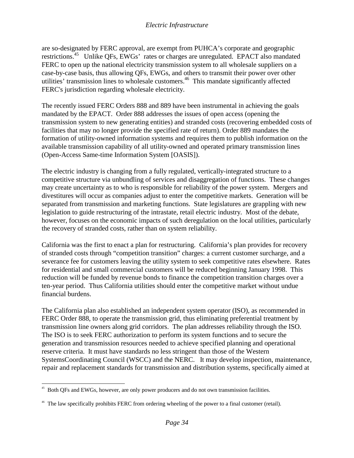are so-designated by FERC approval, are exempt from PUHCA's corporate and geographic restrictions.45 Unlike QFs, EWGs' rates or charges are unregulated. EPACT also mandated FERC to open up the national electricity transmission system to all wholesale suppliers on a case-by-case basis, thus allowing QFs, EWGs, and others to transmit their power over other utilities' transmission lines to wholesale customers.<sup>46</sup> This mandate significantly affected FERC's jurisdiction regarding wholesale electricity.

The recently issued FERC Orders 888 and 889 have been instrumental in achieving the goals mandated by the EPACT. Order 888 addresses the issues of open access (opening the transmission system to new generating entities) and stranded costs (recovering embedded costs of facilities that may no longer provide the specified rate of return). Order 889 mandates the formation of utility-owned information systems and requires them to publish information on the available transmission capability of all utility-owned and operated primary transmission lines (Open-Access Same-time Information System [OASIS]).

The electric industry is changing from a fully regulated, vertically-integrated structure to a competitive structure via unbundling of services and disaggregation of functions. These changes may create uncertainty as to who is responsible for reliability of the power system. Mergers and divestitures will occur as companies adjust to enter the competitive markets. Generation will be separated from transmission and marketing functions. State legislatures are grappling with new legislation to guide restructuring of the intrastate, retail electric industry. Most of the debate, however, focuses on the economic impacts of such deregulation on the local utilities, particularly the recovery of stranded costs, rather than on system reliability.

California was the first to enact a plan for restructuring. California's plan provides for recovery of stranded costs through "competition transition" charges: a current customer surcharge, and a severance fee for customers leaving the utility system to seek competitive rates elsewhere. Rates for residential and small commercial customers will be reduced beginning January 1998. This reduction will be funded by revenue bonds to finance the competition transition charges over a ten-year period. Thus California utilities should enter the competitive market without undue financial burdens.

The California plan also established an independent system operator (ISO), as recommended in FERC Order 888, to operate the transmission grid, thus eliminating preferential treatment by transmission line owners along grid corridors. The plan addresses reliability through the ISO. The ISO is to seek FERC authorization to perform its system functions and to secure the generation and transmission resources needed to achieve specified planning and operational reserve criteria. It must have standards no less stringent than those of the Western SystemsCoordinating Council (WSCC) and the NERC. It may develop inspection, maintenance, repair and replacement standards for transmission and distribution systems, specifically aimed at

Both QFs and EWGs, however, are only power producers and do not own transmission facilities.

<sup>&</sup>lt;sup>46</sup> The law specifically prohibits FERC from ordering wheeling of the power to a final customer (retail).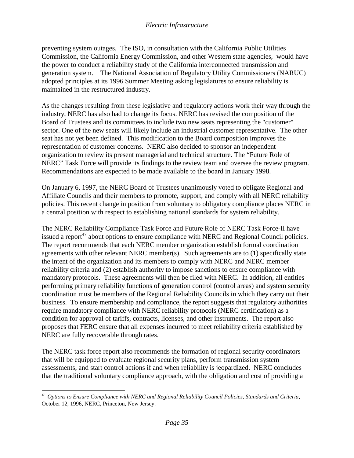preventing system outages. The ISO, in consultation with the California Public Utilities Commission, the California Energy Commission, and other Western state agencies, would have the power to conduct a reliability study of the California interconnected transmission and generation system. The National Association of Regulatory Utility Commissioners (NARUC) adopted principles at its 1996 Summer Meeting asking legislatures to ensure reliability is maintained in the restructured industry.

As the changes resulting from these legislative and regulatory actions work their way through the industry, NERC has also had to change its focus. NERC has revised the composition of the Board of Trustees and its committees to include two new seats representing the "customer" sector. One of the new seats will likely include an industrial customer representative. The other seat has not yet been defined. This modification to the Board composition improves the representation of customer concerns. NERC also decided to sponsor an independent organization to review its present managerial and technical structure. The "Future Role of NERC" Task Force will provide its findings to the review team and oversee the review program. Recommendations are expected to be made available to the board in January 1998.

On January 6, 1997, the NERC Board of Trustees unanimously voted to obligate Regional and Affiliate Councils and their members to promote, support, and comply with all NERC reliability policies. This recent change in position from voluntary to obligatory compliance places NERC in a central position with respect to establishing national standards for system reliability.

The NERC Reliability Compliance Task Force and Future Role of NERC Task Force-II have issued a report<sup>47</sup> about options to ensure compliance with NERC and Regional Council policies. The report recommends that each NERC member organization establish formal coordination agreements with other relevant NERC member(s). Such agreements are to (1) specifically state the intent of the organization and its members to comply with NERC and NERC member reliability criteria and (2) establish authority to impose sanctions to ensure compliance with mandatory protocols. These agreements will then be filed with NERC. In addition, all entities performing primary reliability functions of generation control (control areas) and system security coordination must be members of the Regional Reliability Councils in which they carry out their business. To ensure membership and compliance, the report suggests that regulatory authorities require mandatory compliance with NERC reliability protocols (NERC certification) as a condition for approval of tariffs, contracts, licenses, and other instruments. The report also proposes that FERC ensure that all expenses incurred to meet reliability criteria established by NERC are fully recoverable through rates.

The NERC task force report also recommends the formation of regional security coordinators that will be equipped to evaluate regional security plans, perform transmission system assessments, and start control actions if and when reliability is jeopardized. NERC concludes that the traditional voluntary compliance approach, with the obligation and cost of providing a

*Options to Ensure Compliance with NERC and Regional Reliability Council Policies, Standards and Criteria*, 47 October 12, 1996, NERC, Princeton, New Jersey.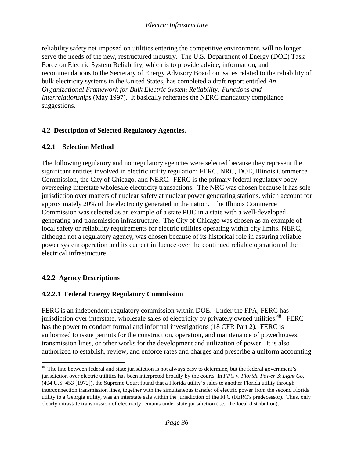reliability safety net imposed on utilities entering the competitive environment, will no longer serve the needs of the new, restructured industry. The U.S. Department of Energy (DOE) Task Force on Electric System Reliability, which is to provide advice, information, and recommendations to the Secretary of Energy Advisory Board on issues related to the reliability of bulk electricity systems in the United States, has completed a draft report entitled *An Organizational Framework for Bulk Electric System Reliability: Functions and Interrelationships* (May 1997). It basically reiterates the NERC mandatory compliance suggestions.

## **4.2 Description of Selected Regulatory Agencies.**

### **4.2.1 Selection Method**

The following regulatory and nonregulatory agencies were selected because they represent the significant entities involved in electric utility regulation: FERC, NRC, DOE, Illinois Commerce Commission, the City of Chicago, and NERC. FERC is the primary federal regulatory body overseeing interstate wholesale electricity transactions. The NRC was chosen because it has sole jurisdiction over matters of nuclear safety at nuclear power generating stations, which account for approximately 20% of the electricity generated in the nation. The Illinois Commerce Commission was selected as an example of a state PUC in a state with a well-developed generating and transmission infrastructure. The City of Chicago was chosen as an example of local safety or reliability requirements for electric utilities operating within city limits. NERC, although not a regulatory agency, was chosen because of its historical role in assuring reliable power system operation and its current influence over the continued reliable operation of the electrical infrastructure.

## **4.2.2 Agency Descriptions**

### **4.2.2.1 Federal Energy Regulatory Commission**

FERC is an independent regulatory commission within DOE. Under the FPA, FERC has jurisdiction over interstate, wholesale sales of electricity by privately owned utilities.<sup>48</sup> FERC has the power to conduct formal and informal investigations (18 CFR Part 2). FERC is authorized to issue permits for the construction, operation, and maintenance of powerhouses, transmission lines, or other works for the development and utilization of power. It is also authorized to establish, review, and enforce rates and charges and prescribe a uniform accounting

<sup>&</sup>lt;sup>48</sup> The line between federal and state jurisdiction is not always easy to determine, but the federal government's jurisdiction over electric utilities has been interpreted broadly by the courts. In *FPC v. Florida Power & Light Co,*  (404 U.S. 453 [1972]), the Supreme Court found that a Florida utility's sales to another Florida utility through interconnection transmission lines, together with the simultaneous transfer of electric power from the second Florida utility to a Georgia utility, was an interstate sale within the jurisdiction of the FPC (FERC's predecessor). Thus, only clearly intrastate transmission of electricity remains under state jurisdiction (i.e., the local distribution).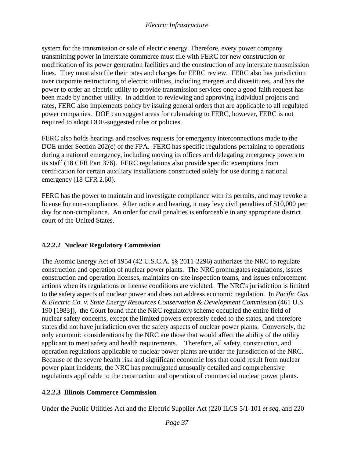system for the transmission or sale of electric energy. Therefore, every power company transmitting power in interstate commerce must file with FERC for new construction or modification of its power generation facilities and the construction of any interstate transmission lines. They must also file their rates and charges for FERC review. FERC also has jurisdiction over corporate restructuring of electric utilities, including mergers and divestitures, and has the power to order an electric utility to provide transmission services once a good faith request has been made by another utility. In addition to reviewing and approving individual projects and rates, FERC also implements policy by issuing general orders that are applicable to all regulated power companies. DOE can suggest areas for rulemaking to FERC, however, FERC is not required to adopt DOE-suggested rules or policies.

FERC also holds hearings and resolves requests for emergency interconnections made to the DOE under Section 202(c) of the FPA. FERC has specific regulations pertaining to operations during a national emergency, including moving its offices and delegating emergency powers to its staff (18 CFR Part 376). FERC regulations also provide specific exemptions from certification for certain auxiliary installations constructed solely for use during a national emergency (18 CFR 2.60).

FERC has the power to maintain and investigate compliance with its permits, and may revoke a license for non-compliance. After notice and hearing, it may levy civil penalties of \$10,000 per day for non-compliance. An order for civil penalties is enforceable in any appropriate district court of the United States.

## **4.2.2.2 Nuclear Regulatory Commission**

The Atomic Energy Act of 1954 (42 U.S.C.A. §§ 2011-2296) authorizes the NRC to regulate construction and operation of nuclear power plants. The NRC promulgates regulations, issues construction and operation licenses, maintains on-site inspection teams, and issues enforcement actions when its regulations or license conditions are violated. The NRC's jurisdiction is limited to the safety aspects of nuclear power and does not address economic regulation. In *Pacific Gas & Electric Co. v. State Energy Resources Conservation & Development Commission* (461 U.S. 190 [1983]), the Court found that the NRC regulatory scheme occupied the entire field of nuclear safety concerns, except the limited powers expressly ceded to the states, and therefore states did not have jurisdiction over the safety aspects of nuclear power plants. Conversely, the only economic considerations by the NRC are those that would affect the ability of the utility applicant to meet safety and health requirements. Therefore, all safety, construction, and operation regulations applicable to nuclear power plants are under the jurisdiction of the NRC. Because of the severe health risk and significant economic loss that could result from nuclear power plant incidents, the NRC has promulgated unusually detailed and comprehensive regulations applicable to the construction and operation of commercial nuclear power plants.

### **4.2.2.3 Illinois Commerce Commission**

Under the Public Utilities Act and the Electric Supplier Act (220 ILCS 5/1-101 *et seq.* and 220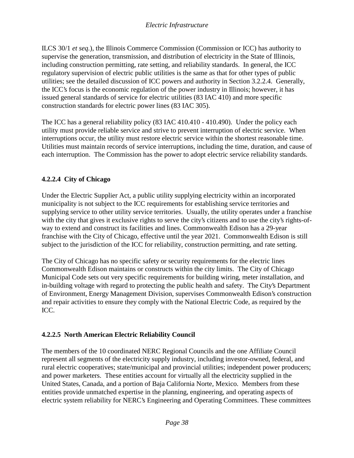ILCS 30/1 *et seq.*), the Illinois Commerce Commission (Commission or ICC) has authority to supervise the generation, transmission, and distribution of electricity in the State of Illinois, including construction permitting, rate setting, and reliability standards. In general, the ICC regulatory supervision of electric public utilities is the same as that for other types of public utilities; see the detailed discussion of ICC powers and authority in Section 3.2.2.4. Generally, the ICC's focus is the economic regulation of the power industry in Illinois; however, it has issued general standards of service for electric utilities (83 IAC 410) and more specific construction standards for electric power lines (83 IAC 305).

The ICC has a general reliability policy (83 IAC 410.410 - 410.490). Under the policy each utility must provide reliable service and strive to prevent interruption of electric service. When interruptions occur, the utility must restore electric service within the shortest reasonable time. Utilities must maintain records of service interruptions, including the time, duration, and cause of each interruption. The Commission has the power to adopt electric service reliability standards.

# **4.2.2.4 City of Chicago**

Under the Electric Supplier Act, a public utility supplying electricity within an incorporated municipality is not subject to the ICC requirements for establishing service territories and supplying service to other utility service territories. Usually, the utility operates under a franchise with the city that gives it exclusive rights to serve the city's citizens and to use the city's rights-ofway to extend and construct its facilities and lines. Commonwealth Edison has a 29-year franchise with the City of Chicago, effective until the year 2021. Commonwealth Edison is still subject to the jurisdiction of the ICC for reliability, construction permitting, and rate setting.

The City of Chicago has no specific safety or security requirements for the electric lines Commonwealth Edison maintains or constructs within the city limits. The City of Chicago Municipal Code sets out very specific requirements for building wiring, meter installation, and in-building voltage with regard to protecting the public health and safety. The City's Department of Environment, Energy Management Division, supervises Commonwealth Edison's construction and repair activities to ensure they comply with the National Electric Code, as required by the ICC.

# **4.2.2.5 North American Electric Reliability Council**

The members of the 10 coordinated NERC Regional Councils and the one Affiliate Council represent all segments of the electricity supply industry, including investor-owned, federal, and rural electric cooperatives; state/municipal and provincial utilities; independent power producers; and power marketers. These entities account for virtually all the electricity supplied in the United States, Canada, and a portion of Baja California Norte, Mexico. Members from these entities provide unmatched expertise in the planning, engineering, and operating aspects of electric system reliability for NERC's Engineering and Operating Committees. These committees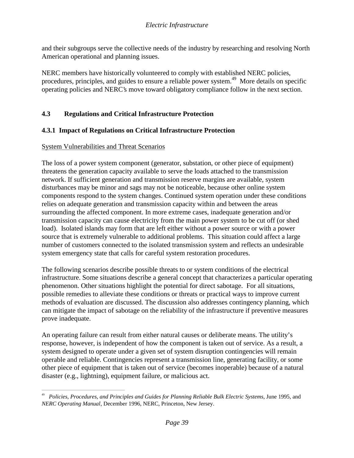and their subgroups serve the collective needs of the industry by researching and resolving North American operational and planning issues.

NERC members have historically volunteered to comply with established NERC policies, procedures, principles, and guides to ensure a reliable power system.49 More details on specific operating policies and NERC's move toward obligatory compliance follow in the next section.

## **4.3 Regulations and Critical Infrastructure Protection**

## **4.3.1 Impact of Regulations on Critical Infrastructure Protection**

### System Vulnerabilities and Threat Scenarios

The loss of a power system component (generator, substation, or other piece of equipment) threatens the generation capacity available to serve the loads attached to the transmission network. If sufficient generation and transmission reserve margins are available, system disturbances may be minor and sags may not be noticeable, because other online system components respond to the system changes. Continued system operation under these conditions relies on adequate generation and transmission capacity within and between the areas surrounding the affected component. In more extreme cases, inadequate generation and/or transmission capacity can cause electricity from the main power system to be cut off (or shed load). Isolated islands may form that are left either without a power source or with a power source that is extremely vulnerable to additional problems. This situation could affect a large number of customers connected to the isolated transmission system and reflects an undesirable system emergency state that calls for careful system restoration procedures.

The following scenarios describe possible threats to or system conditions of the electrical infrastructure. Some situations describe a general concept that characterizes a particular operating phenomenon. Other situations highlight the potential for direct sabotage. For all situations, possible remedies to alleviate these conditions or threats or practical ways to improve current methods of evaluation are discussed. The discussion also addresses contingency planning, which can mitigate the impact of sabotage on the reliability of the infrastructure if preventive measures prove inadequate.

An operating failure can result from either natural causes or deliberate means. The utility's response, however, is independent of how the component is taken out of service. As a result, a system designed to operate under a given set of system disruption contingencies will remain operable and reliable. Contingencies represent a transmission line, generating facility, or some other piece of equipment that is taken out of service (becomes inoperable) because of a natural disaster (e.g., lightning), equipment failure, or malicious act.

<sup>49</sup>*Policies, Procedures, and Principles and Guides for Planning Reliable Bulk Electric Systems*, June 1995, and *NERC Operating Manual*, December 1996, NERC, Princeton, New Jersey.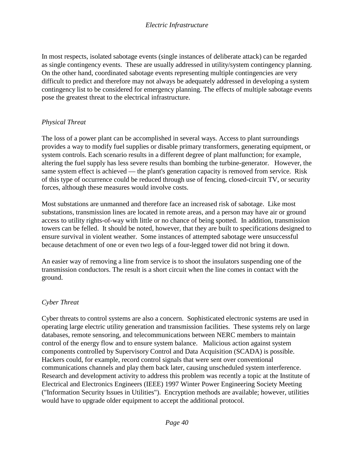In most respects, isolated sabotage events (single instances of deliberate attack) can be regarded as single contingency events. These are usually addressed in utility/system contingency planning. On the other hand, coordinated sabotage events representing multiple contingencies are very difficult to predict and therefore may not always be adequately addressed in developing a system contingency list to be considered for emergency planning. The effects of multiple sabotage events pose the greatest threat to the electrical infrastructure.

## *Physical Threat*

The loss of a power plant can be accomplished in several ways. Access to plant surroundings provides a way to modify fuel supplies or disable primary transformers, generating equipment, or system controls. Each scenario results in a different degree of plant malfunction; for example, altering the fuel supply has less severe results than bombing the turbine-generator. However, the same system effect is achieved — the plant's generation capacity is removed from service. Risk of this type of occurrence could be reduced through use of fencing, closed-circuit TV, or security forces, although these measures would involve costs.

Most substations are unmanned and therefore face an increased risk of sabotage. Like most substations, transmission lines are located in remote areas, and a person may have air or ground access to utility rights-of-way with little or no chance of being spotted. In addition, transmission towers can be felled. It should be noted, however, that they are built to specifications designed to ensure survival in violent weather. Some instances of attempted sabotage were unsuccessful because detachment of one or even two legs of a four-legged tower did not bring it down.

An easier way of removing a line from service is to shoot the insulators suspending one of the transmission conductors. The result is a short circuit when the line comes in contact with the ground.

### *Cyber Threat*

Cyber threats to control systems are also a concern. Sophisticated electronic systems are used in operating large electric utility generation and transmission facilities. These systems rely on large databases, remote sensoring, and telecommunications between NERC members to maintain control of the energy flow and to ensure system balance. Malicious action against system components controlled by Supervisory Control and Data Acquisition (SCADA) is possible. Hackers could, for example, record control signals that were sent over conventional communications channels and play them back later, causing unscheduled system interference. Research and development activity to address this problem was recently a topic at the Institute of Electrical and Electronics Engineers (IEEE) 1997 Winter Power Engineering Society Meeting ("Information Security Issues in Utilities"). Encryption methods are available; however, utilities would have to upgrade older equipment to accept the additional protocol.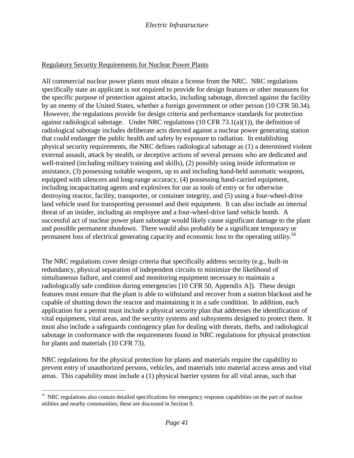### Regulatory Security Requirements for Nuclear Power Plants

All commercial nuclear power plants must obtain a license from the NRC. NRC regulations specifically state an applicant is not required to provide for design features or other measures for the specific purpose of protection against attacks, including sabotage, directed against the facility by an enemy of the United States, whether a foreign government or other person (10 CFR 50.34). However, the regulations provide for design criteria and performance standards for protection against radiological sabotage. Under NRC regulations  $(10 \text{ CFR } 73.1(a)(1))$ , the definition of radiological sabotage includes deliberate acts directed against a nuclear power generating station that could endanger the public health and safety by exposure to radiation. In establishing physical security requirements, the NRC defines radiological sabotage as (1) a determined violent external assault, attack by stealth, or deceptive actions of several persons who are dedicated and well-trained (including military training and skills), (2) possibly using inside information or assistance, (3) possessing suitable weapons, up to and including hand-held automatic weapons, equipped with silencers and long-range accuracy, (4) possessing hand-carried equipment, including incapacitating agents and explosives for use as tools of entry or for otherwise destroying reactor, facility, transporter, or container integrity, and (5) using a four-wheel-drive land vehicle used for transporting personnel and their equipment. It can also include an internal threat of an insider, including an employee and a four-wheel-drive land vehicle bomb. A successful act of nuclear power plant sabotage would likely cause significant damage to the plant and possible permanent shutdown. There would also probably be a significant temporary or permanent loss of electrical generating capacity and economic loss to the operating utility.<sup>50</sup>

The NRC regulations cover design criteria that specifically address security (e.g., built-in redundancy, physical separation of independent circuits to minimize the likelihood of simultaneous failure, and control and monitoring equipment necessary to maintain a radiologically safe condition during emergencies [10 CFR 50, Appendix A]). These design features must ensure that the plant is able to withstand and recover from a station blackout and be capable of shutting down the reactor and maintaining it in a safe condition. In addition, each application for a permit must include a physical security plan that addresses the identification of vital equipment, vital areas, and the security systems and subsystems designed to protect them. It must also include a safeguards contingency plan for dealing with threats, thefts, and radiological sabotage in conformance with the requirements found in NRC regulations for physical protection for plants and materials (10 CFR 73).

NRC regulations for the physical protection for plants and materials require the capability to prevent entry of unauthorized persons, vehicles, and materials into material access areas and vital areas. This capability must include a (1) physical barrier system for all vital areas, such that

<sup>&</sup>lt;sup>50</sup> NRC regulations also contain detailed specifications for emergency response capabilities on the part of nuclear utilities and nearby communities; these are discussed in Section 9.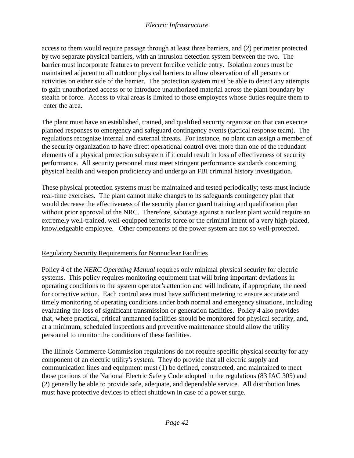access to them would require passage through at least three barriers, and (2) perimeter protected by two separate physical barriers, with an intrusion detection system between the two. The barrier must incorporate features to prevent forcible vehicle entry. Isolation zones must be maintained adjacent to all outdoor physical barriers to allow observation of all persons or activities on either side of the barrier. The protection system must be able to detect any attempts to gain unauthorized access or to introduce unauthorized material across the plant boundary by stealth or force. Access to vital areas is limited to those employees whose duties require them to enter the area.

The plant must have an established, trained, and qualified security organization that can execute planned responses to emergency and safeguard contingency events (tactical response team). The regulations recognize internal and external threats. For instance, no plant can assign a member of the security organization to have direct operational control over more than one of the redundant elements of a physical protection subsystem if it could result in loss of effectiveness of security performance. All security personnel must meet stringent performance standards concerning physical health and weapon proficiency and undergo an FBI criminal history investigation.

These physical protection systems must be maintained and tested periodically; tests must include real-time exercises. The plant cannot make changes to its safeguards contingency plan that would decrease the effectiveness of the security plan or guard training and qualification plan without prior approval of the NRC. Therefore, sabotage against a nuclear plant would require an extremely well-trained, well-equipped terrorist force or the criminal intent of a very high-placed, knowledgeable employee. Other components of the power system are not so well-protected.

### Regulatory Security Requirements for Nonnuclear Facilities

Policy 4 of the *NERC Operating Manual* requires only minimal physical security for electric systems. This policy requires monitoring equipment that will bring important deviations in operating conditions to the system operator's attention and will indicate, if appropriate, the need for corrective action. Each control area must have sufficient metering to ensure accurate and timely monitoring of operating conditions under both normal and emergency situations, including evaluating the loss of significant transmission or generation facilities. Policy 4 also provides that, where practical, critical unmanned facilities should be monitored for physical security, and, at a minimum, scheduled inspections and preventive maintenance should allow the utility personnel to monitor the conditions of these facilities.

The Illinois Commerce Commission regulations do not require specific physical security for any component of an electric utility's system. They do provide that all electric supply and communication lines and equipment must (1) be defined, constructed, and maintained to meet those portions of the National Electric Safety Code adopted in the regulations (83 IAC 305) and (2) generally be able to provide safe, adequate, and dependable service. All distribution lines must have protective devices to effect shutdown in case of a power surge.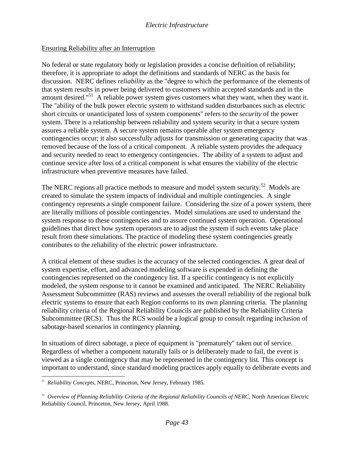### Ensuring Reliability after an Interruption

No federal or state regulatory body or legislation provides a concise definition of reliability; therefore, it is appropriate to adopt the definitions and standards of NERC as the basis for discussion. NERC defines *reliability* as the "degree to which the performance of the elements of that system results in power being delivered to customers within accepted standards and in the amount desired."<sup>51</sup> A reliable power system gives customers what they want, when they want it. The "ability of the bulk power electric system to withstand sudden disturbances such as electric short circuits or unanticipated loss of system components" refers to the *security* of the power system. There is a relationship between reliability and system security in that a secure system assures a reliable system. A secure system remains operable after system emergency contingencies occur; it also successfully adjusts for transmission or generating capacity that was removed because of the loss of a critical component. A reliable system provides the adequacy and security needed to react to emergency contingencies. The ability of a system to adjust and continue service after loss of a critical component is what ensures the viability of the electric infrastructure when preventive measures have failed.

The NERC regions all practice methods to measure and model system security.<sup>52</sup> Models are created to simulate the system impacts of individual and multiple contingencies. A single contingency represents a single component failure. Considering the size of a power system, there are literally millions of possible contingencies. Model simulations are used to understand the system response to these contingencies and to assure continued system operation. Operational guidelines that direct how system operators are to adjust the system if such events take place result from these simulations. The practice of modeling these system contingencies greatly contributes to the reliability of the electric power infrastructure.

A critical element of these studies is the accuracy of the selected contingencies. A great deal of system expertise, effort, and advanced modeling software is expended in defining the contingencies represented on the contingency list. If a specific contingency is not explicitly modeled, the system response to it cannot be examined and anticipated. The NERC Reliability Assessment Subcommittee (RAS) reviews and assesses the overall reliability of the regional bulk electric systems to ensure that each Region conforms to its own planning criteria. The planning reliability criteria of the Regional Reliability Councils are published by the Reliability Criteria Subcommittee (RCS). Thus the RCS would be a logical group to consult regarding inclusion of sabotage-based scenarios in contingency planning.

In situations of direct sabotage, a piece of equipment is "prematurely" taken out of service. Regardless of whether a component naturally fails or is deliberately made to fail, the event is viewed as a single contingency that may be represented in the contingency list. This concept is important to understand, since standard modeling practices apply equally to deliberate events and

<sup>51</sup>*Reliability Concepts*, NERC, Princeton, New Jersey, February 1985.

<sup>52</sup>*Overview of Planning Reliability Criteria of the Regional Reliability Councils of NERC*, North American Electric Reliability Council, Princeton, New Jersey, April 1988.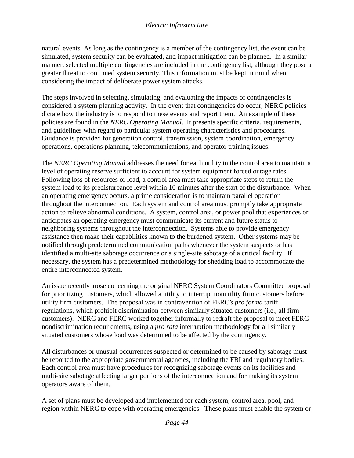natural events. As long as the contingency is a member of the contingency list, the event can be simulated, system security can be evaluated, and impact mitigation can be planned. In a similar manner, selected multiple contingencies are included in the contingency list, although they pose a greater threat to continued system security. This information must be kept in mind when considering the impact of deliberate power system attacks.

The steps involved in selecting, simulating, and evaluating the impacts of contingencies is considered a system planning activity. In the event that contingencies do occur, NERC policies dictate how the industry is to respond to these events and report them. An example of these policies are found in the *NERC Operating Manual*. It presents specific criteria, requirements, and guidelines with regard to particular system operating characteristics and procedures. Guidance is provided for generation control, transmission, system coordination, emergency operations, operations planning, telecommunications, and operator training issues.

The *NERC Operating Manual* addresses the need for each utility in the control area to maintain a level of operating reserve sufficient to account for system equipment forced outage rates. Following loss of resources or load, a control area must take appropriate steps to return the system load to its predisturbance level within 10 minutes after the start of the disturbance. When an operating emergency occurs, a prime consideration is to maintain parallel operation throughout the interconnection. Each system and control area must promptly take appropriate action to relieve abnormal conditions. A system, control area, or power pool that experiences or anticipates an operating emergency must communicate its current and future status to neighboring systems throughout the interconnection. Systems able to provide emergency assistance then make their capabilities known to the burdened system. Other systems may be notified through predetermined communication paths whenever the system suspects or has identified a multi-site sabotage occurrence or a single-site sabotage of a critical facility. If necessary, the system has a predetermined methodology for shedding load to accommodate the entire interconnected system.

An issue recently arose concerning the original NERC System Coordinators Committee proposal for prioritizing customers, which allowed a utility to interrupt nonutility firm customers before utility firm customers. The proposal was in contravention of FERC's *pro forma* tariff regulations, which prohibit discrimination between similarly situated customers (i.e., all firm customers). NERC and FERC worked together informally to redraft the proposal to meet FERC nondiscrimination requirements, using a *pro rata* interruption methodology for all similarly situated customers whose load was determined to be affected by the contingency.

All disturbances or unusual occurrences suspected or determined to be caused by sabotage must be reported to the appropriate governmental agencies, including the FBI and regulatory bodies. Each control area must have procedures for recognizing sabotage events on its facilities and multi-site sabotage affecting larger portions of the interconnection and for making its system operators aware of them.

A set of plans must be developed and implemented for each system, control area, pool, and region within NERC to cope with operating emergencies. These plans must enable the system or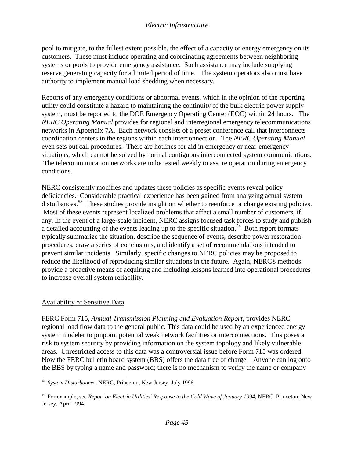pool to mitigate, to the fullest extent possible, the effect of a capacity or energy emergency on its customers. These must include operating and coordinating agreements between neighboring systems or pools to provide emergency assistance. Such assistance may include supplying reserve generating capacity for a limited period of time. The system operators also must have authority to implement manual load shedding when necessary.

Reports of any emergency conditions or abnormal events, which in the opinion of the reporting utility could constitute a hazard to maintaining the continuity of the bulk electric power supply system, must be reported to the DOE Emergency Operating Center (EOC) within 24 hours. The *NERC Operating Manual* provides for regional and interregional emergency telecommunications networks in Appendix 7A. Each network consists of a preset conference call that interconnects coordination centers in the regions within each interconnection. The *NERC Operating Manual*  even sets out call procedures. There are hotlines for aid in emergency or near-emergency situations, which cannot be solved by normal contiguous interconnected system communications. The telecommunication networks are to be tested weekly to assure operation during emergency conditions.

NERC consistently modifies and updates these policies as specific events reveal policy deficiencies. Considerable practical experience has been gained from analyzing actual system disturbances.<sup>53</sup> These studies provide insight on whether to reenforce or change existing policies. Most of these events represent localized problems that affect a small number of customers, if any. In the event of a large-scale incident, NERC assigns focused task forces to study and publish a detailed accounting of the events leading up to the specific situation.<sup>54</sup> Both report formats typically summarize the situation, describe the sequence of events, describe power restoration procedures, draw a series of conclusions, and identify a set of recommendations intended to prevent similar incidents. Similarly, specific changes to NERC policies may be proposed to reduce the likelihood of reproducing similar situations in the future. Again, NERC's methods provide a proactive means of acquiring and including lessons learned into operational procedures to increase overall system reliability.

### Availability of Sensitive Data

FERC Form 715, *Annual Transmission Planning and Evaluation Report,* provides NERC regional load flow data to the general public. This data could be used by an experienced energy system modeler to pinpoint potential weak network facilities or interconnections. This poses a risk to system security by providing information on the system topology and likely vulnerable areas. Unrestricted access to this data was a controversial issue before Form 715 was ordered. Now the FERC bulletin board system (BBS) offers the data free of charge. Anyone can log onto the BBS by typing a name and password; there is no mechanism to verify the name or company

<sup>53</sup>*System Disturbances*, NERC, Princeton, New Jersey, July 1996.

<sup>54</sup> For example, see *Report on Electric Utilities' Response to the Cold Wave of January 1994*, NERC, Princeton, New Jersey, April 1994.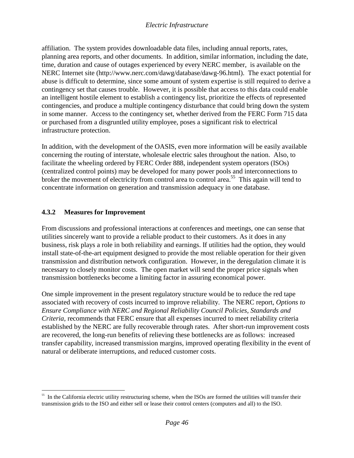affiliation. The system provides downloadable data files, including annual reports, rates, planning area reports, and other documents. In addition, similar information, including the date, time, duration and cause of outages experienced by every NERC member, is available on the NERC Internet site (http://www.nerc.com/dawg/database/dawg-96.html). The exact potential for abuse is difficult to determine, since some amount of system expertise is still required to derive a contingency set that causes trouble. However, it is possible that access to this data could enable an intelligent hostile element to establish a contingency list, prioritize the effects of represented contingencies, and produce a multiple contingency disturbance that could bring down the system in some manner. Access to the contingency set, whether derived from the FERC Form 715 data or purchased from a disgruntled utility employee, poses a significant risk to electrical infrastructure protection.

In addition, with the development of the OASIS, even more information will be easily available concerning the routing of interstate, wholesale electric sales throughout the nation. Also, to facilitate the wheeling ordered by FERC Order 888, independent system operators (ISOs) (centralized control points) may be developed for many power pools and interconnections to broker the movement of electricity from control area to control area.<sup>55</sup> This again will tend to concentrate information on generation and transmission adequacy in one database.

### **4.3.2 Measures for Improvement**

From discussions and professional interactions at conferences and meetings, one can sense that utilities sincerely want to provide a reliable product to their customers. As it does in any business, risk plays a role in both reliability and earnings. If utilities had the option, they would install state-of-the-art equipment designed to provide the most reliable operation for their given transmission and distribution network configuration. However, in the deregulation climate it is necessary to closely monitor costs. The open market will send the proper price signals when transmission bottlenecks become a limiting factor in assuring economical power.

One simple improvement in the present regulatory structure would be to reduce the red tape associated with recovery of costs incurred to improve reliability. The NERC report, *Options to Ensure Compliance with NERC and Regional Reliability Council Policies, Standards and Criteria,* recommends that FERC ensure that all expenses incurred to meet reliability criteria established by the NERC are fully recoverable through rates. After short-run improvement costs are recovered, the long-run benefits of relieving these bottlenecks are as follows: increased transfer capability, increased transmission margins, improved operating flexibility in the event of natural or deliberate interruptions, and reduced customer costs.

<sup>55</sup> In the California electric utility restructuring scheme, when the ISOs are formed the utilities will transfer their transmission grids to the ISO and either sell or lease their control centers (computers and all) to the ISO.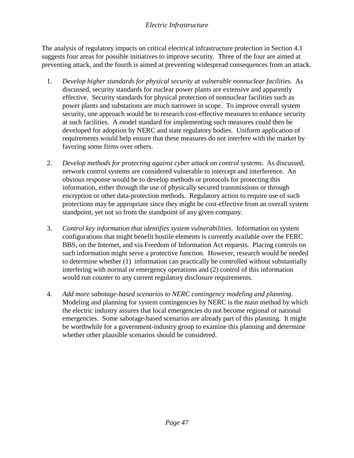The analysis of regulatory impacts on critical electrical infrastructure protection in Section 4.1 suggests four areas for possible initiatives to improve security. Three of the four are aimed at preventing attack, and the fourth is aimed at preventing widespread consequences from an attack.

- 1. *Develop higher standards for physical security at vulnerable nonnuclear facilities*. As discussed, security standards for nuclear power plants are extensive and apparently effective. Security standards for physical protection of nonnuclear facilities such as power plants and substations are much narrower in scope. To improve overall system security, one approach would be to research cost-effective measures to enhance security at such facilities. A model standard for implementing such measures could then be developed for adoption by NERC and state regulatory bodies. Uniform application of requirements would help ensure that these measures do not interfere with the market by favoring some firms over others.
- 2. *Develop methods for protecting against cyber attack on control systems.* As discussed, network control systems are considered vulnerable to intercept and interference. An obvious response would be to develop methods or protocols for protecting this information, either through the use of physically secured transmissions or through encryption or other data-protection methods. Regulatory action to require use of such protections may be appropriate since they might be cost-effective from an overall system standpoint, yet not so from the standpoint of any given company.
- 3. *Control key information that identifies system vulnerabilities*. Information on system configurations that might benefit hostile elements is currently available over the FERC BBS, on the Internet, and via Freedom of Information Act requests. Placing controls on such information might serve a protective function. However, research would be needed to determine whether (1) information can practically be controlled without substantially interfering with normal or emergency operations and (2) control of this information would run counter to any current regulatory disclosure requirements.
- 4. *Add more sabotage-based scenarios to NERC contingency modeling and planning.*  Modeling and planning for system contingencies by NERC is the main method by which the electric industry assures that local emergencies do not become regional or national emergencies. Some sabotage-based scenarios are already part of this planning. It might be worthwhile for a government-industry group to examine this planning and determine whether other plausible scenarios should be considered.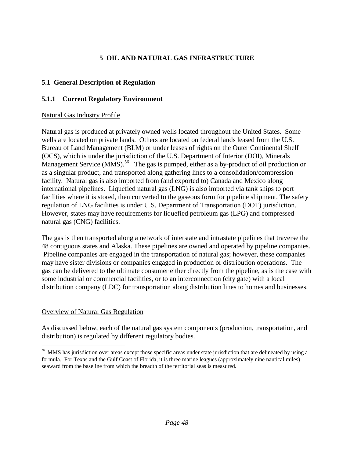## **5 OIL AND NATURAL GAS INFRASTRUCTURE**

### **5.1 General Description of Regulation**

### **5.1.1 Current Regulatory Environment**

#### Natural Gas Industry Profile

Natural gas is produced at privately owned wells located throughout the United States. Some wells are located on private lands. Others are located on federal lands leased from the U.S. Bureau of Land Management (BLM) or under leases of rights on the Outer Continental Shelf (OCS), which is under the jurisdiction of the U.S. Department of Interior (DOI), Minerals Management Service (MMS).<sup>56</sup> The gas is pumped, either as a by-product of oil production or as a singular product, and transported along gathering lines to a consolidation/compression facility. Natural gas is also imported from (and exported to) Canada and Mexico along international pipelines. Liquefied natural gas (LNG) is also imported via tank ships to port facilities where it is stored, then converted to the gaseous form for pipeline shipment. The safety regulation of LNG facilities is under U.S. Department of Transportation (DOT) jurisdiction. However, states may have requirements for liquefied petroleum gas (LPG) and compressed natural gas (CNG) facilities.

The gas is then transported along a network of interstate and intrastate pipelines that traverse the 48 contiguous states and Alaska. These pipelines are owned and operated by pipeline companies. Pipeline companies are engaged in the transportation of natural gas; however, these companies may have sister divisions or companies engaged in production or distribution operations. The gas can be delivered to the ultimate consumer either directly from the pipeline, as is the case with some industrial or commercial facilities, or to an interconnection (city gate) with a local distribution company (LDC) for transportation along distribution lines to homes and businesses.

### Overview of Natural Gas Regulation

As discussed below, each of the natural gas system components (production, transportation, and distribution) is regulated by different regulatory bodies.

<sup>&</sup>lt;sup>56</sup> MMS has jurisdiction over areas except those specific areas under state jurisdiction that are delineated by using a formula. For Texas and the Gulf Coast of Florida, it is three marine leagues (approximately nine nautical miles) seaward from the baseline from which the breadth of the territorial seas is measured.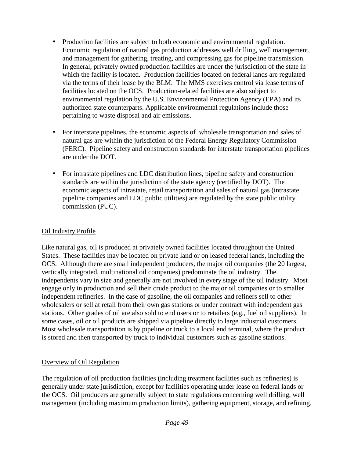- Production facilities are subject to both economic and environmental regulation. Economic regulation of natural gas production addresses well drilling, well management, and management for gathering, treating, and compressing gas for pipeline transmission. In general, privately owned production facilities are under the jurisdiction of the state in which the facility is located. Production facilities located on federal lands are regulated via the terms of their lease by the BLM. The MMS exercises control via lease terms of facilities located on the OCS. Production-related facilities are also subject to environmental regulation by the U.S. Environmental Protection Agency (EPA) and its authorized state counterparts. Applicable environmental regulations include those pertaining to waste disposal and air emissions.
- For interstate pipelines, the economic aspects of wholesale transportation and sales of natural gas are within the jurisdiction of the Federal Energy Regulatory Commission (FERC). Pipeline safety and construction standards for interstate transportation pipelines are under the DOT.
- For intrastate pipelines and LDC distribution lines, pipeline safety and construction standards are within the jurisdiction of the state agency (certified by DOT). The economic aspects of intrastate, retail transportation and sales of natural gas (intrastate pipeline companies and LDC public utilities) are regulated by the state public utility commission (PUC).

## Oil Industry Profile

Like natural gas, oil is produced at privately owned facilities located throughout the United States. These facilities may be located on private land or on leased federal lands, including the OCS. Although there are small independent producers, the major oil companies (the 20 largest, vertically integrated, multinational oil companies) predominate the oil industry. The independents vary in size and generally are not involved in every stage of the oil industry. Most engage only in production and sell their crude product to the major oil companies or to smaller independent refineries. In the case of gasoline, the oil companies and refiners sell to other wholesalers or sell at retail from their own gas stations or under contract with independent gas stations. Other grades of oil are also sold to end users or to retailers (e.g., fuel oil suppliers). In some cases, oil or oil products are shipped via pipeline directly to large industrial customers. Most wholesale transportation is by pipeline or truck to a local end terminal, where the product is stored and then transported by truck to individual customers such as gasoline stations.

### Overview of Oil Regulation

The regulation of oil production facilities (including treatment facilities such as refineries) is generally under state jurisdiction, except for facilities operating under lease on federal lands or the OCS. Oil producers are generally subject to state regulations concerning well drilling, well management (including maximum production limits), gathering equipment, storage, and refining.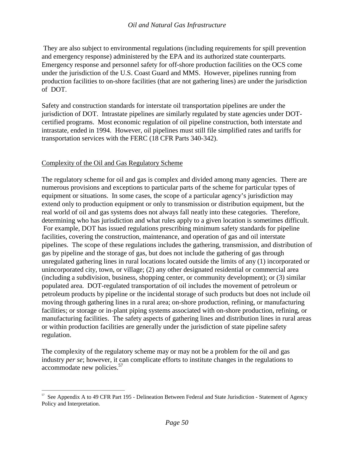They are also subject to environmental regulations (including requirements for spill prevention and emergency response) administered by the EPA and its authorized state counterparts. Emergency response and personnel safety for off-shore production facilities on the OCS come under the jurisdiction of the U.S. Coast Guard and MMS. However, pipelines running from production facilities to on-shore facilities (that are not gathering lines) are under the jurisdiction of DOT.

Safety and construction standards for interstate oil transportation pipelines are under the jurisdiction of DOT. Intrastate pipelines are similarly regulated by state agencies under DOTcertified programs. Most economic regulation of oil pipeline construction, both interstate and intrastate, ended in 1994. However, oil pipelines must still file simplified rates and tariffs for transportation services with the FERC (18 CFR Parts 340-342).

### Complexity of the Oil and Gas Regulatory Scheme

The regulatory scheme for oil and gas is complex and divided among many agencies. There are numerous provisions and exceptions to particular parts of the scheme for particular types of equipment or situations. In some cases, the scope of a particular agency's jurisdiction may extend only to production equipment or only to transmission or distribution equipment, but the real world of oil and gas systems does not always fall neatly into these categories. Therefore, determining who has jurisdiction and what rules apply to a given location is sometimes difficult. For example, DOT has issued regulations prescribing minimum safety standards for pipeline facilities, covering the construction, maintenance, and operation of gas and oil interstate pipelines. The scope of these regulations includes the gathering, transmission, and distribution of gas by pipeline and the storage of gas, but does not include the gathering of gas through unregulated gathering lines in rural locations located outside the limits of any (1) incorporated or unincorporated city, town, or village; (2) any other designated residential or commercial area (including a subdivision, business, shopping center, or community development); or (3) similar populated area. DOT-regulated transportation of oil includes the movement of petroleum or petroleum products by pipeline or the incidental storage of such products but does not include oil moving through gathering lines in a rural area; on-shore production, refining, or manufacturing facilities; or storage or in-plant piping systems associated with on-shore production, refining, or manufacturing facilities. The safety aspects of gathering lines and distribution lines in rural areas or within production facilities are generally under the jurisdiction of state pipeline safety regulation.

The complexity of the regulatory scheme may or may not be a problem for the oil and gas industry *per se*; however, it can complicate efforts to institute changes in the regulations to accommodate new policies.57

 $57$  See Appendix A to 49 CFR Part 195 - Delineation Between Federal and State Jurisdiction - Statement of Agency Policy and Interpretation.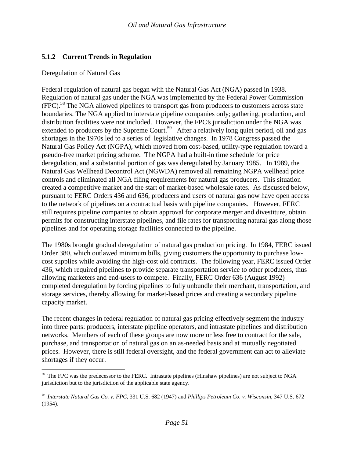## **5.1.2 Current Trends in Regulation**

#### Deregulation of Natural Gas

Federal regulation of natural gas began with the Natural Gas Act (NGA) passed in 1938. Regulation of natural gas under the NGA was implemented by the Federal Power Commission (FPC).58 The NGA allowed pipelines to transport gas from producers to customers across state boundaries. The NGA applied to interstate pipeline companies only; gathering, production, and distribution facilities were not included. However, the FPC's jurisdiction under the NGA was extended to producers by the Supreme Court.<sup>59</sup> After a relatively long quiet period, oil and gas shortages in the 1970s led to a series of legislative changes. In 1978 Congress passed the Natural Gas Policy Act (NGPA), which moved from cost-based, utility-type regulation toward a pseudo-free market pricing scheme. The NGPA had a built-in time schedule for price deregulation, and a substantial portion of gas was deregulated by January 1985. In 1989, the Natural Gas Wellhead Decontrol Act (NGWDA) removed all remaining NGPA wellhead price controls and eliminated all NGA filing requirements for natural gas producers. This situation created a competitive market and the start of market-based wholesale rates. As discussed below, pursuant to FERC Orders 436 and 636, producers and users of natural gas now have open access to the network of pipelines on a contractual basis with pipeline companies. However, FERC still requires pipeline companies to obtain approval for corporate merger and divestiture, obtain permits for constructing interstate pipelines, and file rates for transporting natural gas along those pipelines and for operating storage facilities connected to the pipeline.

The 1980s brought gradual deregulation of natural gas production pricing. In 1984, FERC issued Order 380, which outlawed minimum bills, giving customers the opportunity to purchase lowcost supplies while avoiding the high-cost old contracts. The following year, FERC issued Order 436, which required pipelines to provide separate transportation service to other producers, thus allowing marketers and end-users to compete. Finally, FERC Order 636 (August 1992) completed deregulation by forcing pipelines to fully unbundle their merchant, transportation, and storage services, thereby allowing for market-based prices and creating a secondary pipeline capacity market.

The recent changes in federal regulation of natural gas pricing effectively segment the industry into three parts: producers, interstate pipeline operators, and intrastate pipelines and distribution networks. Members of each of these groups are now more or less free to contract for the sale, purchase, and transportation of natural gas on an as-needed basis and at mutually negotiated prices. However, there is still federal oversight, and the federal government can act to alleviate shortages if they occur.

<sup>&</sup>lt;sup>58</sup> The FPC was the predecessor to the FERC. Intrastate pipelines (Hinshaw pipelines) are not subject to NGA jurisdiction but to the jurisdiction of the applicable state agency.

<sup>59</sup>*Interstate Natural Gas Co. v. FPC,* 331 U.S. 682 (1947) and *Phillips Petroleum Co. v. Wisconsin*, 347 U.S. 672 (1954).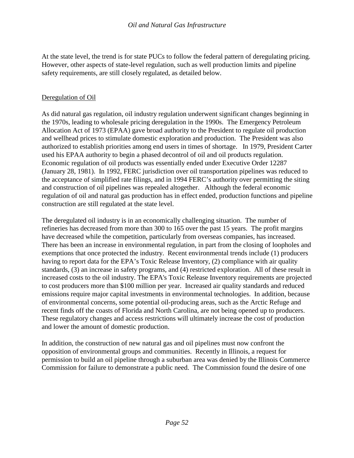At the state level, the trend is for state PUCs to follow the federal pattern of deregulating pricing. However, other aspects of state-level regulation, such as well production limits and pipeline safety requirements, are still closely regulated, as detailed below.

### Deregulation of Oil

As did natural gas regulation, oil industry regulation underwent significant changes beginning in the 1970s, leading to wholesale pricing deregulation in the 1990s. The Emergency Petroleum Allocation Act of 1973 (EPAA) gave broad authority to the President to regulate oil production and wellhead prices to stimulate domestic exploration and production. The President was also authorized to establish priorities among end users in times of shortage. In 1979, President Carter used his EPAA authority to begin a phased decontrol of oil and oil products regulation. Economic regulation of oil products was essentially ended under Executive Order 12287 (January 28, 1981). In 1992, FERC jurisdiction over oil transportation pipelines was reduced to the acceptance of simplified rate filings, and in 1994 FERC's authority over permitting the siting and construction of oil pipelines was repealed altogether. Although the federal economic regulation of oil and natural gas production has in effect ended, production functions and pipeline construction are still regulated at the state level.

The deregulated oil industry is in an economically challenging situation. The number of refineries has decreased from more than 300 to 165 over the past 15 years. The profit margins have decreased while the competition, particularly from overseas companies, has increased. There has been an increase in environmental regulation, in part from the closing of loopholes and exemptions that once protected the industry. Recent environmental trends include (1) producers having to report data for the EPA's Toxic Release Inventory, (2) compliance with air quality standards, (3) an increase in safety programs, and (4) restricted exploration. All of these result in increased costs to the oil industry. The EPA's Toxic Release Inventory requirements are projected to cost producers more than \$100 million per year. Increased air quality standards and reduced emissions require major capital investments in environmental technologies. In addition, because of environmental concerns, some potential oil-producing areas, such as the Arctic Refuge and recent finds off the coasts of Florida and North Carolina, are not being opened up to producers. These regulatory changes and access restrictions will ultimately increase the cost of production and lower the amount of domestic production.

In addition, the construction of new natural gas and oil pipelines must now confront the opposition of environmental groups and communities. Recently in Illinois, a request for permission to build an oil pipeline through a suburban area was denied by the Illinois Commerce Commission for failure to demonstrate a public need. The Commission found the desire of one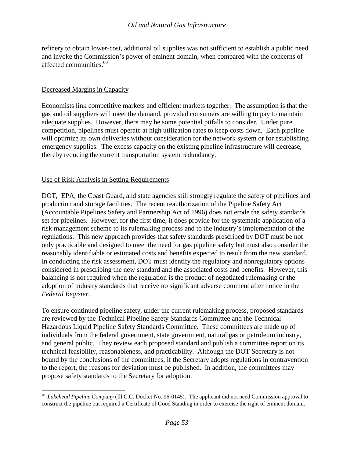refinery to obtain lower-cost, additional oil supplies was not sufficient to establish a public need and invoke the Commission's power of eminent domain, when compared with the concerns of affected communities.<sup>60</sup>

#### Decreased Margins in Capacity

Economists link competitive markets and efficient markets together. The assumption is that the gas and oil suppliers will meet the demand, provided consumers are willing to pay to maintain adequate supplies. However, there may be some potential pitfalls to consider. Under pure competition, pipelines must operate at high utilization rates to keep costs down. Each pipeline will optimize its own deliveries without consideration for the network system or for establishing emergency supplies. The excess capacity on the existing pipeline infrastructure will decrease, thereby reducing the current transportation system redundancy.

#### Use of Risk Analysis in Setting Requirements

DOT, EPA, the Coast Guard, and state agencies still strongly regulate the safety of pipelines and production and storage facilities. The recent reauthorization of the Pipeline Safety Act (Accountable Pipelines Safety and Partnership Act of 1996) does not erode the safety standards set for pipelines. However, for the first time, it does provide for the systematic application of a risk management scheme to its rulemaking process and to the industry's implementation of the regulations. This new approach provides that safety standards prescribed by DOT must be not only practicable and designed to meet the need for gas pipeline safety but must also consider the reasonably identifiable or estimated costs and benefits expected to result from the new standard. In conducting the risk assessment, DOT must identify the regulatory and nonregulatory options considered in prescribing the new standard and the associated costs and benefits. However, this balancing is not required when the regulation is the product of negotiated rulemaking or the adoption of industry standards that receive no significant adverse comment after notice in the *Federal Register*.

To ensure continued pipeline safety, under the current rulemaking process, proposed standards are reviewed by the Technical Pipeline Safety Standards Committee and the Technical Hazardous Liquid Pipeline Safety Standards Committee. These committees are made up of individuals from the federal government, state government, natural gas or petroleum industry, and general public. They review each proposed standard and publish a committee report on its technical feasibility, reasonableness, and practicability. Although the DOT Secretary is not bound by the conclusions of the committees, if the Secretary adopts regulations in contravention to the report, the reasons for deviation must be published. In addition, the committees may propose safety standards to the Secretary for adoption.

<sup>&</sup>lt;sup>60</sup> Lakehead Pipeline Company (Ill.C.C. Docket No. 96-0145). The applicant did not need Commission approval to construct the pipeline but required a Certificate of Good Standing in order to exercise the right of eminent domain.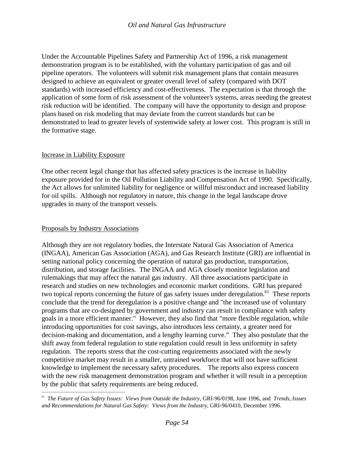Under the Accountable Pipelines Safety and Partnership Act of 1996, a risk management demonstration program is to be established, with the voluntary participation of gas and oil pipeline operators. The volunteers will submit risk management plans that contain measures designed to achieve an equivalent or greater overall level of safety (compared with DOT standards) with increased efficiency and cost-effectiveness. The expectation is that through the application of some form of risk assessment of the volunteer's systems, areas needing the greatest risk reduction will be identified. The company will have the opportunity to design and propose plans based on risk modeling that may deviate from the current standards but can be demonstrated to lead to greater levels of systemwide safety at lower cost. This program is still in the formative stage.

### Increase in Liability Exposure

One other recent legal change that has affected safety practices is the increase in liability exposure provided for in the Oil Pollution Liability and Compensation Act of 1990. Specifically, the Act allows for unlimited liability for negligence or willful misconduct and increased liability for oil spills. Although not regulatory in nature, this change in the legal landscape drove upgrades in many of the transport vessels.

#### Proposals by Industry Associations

Although they are not regulatory bodies, the Interstate Natural Gas Association of America (INGAA), American Gas Association (AGA), and Gas Research Institute (GRI) are influential in setting national policy concerning the operation of natural gas production, transportation, distribution, and storage facilities. The INGAA and AGA closely monitor legislation and rulemakings that may affect the natural gas industry. All three associations participate in research and studies on new technologies and economic market conditions. GRI has prepared two topical reports concerning the future of gas safety issues under deregulation.<sup>61</sup> These reports conclude that the trend for deregulation is a positive change and "the increased use of voluntary programs that are co-designed by government and industry can result in compliance with safety goals in a more efficient manner." However, they also find that "more flexible regulation, while introducing opportunities for cost savings, also introduces less certainty, a greater need for decision-making and documentation, and a lengthy learning curve." They also postulate that the shift away from federal regulation to state regulation could result in less uniformity in safety regulation. The reports stress that the cost-cutting requirements associated with the newly competitive market may result in a smaller, untrained workforce that will not have sufficient knowledge to implement the necessary safety procedures. The reports also express concern with the new risk management demonstration program and whether it will result in a perception by the public that safety requirements are being reduced.

*The Future of Gas Safety Issues: Views from Outside the Industry*, GRI-96/0198, June 1996, and *Trends, Issues*  61 *and Recommendations for Natural Gas Safety: Views from the Industry*, GRI-96/0410, December 1996.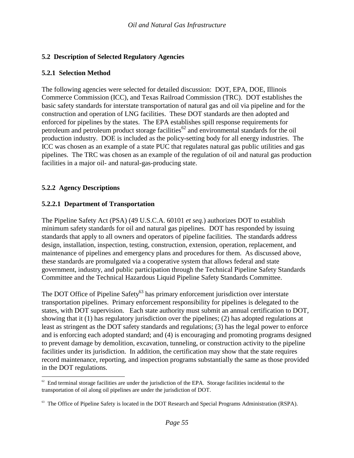## **5.2 Description of Selected Regulatory Agencies**

### **5.2.1 Selection Method**

The following agencies were selected for detailed discussion: DOT, EPA, DOE, Illinois Commerce Commission (ICC), and Texas Railroad Commission (TRC). DOT establishes the basic safety standards for interstate transportation of natural gas and oil via pipeline and for the construction and operation of LNG facilities. These DOT standards are then adopted and enforced for pipelines by the states. The EPA establishes spill response requirements for petroleum and petroleum product storage facilities<sup>62</sup> and environmental standards for the oil production industry. DOE is included as the policy-setting body for all energy industries. The ICC was chosen as an example of a state PUC that regulates natural gas public utilities and gas pipelines. The TRC was chosen as an example of the regulation of oil and natural gas production facilities in a major oil- and natural-gas-producing state.

## **5.2.2 Agency Descriptions**

### **5.2.2.1 Department of Transportation**

The Pipeline Safety Act (PSA) (49 U.S.C.A. 60101 *et seq.*) authorizes DOT to establish minimum safety standards for oil and natural gas pipelines. DOT has responded by issuing standards that apply to all owners and operators of pipeline facilities. The standards address design, installation, inspection, testing, construction, extension, operation, replacement, and maintenance of pipelines and emergency plans and procedures for them. As discussed above, these standards are promulgated via a cooperative system that allows federal and state government, industry, and public participation through the Technical Pipeline Safety Standards Committee and the Technical Hazardous Liquid Pipeline Safety Standards Committee.

The DOT Office of Pipeline Safety<sup>63</sup> has primary enforcement jurisdiction over interstate transportation pipelines. Primary enforcement responsibility for pipelines is delegated to the states, with DOT supervision. Each state authority must submit an annual certification to DOT, showing that it (1) has regulatory jurisdiction over the pipelines; (2) has adopted regulations at least as stringent as the DOT safety standards and regulations; (3) has the legal power to enforce and is enforcing each adopted standard; and (4) is encouraging and promoting programs designed to prevent damage by demolition, excavation, tunneling, or construction activity to the pipeline facilities under its jurisdiction. In addition, the certification may show that the state requires record maintenance, reporting, and inspection programs substantially the same as those provided in the DOT regulations.

 $62$  End terminal storage facilities are under the jurisdiction of the EPA. Storage facilities incidental to the transportation of oil along oil pipelines are under the jurisdiction of DOT.

<sup>&</sup>lt;sup>63</sup> The Office of Pipeline Safety is located in the DOT Research and Special Programs Administration (RSPA).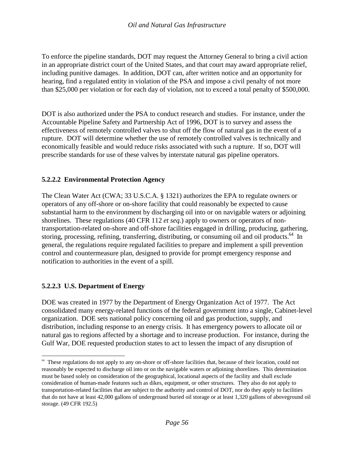To enforce the pipeline standards, DOT may request the Attorney General to bring a civil action in an appropriate district court of the United States, and that court may award appropriate relief, including punitive damages. In addition, DOT can, after written notice and an opportunity for hearing, find a regulated entity in violation of the PSA and impose a civil penalty of not more than \$25,000 per violation or for each day of violation, not to exceed a total penalty of \$500,000.

DOT is also authorized under the PSA to conduct research and studies. For instance, under the Accountable Pipeline Safety and Partnership Act of 1996, DOT is to survey and assess the effectiveness of remotely controlled valves to shut off the flow of natural gas in the event of a rupture. DOT will determine whether the use of remotely controlled valves is technically and economically feasible and would reduce risks associated with such a rupture. If so, DOT will prescribe standards for use of these valves by interstate natural gas pipeline operators.

### **5.2.2.2 Environmental Protection Agency**

The Clean Water Act (CWA; 33 U.S.C.A. § 1321) authorizes the EPA to regulate owners or operators of any off-shore or on-shore facility that could reasonably be expected to cause substantial harm to the environment by discharging oil into or on navigable waters or adjoining shorelines. These regulations (40 CFR 112 *et seq.*) apply to owners or operators of nontransportation-related on-shore and off-shore facilities engaged in drilling, producing, gathering, storing, processing, refining, transferring, distributing, or consuming oil and oil products.<sup>64</sup> In general, the regulations require regulated facilities to prepare and implement a spill prevention control and countermeasure plan, designed to provide for prompt emergency response and notification to authorities in the event of a spill.

### **5.2.2.3 U.S. Department of Energy**

DOE was created in 1977 by the Department of Energy Organization Act of 1977. The Act consolidated many energy-related functions of the federal government into a single, Cabinet-level organization. DOE sets national policy concerning oil and gas production, supply, and distribution, including response to an energy crisis. It has emergency powers to allocate oil or natural gas to regions affected by a shortage and to increase production. For instance, during the Gulf War, DOE requested production states to act to lessen the impact of any disruption of

<sup>&</sup>lt;sup>64</sup> These regulations do not apply to any on-shore or off-shore facilities that, because of their location, could not reasonably be expected to discharge oil into or on the navigable waters or adjoining shorelines. This determination must be based solely on consideration of the geographical, locational aspects of the facility and shall exclude consideration of human-made features such as dikes, equipment, or other structures. They also do not apply to transportation-related facilities that are subject to the authority and control of DOT, nor do they apply to facilities that do not have at least 42,000 gallons of underground buried oil storage or at least 1,320 gallons of aboveground oil storage. (49 CFR 192.5)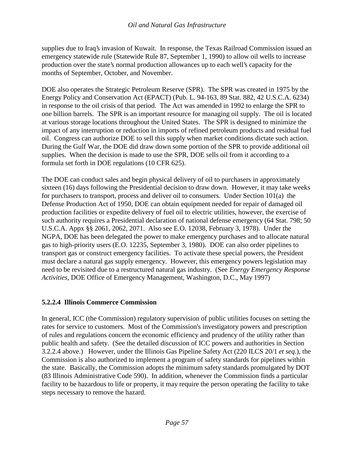supplies due to Iraq's invasion of Kuwait. In response, the Texas Railroad Commission issued an emergency statewide rule (Statewide Rule 87, September 1, 1990) to allow oil wells to increase production over the state's normal production allowances up to each well's capacity for the months of September, October, and November.

DOE also operates the Strategic Petroleum Reserve (SPR). The SPR was created in 1975 by the Energy Policy and Conservation Act (EPACT) (Pub. L. 94-163, 89 Stat. 882, 42 U.S.C.A. 6234) in response to the oil crisis of that period. The Act was amended in 1992 to enlarge the SPR to one billion barrels. The SPR is an important resource for managing oil supply. The oil is located at various storage locations throughout the United States. The SPR is designed to minimize the impact of any interruption or reduction in imports of refined petroleum products and residual fuel oil. Congress can authorize DOE to sell this supply when market conditions dictate such action. During the Gulf War, the DOE did draw down some portion of the SPR to provide additional oil supplies. When the decision is made to use the SPR, DOE sells oil from it according to a formula set forth in DOE regulations (10 CFR 625).

The DOE can conduct sales and begin physical delivery of oil to purchasers in approximately sixteen (16) days following the Presidential decision to draw down. However, it may take weeks for purchasers to transport, process and deliver oil to consumers. Under Section 101(a) the Defense Production Act of 1950, DOE can obtain equipment needed for repair of damaged oil production facilities or expedite delivery of fuel oil to electric utilities, however, the exercise of such authority requires a Presidential declaration of national defense emergency (64 Stat. 798; 50 U.S.C.A. Appx §§ 2061, 2062, 2071. Also see E.O. 12038, February 3, 1978). Under the NGPA, DOE has been delegated the power to make emergency purchases and to allocate natural gas to high-priority users (E.O. 12235, September 3, 1980). DOE can also order pipelines to transport gas or construct emergency facilities. To activate these special powers, the President must declare a natural gas supply emergency. However, this emergency powers legislation may need to be revisited due to a restructured natural gas industry. (See *Energy Emergency Response Activities*, DOE Office of Emergency Management, Washington, D.C., May 1997)

### **5.2.2.4 Illinois Commerce Commission**

In general, ICC (the Commission) regulatory supervision of public utilities focuses on setting the rates for service to customers. Most of the Commission's investigatory powers and prescription of rules and regulations concern the economic efficiency and prudency of the utility rather than public health and safety. (See the detailed discussion of ICC powers and authorities in Section 3.2.2.4 above.) However, under the Illinois Gas Pipeline Safety Act (220 ILCS 20/1 *et seq.*), the Commission is also authorized to implement a program of safety standards for pipelines within the state. Basically, the Commission adopts the minimum safety standards promulgated by DOT (83 Illinois Administrative Code 590). In addition, whenever the Commission finds a particular facility to be hazardous to life or property, it may require the person operating the facility to take steps necessary to remove the hazard.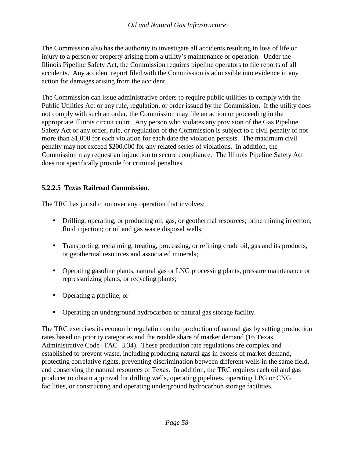### *Oil and Natural Gas Infrastructure*

The Commission also has the authority to investigate all accidents resulting in loss of life or injury to a person or property arising from a utility's maintenance or operation. Under the Illinois Pipeline Safety Act, the Commission requires pipeline operators to file reports of all accidents. Any accident report filed with the Commission is admissible into evidence in any action for damages arising from the accident.

The Commission can issue administrative orders to require public utilities to comply with the Public Utilities Act or any rule, regulation, or order issued by the Commission. If the utility does not comply with such an order, the Commission may file an action or proceeding in the appropriate Illinois circuit court. Any person who violates any provision of the Gas Pipeline Safety Act or any order, rule, or regulation of the Commission is subject to a civil penalty of not more than \$1,000 for each violation for each date the violation persists. The maximum civil penalty may not exceed \$200,000 for any related series of violations. In addition, the Commission may request an injunction to secure compliance. The Illinois Pipeline Safety Act does not specifically provide for criminal penalties.

### **5.2.2.5 Texas Railroad Commission.**

The TRC has jurisdiction over any operation that involves:

- Drilling, operating, or producing oil, gas, or geothermal resources; brine mining injection; fluid injection; or oil and gas waste disposal wells;
- Transporting, reclaiming, treating, processing, or refining crude oil, gas and its products, or geothermal resources and associated minerals;
- Operating gasoline plants, natural gas or LNG processing plants, pressure maintenance or repressurizing plants, or recycling plants;
- Operating a pipeline; or
- Operating an underground hydrocarbon or natural gas storage facility.

The TRC exercises its economic regulation on the production of natural gas by setting production rates based on priority categories and the ratable share of market demand (16 Texas Administrative Code [TAC] 3.34). These production rate regulations are complex and established to prevent waste, including producing natural gas in excess of market demand, protecting correlative rights, preventing discrimination between different wells in the same field, and conserving the natural resources of Texas. In addition, the TRC requires each oil and gas producer to obtain approval for drilling wells, operating pipelines, operating LPG or CNG facilities, or constructing and operating underground hydrocarbon storage facilities.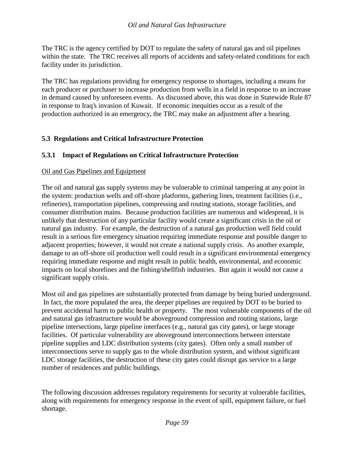The TRC is the agency certified by DOT to regulate the safety of natural gas and oil pipelines within the state. The TRC receives all reports of accidents and safety-related conditions for each facility under its jurisdiction.

The TRC has regulations providing for emergency response to shortages, including a means for each producer or purchaser to increase production from wells in a field in response to an increase in demand caused by unforeseen events. As discussed above, this was done in Statewide Rule 87 in response to Iraq's invasion of Kuwait. If economic inequities occur as a result of the production authorized in an emergency, the TRC may make an adjustment after a hearing.

# **5.3 Regulations and Critical Infrastructure Protection**

## **5.3.1 Impact of Regulations on Critical Infrastructure Protection**

### Oil and Gas Pipelines and Equipment

The oil and natural gas supply systems may be vulnerable to criminal tampering at any point in the system: production wells and off-shore platforms, gathering lines, treatment facilities (i.e., refineries), transportation pipelines, compressing and routing stations, storage facilities, and consumer distribution mains. Because production facilities are numerous and widespread, it is unlikely that destruction of any particular facility would create a significant crisis in the oil or natural gas industry. For example, the destruction of a natural gas production well field could result in a serious fire emergency situation requiring immediate response and possible danger to adjacent properties; however, it would not create a national supply crisis. As another example, damage to an off-shore oil production well could result in a significant environmental emergency requiring immediate response and might result in public health, environmental, and economic impacts on local shorelines and the fishing/shellfish industries. But again it would not cause a significant supply crisis.

Most oil and gas pipelines are substantially protected from damage by being buried underground. In fact, the more populated the area, the deeper pipelines are required by DOT to be buried to prevent accidental harm to public health or property. The most vulnerable components of the oil and natural gas infrastructure would be aboveground compression and routing stations, large pipeline intersections, large pipeline interfaces (e.g., natural gas city gates), or large storage facilities. Of particular vulnerability are aboveground interconnections between interstate pipeline supplies and LDC distribution systems (city gates). Often only a small number of interconnections serve to supply gas to the whole distribution system, and without significant LDC storage facilities, the destruction of these city gates could disrupt gas service to a large number of residences and public buildings.

The following discussion addresses regulatory requirements for security at vulnerable facilities, along with requirements for emergency response in the event of spill, equipment failure, or fuel shortage.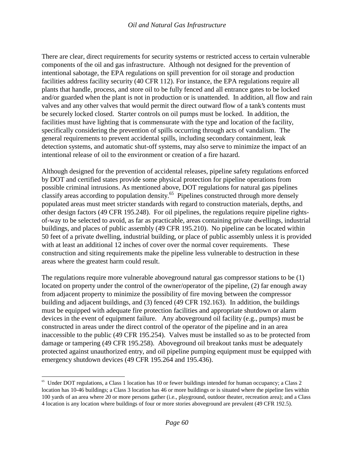There are clear, direct requirements for security systems or restricted access to certain vulnerable components of the oil and gas infrastructure. Although not designed for the prevention of intentional sabotage, the EPA regulations on spill prevention for oil storage and production facilities address facility security (40 CFR 112). For instance, the EPA regulations require all plants that handle, process, and store oil to be fully fenced and all entrance gates to be locked and/or guarded when the plant is not in production or is unattended. In addition, all flow and rain valves and any other valves that would permit the direct outward flow of a tank's contents must be securely locked closed. Starter controls on oil pumps must be locked. In addition, the facilities must have lighting that is commensurate with the type and location of the facility, specifically considering the prevention of spills occurring through acts of vandalism. The general requirements to prevent accidental spills, including secondary containment, leak detection systems, and automatic shut-off systems, may also serve to minimize the impact of an intentional release of oil to the environment or creation of a fire hazard.

Although designed for the prevention of accidental releases, pipeline safety regulations enforced by DOT and certified states provide some physical protection for pipeline operations from possible criminal intrusions. As mentioned above, DOT regulations for natural gas pipelines classify areas according to population density.<sup>65</sup> Pipelines constructed through more densely populated areas must meet stricter standards with regard to construction materials, depths, and other design factors (49 CFR 195.248). For oil pipelines, the regulations require pipeline rightsof-way to be selected to avoid, as far as practicable, areas containing private dwellings, industrial buildings, and places of public assembly (49 CFR 195.210). No pipeline can be located within 50 feet of a private dwelling, industrial building, or place of public assembly unless it is provided with at least an additional 12 inches of cover over the normal cover requirements. These construction and siting requirements make the pipeline less vulnerable to destruction in these areas where the greatest harm could result.

The regulations require more vulnerable aboveground natural gas compressor stations to be (1) located on property under the control of the owner/operator of the pipeline, (2) far enough away from adjacent property to minimize the possibility of fire moving between the compressor building and adjacent buildings, and (3) fenced (49 CFR 192.163). In addition, the buildings must be equipped with adequate fire protection facilities and appropriate shutdown or alarm devices in the event of equipment failure. Any aboveground oil facility (e.g., pumps) must be constructed in areas under the direct control of the operator of the pipeline and in an area inaccessible to the public (49 CFR 195.254). Valves must be installed so as to be protected from damage or tampering (49 CFR 195.258). Aboveground oil breakout tanks must be adequately protected against unauthorized entry, and oil pipeline pumping equipment must be equipped with emergency shutdown devices (49 CFR 195.264 and 195.436).

 $65$  Under DOT regulations, a Class 1 location has 10 or fewer buildings intended for human occupancy; a Class 2 location has 10-46 buildings; a Class 3 location has 46 or more buildings or is situated where the pipeline lies within 100 yards of an area where 20 or more persons gather (i.e., playground, outdoor theater, recreation area); and a Class 4 location is any location where buildings of four or more stories aboveground are prevalent (49 CFR 192.5).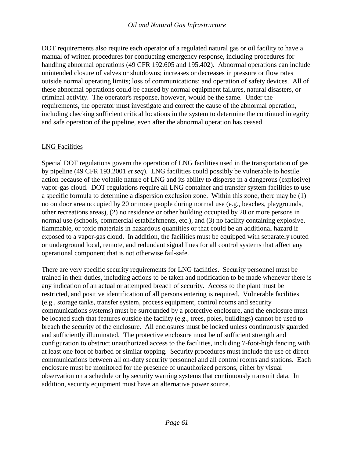#### *Oil and Natural Gas Infrastructure*

DOT requirements also require each operator of a regulated natural gas or oil facility to have a manual of written procedures for conducting emergency response, including procedures for handling abnormal operations (49 CFR 192.605 and 195.402). Abnormal operations can include unintended closure of valves or shutdowns; increases or decreases in pressure or flow rates outside normal operating limits; loss of communications; and operation of safety devices. All of these abnormal operations could be caused by normal equipment failures, natural disasters, or criminal activity. The operator's response, however, would be the same. Under the requirements, the operator must investigate and correct the cause of the abnormal operation, including checking sufficient critical locations in the system to determine the continued integrity and safe operation of the pipeline, even after the abnormal operation has ceased.

### LNG Facilities

Special DOT regulations govern the operation of LNG facilities used in the transportation of gas by pipeline (49 CFR 193.2001 *et seq*). LNG facilities could possibly be vulnerable to hostile action because of the volatile nature of LNG and its ability to disperse in a dangerous (explosive) vapor-gas cloud. DOT regulations require all LNG container and transfer system facilities to use a specific formula to determine a dispersion exclusion zone. Within this zone, there may be (1) no outdoor area occupied by 20 or more people during normal use (e.g., beaches, playgrounds, other recreations areas), (2) no residence or other building occupied by 20 or more persons in normal use (schools, commercial establishments, etc.), and (3) no facility containing explosive, flammable, or toxic materials in hazardous quantities or that could be an additional hazard if exposed to a vapor-gas cloud. In addition, the facilities must be equipped with separately routed or underground local, remote, and redundant signal lines for all control systems that affect any operational component that is not otherwise fail-safe.

There are very specific security requirements for LNG facilities. Security personnel must be trained in their duties, including actions to be taken and notification to be made whenever there is any indication of an actual or attempted breach of security. Access to the plant must be restricted, and positive identification of all persons entering is required. Vulnerable facilities (e.g., storage tanks, transfer system, process equipment, control rooms and security communications systems) must be surrounded by a protective enclosure, and the enclosure must be located such that features outside the facility (e.g., trees, poles, buildings) cannot be used to breach the security of the enclosure. All enclosures must be locked unless continuously guarded and sufficiently illuminated. The protective enclosure must be of sufficient strength and configuration to obstruct unauthorized access to the facilities, including 7-foot-high fencing with at least one foot of barbed or similar topping. Security procedures must include the use of direct communications between all on-duty security personnel and all control rooms and stations. Each enclosure must be monitored for the presence of unauthorized persons, either by visual observation on a schedule or by security warning systems that continuously transmit data. In addition, security equipment must have an alternative power source.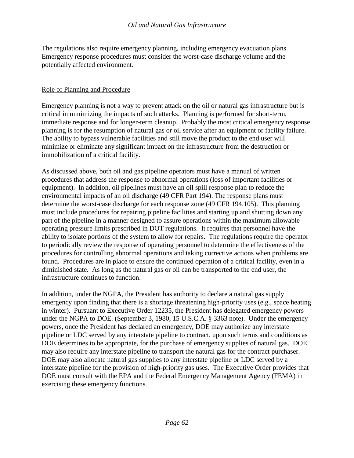The regulations also require emergency planning, including emergency evacuation plans. Emergency response procedures must consider the worst-case discharge volume and the potentially affected environment.

### Role of Planning and Procedure

Emergency planning is not a way to prevent attack on the oil or natural gas infrastructure but is critical in minimizing the impacts of such attacks. Planning is performed for short-term, immediate response and for longer-term cleanup. Probably the most critical emergency response planning is for the resumption of natural gas or oil service after an equipment or facility failure. The ability to bypass vulnerable facilities and still move the product to the end user will minimize or eliminate any significant impact on the infrastructure from the destruction or immobilization of a critical facility.

As discussed above, both oil and gas pipeline operators must have a manual of written procedures that address the response to abnormal operations (loss of important facilities or equipment). In addition, oil pipelines must have an oil spill response plan to reduce the environmental impacts of an oil discharge (49 CFR Part 194). The response plans must determine the worst-case discharge for each response zone (49 CFR 194.105). This planning must include procedures for repairing pipeline facilities and starting up and shutting down any part of the pipeline in a manner designed to assure operations within the maximum allowable operating pressure limits prescribed in DOT regulations. It requires that personnel have the ability to isolate portions of the system to allow for repairs. The regulations require the operator to periodically review the response of operating personnel to determine the effectiveness of the procedures for controlling abnormal operations and taking corrective actions when problems are found. Procedures are in place to ensure the continued operation of a critical facility, even in a diminished state. As long as the natural gas or oil can be transported to the end user, the infrastructure continues to function.

In addition, under the NGPA, the President has authority to declare a natural gas supply emergency upon finding that there is a shortage threatening high-priority uses (e.g., space heating in winter). Pursuant to Executive Order 12235, the President has delegated emergency powers under the NGPA to DOE. (September 3, 1980, 15 U.S.C.A. § 3363 note). Under the emergency powers, once the President has declared an emergency, DOE may authorize any interstate pipeline or LDC served by any interstate pipeline to contract, upon such terms and conditions as DOE determines to be appropriate, for the purchase of emergency supplies of natural gas. DOE may also require any interstate pipeline to transport the natural gas for the contract purchaser. DOE may also allocate natural gas supplies to any interstate pipeline or LDC served by a interstate pipeline for the provision of high-priority gas uses. The Executive Order provides that DOE must consult with the EPA and the Federal Emergency Management Agency (FEMA) in exercising these emergency functions.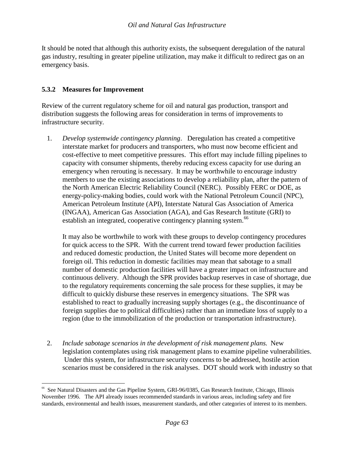It should be noted that although this authority exists, the subsequent deregulation of the natural gas industry, resulting in greater pipeline utilization, may make it difficult to redirect gas on an emergency basis.

### **5.3.2 Measures for Improvement**

Review of the current regulatory scheme for oil and natural gas production, transport and distribution suggests the following areas for consideration in terms of improvements to infrastructure security.

 1. *Develop systemwide contingency planning*. Deregulation has created a competitive interstate market for producers and transporters, who must now become efficient and cost-effective to meet competitive pressures. This effort may include filling pipelines to capacity with consumer shipments, thereby reducing excess capacity for use during an emergency when rerouting is necessary. It may be worthwhile to encourage industry members to use the existing associations to develop a reliability plan, after the pattern of the North American Electric Reliability Council (NERC). Possibly FERC or DOE, as energy-policy-making bodies, could work with the National Petroleum Council (NPC), American Petroleum Institute (API), Interstate Natural Gas Association of America (INGAA), American Gas Association (AGA), and Gas Research Institute (GRI) to establish an integrated, cooperative contingency planning system.<sup>66</sup>

It may also be worthwhile to work with these groups to develop contingency procedures for quick access to the SPR. With the current trend toward fewer production facilities and reduced domestic production, the United States will become more dependent on foreign oil. This reduction in domestic facilities may mean that sabotage to a small number of domestic production facilities will have a greater impact on infrastructure and continuous delivery. Although the SPR provides backup reserves in case of shortage, due to the regulatory requirements concerning the sale process for these supplies, it may be difficult to quickly disburse these reserves in emergency situations. The SPR was established to react to gradually increasing supply shortages (e.g., the discontinuance of foreign supplies due to political difficulties) rather than an immediate loss of supply to a region (due to the immobilization of the production or transportation infrastructure).

2. *Include sabotage scenarios in the development of risk management plans.* New legislation contemplates using risk management plans to examine pipeline vulnerabilities. Under this system, for infrastructure security concerns to be addressed, hostile action scenarios must be considered in the risk analyses. DOT should work with industry so that

<sup>66</sup> See Natural Disasters and the Gas Pipeline System, GRI-96/0385, Gas Research Institute, Chicago, Illinois November 1996. The API already issues recommended standards in various areas, including safety and fire standards, environmental and health issues, measurement standards, and other categories of interest to its members.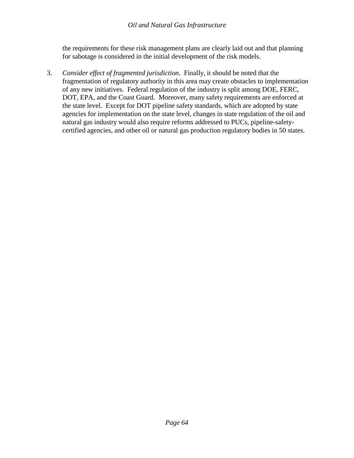### *Oil and Natural Gas Infrastructure*

the requirements for these risk management plans are clearly laid out and that planning for sabotage is considered in the initial development of the risk models.

 3. *Consider effect of fragmented jurisdiction*. Finally, it should be noted that the fragmentation of regulatory authority in this area may create obstacles to implementation of any new initiatives. Federal regulation of the industry is split among DOE, FERC, DOT, EPA, and the Coast Guard. Moreover, many safety requirements are enforced at the state level. Except for DOT pipeline safety standards, which are adopted by state agencies for implementation on the state level, changes in state regulation of the oil and natural gas industry would also require reforms addressed to PUCs, pipeline-safetycertified agencies, and other oil or natural gas production regulatory bodies in 50 states.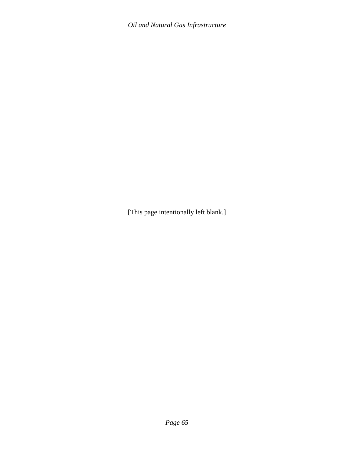[This page intentionally left blank.]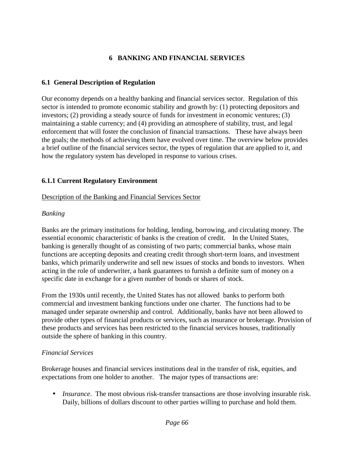## **6 BANKING AND FINANCIAL SERVICES**

## **6.1 General Description of Regulation**

Our economy depends on a healthy banking and financial services sector. Regulation of this sector is intended to promote economic stability and growth by: (1) protecting depositors and investors; (2) providing a steady source of funds for investment in economic ventures; (3) maintaining a stable currency; and (4) providing an atmosphere of stability, trust, and legal enforcement that will foster the conclusion of financial transactions. These have always been the goals; the methods of achieving them have evolved over time. The overview below provides a brief outline of the financial services sector, the types of regulation that are applied to it, and how the regulatory system has developed in response to various crises.

# **6.1.1 Current Regulatory Environment**

## Description of the Banking and Financial Services Sector

## *Banking*

Banks are the primary institutions for holding, lending, borrowing, and circulating money. The essential economic characteristic of banks is the creation of credit. In the United States, banking is generally thought of as consisting of two parts; commercial banks, whose main functions are accepting deposits and creating credit through short-term loans, and investment banks, which primarily underwrite and sell new issues of stocks and bonds to investors. When acting in the role of underwriter, a bank guarantees to furnish a definite sum of money on a specific date in exchange for a given number of bonds or shares of stock.

From the 1930s until recently, the United States has not allowed banks to perform both commercial and investment banking functions under one charter. The functions had to be managed under separate ownership and control. Additionally, banks have not been allowed to provide other types of financial products or services, such as insurance or brokerage. Provision of these products and services has been restricted to the financial services houses, traditionally outside the sphere of banking in this country.

## *Financial Services*

Brokerage houses and financial services institutions deal in the transfer of risk, equities, and expectations from one holder to another. The major types of transactions are:

• *Insurance*. The most obvious risk-transfer transactions are those involving insurable risk. Daily, billions of dollars discount to other parties willing to purchase and hold them.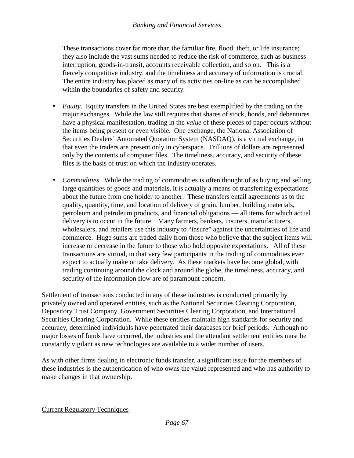These transactions cover far more than the familiar fire, flood, theft, or life insurance; they also include the vast sums needed to reduce the risk of commerce, such as business interruption, goods-in-transit, accounts receivable collection, and so on. This is a fiercely competitive industry, and the timeliness and accuracy of information is crucial. The entire industry has placed as many of its activities on-line as can be accomplished within the boundaries of safety and security.

- *Equity.* Equity transfers in the United States are best exemplified by the trading on the major exchanges. While the law still requires that shares of stock, bonds, and debentures have a physical manifestation, trading in the *value* of these pieces of paper occurs without the items being present or even visible. One exchange, the National Association of Securities Dealers' Automated Quotation System (NASDAQ), is a virtual exchange, in that even the traders are present only in cyberspace. Trillions of dollars are represented only by the contents of computer files. The timeliness, accuracy, and security of these files is the basis of trust on which the industry operates.
- *Commodities*. While the trading of commodities is often thought of as buying and selling large quantities of goods and materials, it is actually a means of transferring expectations about the future from one holder to another. These transfers entail agreements as to the quality, quantity, time, and location of delivery of grain, lumber, building materials, petroleum and petroleum products, and financial obligations — all items for which actual delivery is to occur in the future. Many farmers, bankers, insurers, manufacturers, wholesalers, and retailers use this industry to "insure" against the uncertainties of life and commerce. Huge sums are traded daily from those who believe that the subject items will increase or decrease in the future to those who hold opposite expectations. All of these transactions are virtual, in that very few participants in the trading of commodities ever expect to actually make or take delivery. As these markets have become global, with trading continuing around the clock and around the globe, the timeliness, accuracy, and security of the information flow are of paramount concern.

Settlement of transactions conducted in any of these industries is conducted primarily by privately owned and operated entities, such as the National Securities Clearing Corporation, Depository Trust Company, Government Securities Clearing Corporation, and International Securities Clearing Corporation. While these entities maintain high standards for security and accuracy, determined individuals have penetrated their databases for brief periods. Although no major losses of funds have occurred, the industries and the attendant settlement entities must be constantly vigilant as new technologies are available to a wider number of users.

As with other firms dealing in electronic funds transfer, a significant issue for the members of these industries is the authentication of who owns the value represented and who has authority to make changes in that ownership.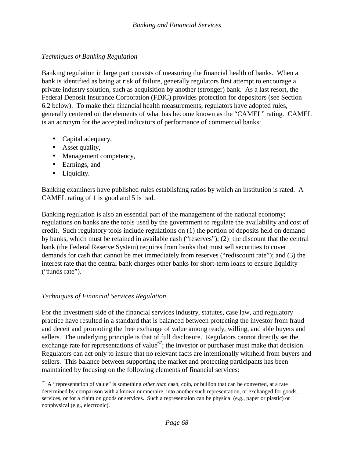## *Techniques of Banking Regulation*

Banking regulation in large part consists of measuring the financial health of banks. When a bank is identified as being at risk of failure, generally regulators first attempt to encourage a private industry solution, such as acquisition by another (stronger) bank. As a last resort, the Federal Deposit Insurance Corporation (FDIC) provides protection for depositors (see Section 6.2 below). To make their financial health measurements, regulators have adopted rules, generally centered on the elements of what has become known as the "CAMEL" rating. CAMEL is an acronym for the accepted indicators of performance of commercial banks:

- Capital adequacy,
- Asset quality,
- Management competency,
- Earnings, and
- Liquidity.

Banking examiners have published rules establishing ratios by which an institution is rated. A CAMEL rating of 1 is good and 5 is bad.

Banking regulation is also an essential part of the management of the national economy; regulations on banks are the tools used by the government to regulate the availability and cost of credit. Such regulatory tools include regulations on (1) the portion of deposits held on demand by banks, which must be retained in available cash ("reserves"); (2) the discount that the central bank (the Federal Reserve System) requires from banks that must sell securities to cover demands for cash that cannot be met immediately from reserves ("rediscount rate"); and (3) the interest rate that the central bank charges other banks for short-term loans to ensure liquidity ("funds rate").

# *Techniques of Financial Services Regulation*

For the investment side of the financial services industry, statutes, case law, and regulatory practice have resulted in a standard that is balanced between protecting the investor from fraud and deceit and promoting the free exchange of value among ready, willing, and able buyers and sellers. The underlying principle is that of full disclosure. Regulators cannot directly set the exchange rate for representations of value<sup>67</sup>; the investor or purchaser must make that decision. Regulators can act only to insure that no relevant facts are intentionally withheld from buyers and sellers. This balance between supporting the market and protecting participants has been maintained by focusing on the following elements of financial services:

 $\alpha$ <sup>67</sup> A "representation of value" is something *other than* cash, coin, or bullion that can be converted, at a rate determined by comparison with a known numneraire, into another such representation, or exchanged for goods, services, or for a claim on goods or services. Such a representaion can be physical (e.g., paper or plastic) or nonphysical (e.g., electronic).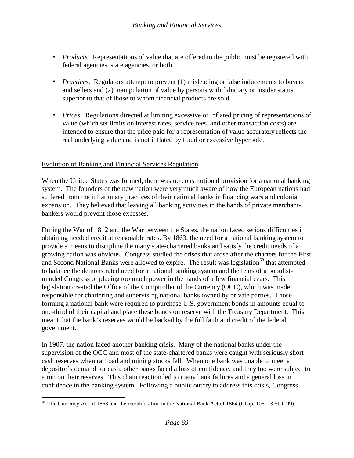- *Products.* Representations of value that are offered to the public must be registered with federal agencies, state agencies, or both.
- *Practices.* Regulators attempt to prevent (1) misleading or false inducements to buyers and sellers and (2) manipulation of value by persons with fiduciary or insider status superior to that of those to whom financial products are sold.
- *Prices.* Regulations directed at limiting excessive or inflated pricing of representations of value (which set limits on interest rates, service fees, and other transaction costs) are intended to ensure that the price paid for a representation of value accurately reflects the real underlying value and is not inflated by fraud or excessive hyperbole.

## Evolution of Banking and Financial Services Regulation

When the United States was formed, there was no constitutional provision for a national banking system. The founders of the new nation were very much aware of how the European nations had suffered from the inflationary practices of their national banks in financing wars and colonial expansion. They believed that leaving all banking activities in the hands of private merchantbankers would prevent those excesses.

During the War of 1812 and the War between the States, the nation faced serious difficulties in obtaining needed credit at reasonable rates. By 1863, the need for a national banking system to provide a means to discipline the many state-chartered banks and satisfy the credit needs of a growing nation was obvious. Congress studied the crises that arose after the charters for the First and Second National Banks were allowed to expire. The result was legislation<sup>68</sup> that attempted to balance the demonstrated need for a national banking system and the fears of a populistminded Congress of placing too much power in the hands of a few financial czars. This legislation created the Office of the Comptroller of the Currency (OCC), which was made responsible for chartering and supervising national banks owned by private parties. Those forming a national bank were required to purchase U.S. government bonds in amounts equal to one-third of their capital and place these bonds on reserve with the Treasury Department. This meant that the bank's reserves would be backed by the full faith and credit of the federal government.

In 1907, the nation faced another banking crisis. Many of the national banks under the supervision of the OCC and most of the state-chartered banks were caught with seriously short cash reserves when railroad and mining stocks fell. When one bank was unable to meet a depositor's demand for cash, other banks faced a loss of confidence, and they too were subject to a run on their reserves. This chain reaction led to many bank failures and a general loss in confidence in the banking system. Following a public outcry to address this crisis, Congress

<sup>&</sup>lt;sup>68</sup> The Currency Act of 1863 and the recodification in the National Bank Act of 1864 (Chap. 106, 13 Stat. 99).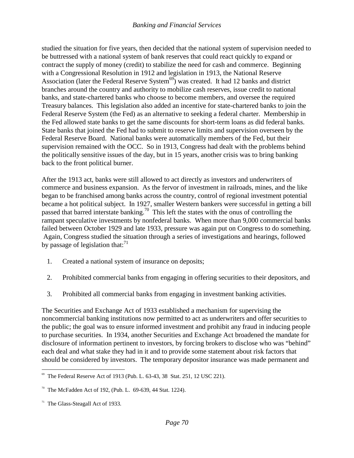#### *Banking and Financial Services*

studied the situation for five years, then decided that the national system of supervision needed to be buttressed with a national system of bank reserves that could react quickly to expand or contract the supply of money (credit) to stabilize the need for cash and commerce. Beginning with a Congressional Resolution in 1912 and legislation in 1913, the National Reserve Association (later the Federal Reserve System<sup>69</sup>) was created. It had 12 banks and district branches around the country and authority to mobilize cash reserves, issue credit to national banks, and state-chartered banks who choose to become members, and oversee the required Treasury balances. This legislation also added an incentive for state-chartered banks to join the Federal Reserve System (the Fed) as an alternative to seeking a federal charter. Membership in the Fed allowed state banks to get the same discounts for short-term loans as did federal banks. State banks that joined the Fed had to submit to reserve limits and supervision overseen by the Federal Reserve Board. National banks were automatically members of the Fed, but their supervision remained with the OCC. So in 1913, Congress had dealt with the problems behind the politically sensitive issues of the day, but in 15 years, another crisis was to bring banking back to the front political burner.

After the 1913 act, banks were still allowed to act directly as investors and underwriters of commerce and business expansion. As the fervor of investment in railroads, mines, and the like began to be franchised among banks across the country, control of regional investment potential became a hot political subject. In 1927, smaller Western bankers were successful in getting a bill passed that barred interstate banking.<sup>70</sup> This left the states with the onus of controlling the rampant speculative investments by nonfederal banks. When more than 9,000 commercial banks failed between October 1929 and late 1933, pressure was again put on Congress to do something. Again, Congress studied the situation through a series of investigations and hearings, followed by passage of legislation that: $71$ 

- 1. Created a national system of insurance on deposits;
- 2. Prohibited commercial banks from engaging in offering securities to their depositors, and
- 3. Prohibited all commercial banks from engaging in investment banking activities.

The Securities and Exchange Act of 1933 established a mechanism for supervising the noncommercial banking institutions now permitted to act as underwriters and offer securities to the public; the goal was to ensure informed investment and prohibit any fraud in inducing people to purchase securities. In 1934, another Securities and Exchange Act broadened the mandate for disclosure of information pertinent to investors, by forcing brokers to disclose who was "behind" each deal and what stake they had in it and to provide some statement about risk factors that should be considered by investors. The temporary depositor insurance was made permanent and

 $69$  The Federal Reserve Act of 1913 (Pub. L. 63-43, 38 Stat. 251, 12 USC 221).

<sup>&</sup>lt;sup>70</sup> The McFadden Act of 192, (Pub. L. 69-639, 44 Stat. 1224).

 $71$  The Glass-Steagall Act of 1933.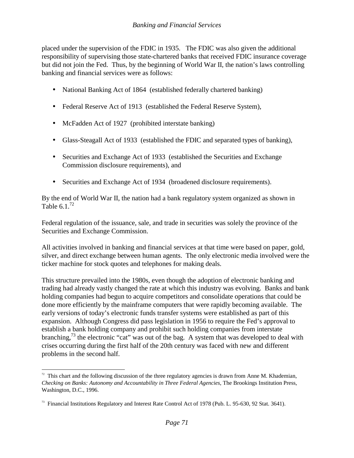placed under the supervision of the FDIC in 1935. The FDIC was also given the additional responsibility of supervising those state-chartered banks that received FDIC insurance coverage but did not join the Fed. Thus, by the beginning of World War II, the nation's laws controlling banking and financial services were as follows:

- National Banking Act of 1864 (established federally chartered banking)
- Federal Reserve Act of 1913 (established the Federal Reserve System),
- McFadden Act of 1927 (prohibited interstate banking)
- Glass-Steagall Act of 1933 (established the FDIC and separated types of banking),
- Securities and Exchange Act of 1933 (established the Securities and Exchange Commission disclosure requirements), and
- Securities and Exchange Act of 1934 (broadened disclosure requirements).

By the end of World War II, the nation had a bank regulatory system organized as shown in Table 6.1 $^{72}$ 

Federal regulation of the issuance, sale, and trade in securities was solely the province of the Securities and Exchange Commission.

All activities involved in banking and financial services at that time were based on paper, gold, silver, and direct exchange between human agents. The only electronic media involved were the ticker machine for stock quotes and telephones for making deals.

This structure prevailed into the 1980s, even though the adoption of electronic banking and trading had already vastly changed the rate at which this industry was evolving. Banks and bank holding companies had begun to acquire competitors and consolidate operations that could be done more efficiently by the mainframe computers that were rapidly becoming available. The early versions of today's electronic funds transfer systems were established as part of this expansion. Although Congress did pass legislation in 1956 to require the Fed's approval to establish a bank holding company and prohibit such holding companies from interstate branching,<sup>73</sup> the electronic "cat" was out of the bag. A system that was developed to deal with crises occurring during the first half of the 20th century was faced with new and different problems in the second half.

 $72$  This chart and the following discussion of the three regulatory agencies is drawn from Anne M. Khademian, *Checking on Banks: Autonomy and Accountability in Three Federal Agencies*, The Brookings Institution Press, Washington, D.C., 1996.

<sup>&</sup>lt;sup>73</sup> Financial Institutions Regulatory and Interest Rate Control Act of 1978 (Pub. L. 95-630, 92 Stat. 3641).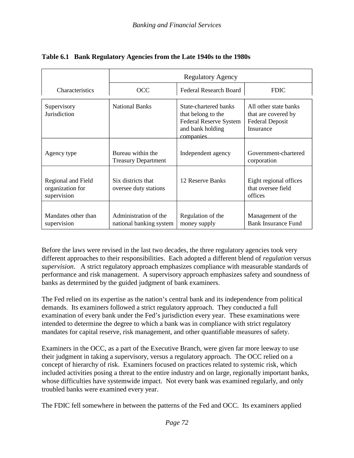|                                                       | <b>Regulatory Agency</b>                         |                                                                                                        |                                                                                     |
|-------------------------------------------------------|--------------------------------------------------|--------------------------------------------------------------------------------------------------------|-------------------------------------------------------------------------------------|
| <b>Characteristics</b>                                | OCC                                              | Federal Research Board                                                                                 | <b>FDIC</b>                                                                         |
| Supervisory<br>Jurisdiction                           | <b>National Banks</b>                            | State-chartered banks<br>that belong to the<br>Federal Reserve System<br>and bank holding<br>companies | All other state banks<br>that are covered by<br><b>Federal Deposit</b><br>Insurance |
| Agency type                                           | Bureau within the<br><b>Treasury Department</b>  | Independent agency                                                                                     | Government-chartered<br>corporation                                                 |
| Regional and Field<br>organization for<br>supervision | Six districts that<br>oversee duty stations      | 12 Reserve Banks                                                                                       | Eight regional offices<br>that oversee field<br>offices                             |
| Mandates other than<br>supervision                    | Administration of the<br>national banking system | Regulation of the<br>money supply                                                                      | Management of the<br><b>Bank Insurance Fund</b>                                     |

## **Table 6.1 Bank Regulatory Agencies from the Late 1940s to the 1980s**

Before the laws were revised in the last two decades, the three regulatory agencies took very different approaches to their responsibilities. Each adopted a different blend of *regulation* versus *supervision*. A strict regulatory approach emphasizes compliance with measurable standards of performance and risk management. A supervisory approach emphasizes safety and soundness of banks as determined by the guided judgment of bank examiners.

The Fed relied on its expertise as the nation's central bank and its independence from political demands. Its examiners followed a strict regulatory approach. They conducted a full examination of every bank under the Fed's jurisdiction every year. These examinations were intended to determine the degree to which a bank was in compliance with strict regulatory mandates for capital reserve, risk management, and other quantifiable measures of safety.

Examiners in the OCC, as a part of the Executive Branch, were given far more leeway to use their judgment in taking a supervisory, versus a regulatory approach. The OCC relied on a concept of hierarchy of risk. Examiners focused on practices related to systemic risk, which included activities posing a threat to the entire industry and on large, regionally important banks, whose difficulties have systemwide impact. Not every bank was examined regularly, and only troubled banks were examined every year.

The FDIC fell somewhere in between the patterns of the Fed and OCC. Its examiners applied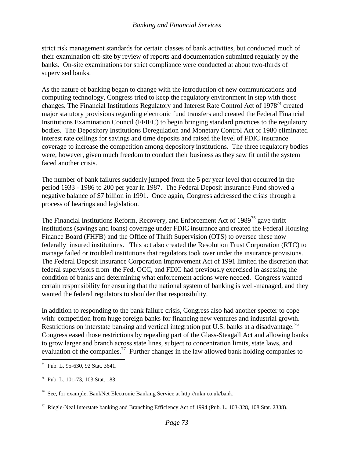strict risk management standards for certain classes of bank activities, but conducted much of their examination off-site by review of reports and documentation submitted regularly by the banks. On-site examinations for strict compliance were conducted at about two-thirds of supervised banks.

As the nature of banking began to change with the introduction of new communications and computing technology, Congress tried to keep the regulatory environment in step with those changes. The Financial Institutions Regulatory and Interest Rate Control Act of 197874 created major statutory provisions regarding electronic fund transfers and created the Federal Financial Institutions Examination Council (FFIEC) to begin bringing standard practices to the regulatory bodies. The Depository Institutions Deregulation and Monetary Control Act of 1980 eliminated interest rate ceilings for savings and time deposits and raised the level of FDIC insurance coverage to increase the competition among depository institutions. The three regulatory bodies were, however, given much freedom to conduct their business as they saw fit until the system faced another crisis.

The number of bank failures suddenly jumped from the 5 per year level that occurred in the period 1933 - 1986 to 200 per year in 1987. The Federal Deposit Insurance Fund showed a negative balance of \$7 billion in 1991. Once again, Congress addressed the crisis through a process of hearings and legislation.

The Financial Institutions Reform, Recovery, and Enforcement Act of  $1989^{75}$  gave thrift institutions (savings and loans) coverage under FDIC insurance and created the Federal Housing Finance Board (FHFB) and the Office of Thrift Supervision (OTS) to oversee these now federally insured institutions. This act also created the Resolution Trust Corporation (RTC) to manage failed or troubled institutions that regulators took over under the insurance provisions. The Federal Deposit Insurance Corporation Improvement Act of 1991 limited the discretion that federal supervisors from the Fed, OCC, and FDIC had previously exercised in assessing the condition of banks and determining what enforcement actions were needed. Congress wanted certain responsibility for ensuring that the national system of banking is well-managed, and they wanted the federal regulators to shoulder that responsibility.

In addition to responding to the bank failure crisis, Congress also had another specter to cope with: competition from huge foreign banks for financing new ventures and industrial growth. Restrictions on interstate banking and vertical integration put U.S. banks at a disadvantage.<sup>76</sup> Congress eased those restrictions by repealing part of the Glass-Steagall Act and allowing banks to grow larger and branch across state lines, subject to concentration limits, state laws, and evaluation of the companies.<sup>77</sup> Further changes in the law allowed bank holding companies to

<sup>74</sup> Pub. L. 95-630, 92 Stat. 3641.

<sup>75</sup> Pub. L. 101-73, 103 Stat. 183.

<sup>76</sup> See, for example, BankNet Electronic Banking Service at http://mkn.co.uk/bank.

 $\frac{77}{10}$  Riegle-Neal Interstate banking and Branching Efficiency Act of 1994 (Pub. L. 103-328, 108 Stat. 2338).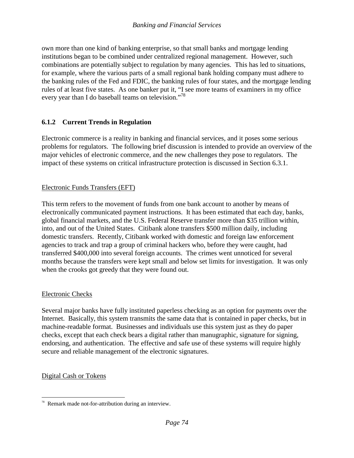#### *Banking and Financial Services*

own more than one kind of banking enterprise, so that small banks and mortgage lending institutions began to be combined under centralized regional management. However, such combinations are potentially subject to regulation by many agencies. This has led to situations, for example, where the various parts of a small regional bank holding company must adhere to the banking rules of the Fed and FDIC, the banking rules of four states, and the mortgage lending rules of at least five states. As one banker put it, "I see more teams of examiners in my office every year than I do baseball teams on television."<sup>78</sup>

### **6.1.2 Current Trends in Regulation**

Electronic commerce is a reality in banking and financial services, and it poses some serious problems for regulators. The following brief discussion is intended to provide an overview of the major vehicles of electronic commerce, and the new challenges they pose to regulators. The impact of these systems on critical infrastructure protection is discussed in Section 6.3.1.

### Electronic Funds Transfers (EFT)

This term refers to the movement of funds from one bank account to another by means of electronically communicated payment instructions. It has been estimated that each day, banks, global financial markets, and the U.S. Federal Reserve transfer more than \$35 trillion within, into, and out of the United States. Citibank alone transfers \$500 million daily, including domestic transfers. Recently, Citibank worked with domestic and foreign law enforcement agencies to track and trap a group of criminal hackers who, before they were caught, had transferred \$400,000 into several foreign accounts. The crimes went unnoticed for several months because the transfers were kept small and below set limits for investigation. It was only when the crooks got greedy that they were found out.

### Electronic Checks

Several major banks have fully instituted paperless checking as an option for payments over the Internet. Basically, this system transmits the same data that is contained in paper checks, but in machine-readable format. Businesses and individuals use this system just as they do paper checks, except that each check bears a digital rather than manugraphic, signature for signing, endorsing, and authentication. The effective and safe use of these systems will require highly secure and reliable management of the electronic signatures.

Digital Cash or Tokens

 $78$  Remark made not-for-attribution during an interview.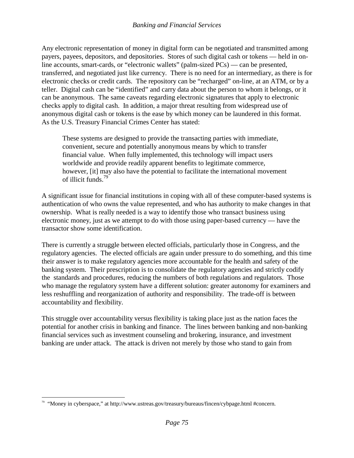### *Banking and Financial Services*

Any electronic representation of money in digital form can be negotiated and transmitted among payers, payees, depositors, and depositories. Stores of such digital cash or tokens — held in online accounts, smart-cards, or "electronic wallets" (palm-sized PCs) — can be presented, transferred, and negotiated just like currency. There is no need for an intermediary, as there is for electronic checks or credit cards. The repository can be "recharged" on-line, at an ATM, or by a teller. Digital cash can be "identified" and carry data about the person to whom it belongs, or it can be anonymous. The same caveats regarding electronic signatures that apply to electronic checks apply to digital cash. In addition, a major threat resulting from widespread use of anonymous digital cash or tokens is the ease by which money can be laundered in this format. As the U.S. Treasury Financial Crimes Center has stated:

These systems are designed to provide the transacting parties with immediate, convenient, secure and potentially anonymous means by which to transfer financial value. When fully implemented, this technology will impact users worldwide and provide readily apparent benefits to legitimate commerce, however, [it] may also have the potential to facilitate the international movement of illicit funds.<sup>79</sup>

A significant issue for financial institutions in coping with all of these computer-based systems is authentication of who owns the value represented, and who has authority to make changes in that ownership. What is really needed is a way to identify those who transact business using electronic money, just as we attempt to do with those using paper-based currency — have the transactor show some identification.

There is currently a struggle between elected officials, particularly those in Congress, and the regulatory agencies. The elected officials are again under pressure to do something, and this time their answer is to make regulatory agencies more accountable for the health and safety of the banking system. Their prescription is to consolidate the regulatory agencies and strictly codify the standards and procedures, reducing the numbers of both regulations and regulators. Those who manage the regulatory system have a different solution: greater autonomy for examiners and less reshuffling and reorganization of authority and responsibility. The trade-off is between accountability and flexibility.

This struggle over accountability versus flexibility is taking place just as the nation faces the potential for another crisis in banking and finance. The lines between banking and non-banking financial services such as investment counseling and brokering, insurance, and investment banking are under attack. The attack is driven not merely by those who stand to gain from

<sup>&</sup>lt;sup>79</sup> "Money in cyberspace," at http://www.ustreas.gov/treasury/bureaus/fincen/cybpage.html #concern.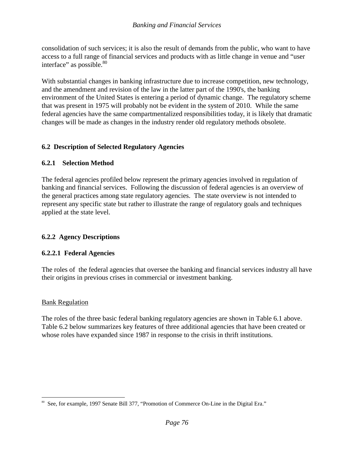consolidation of such services; it is also the result of demands from the public, who want to have access to a full range of financial services and products with as little change in venue and "user interface" as possible.<sup>80</sup>

With substantial changes in banking infrastructure due to increase competition, new technology, and the amendment and revision of the law in the latter part of the 1990's, the banking environment of the United States is entering a period of dynamic change. The regulatory scheme that was present in 1975 will probably not be evident in the system of 2010. While the same federal agencies have the same compartmentalized responsibilities today, it is likely that dramatic changes will be made as changes in the industry render old regulatory methods obsolete.

## **6.2 Description of Selected Regulatory Agencies**

## **6.2.1 Selection Method**

The federal agencies profiled below represent the primary agencies involved in regulation of banking and financial services. Following the discussion of federal agencies is an overview of the general practices among state regulatory agencies. The state overview is not intended to represent any specific state but rather to illustrate the range of regulatory goals and techniques applied at the state level.

# **6.2.2 Agency Descriptions**

# **6.2.2.1 Federal Agencies**

The roles of the federal agencies that oversee the banking and financial services industry all have their origins in previous crises in commercial or investment banking.

## Bank Regulation

The roles of the three basic federal banking regulatory agencies are shown in Table 6.1 above. Table 6.2 below summarizes key features of three additional agencies that have been created or whose roles have expanded since 1987 in response to the crisis in thrift institutions.

See, for example, 1997 Senate Bill 377, "Promotion of Commerce On-Line in the Digital Era." 80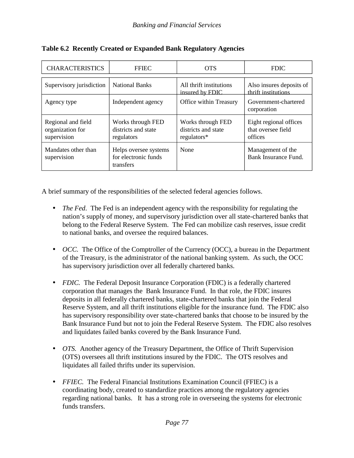| <b>CHARACTERISTICS</b>                                | <b>FFIEC</b>                                               | <b>OTS</b>                                              | <b>FDIC</b>                                             |
|-------------------------------------------------------|------------------------------------------------------------|---------------------------------------------------------|---------------------------------------------------------|
| Supervisory jurisdiction                              | <b>National Banks</b>                                      | All thrift institutions<br>insured by FDIC              | Also insures deposits of<br>thrift institutions         |
| Agency type                                           | Independent agency                                         | Office within Treasury                                  | Government-chartered<br>corporation                     |
| Regional and field<br>organization for<br>supervision | Works through FED<br>districts and state<br>regulators     | Works through FED<br>districts and state<br>regulators* | Eight regional offices<br>that oversee field<br>offices |
| Mandates other than<br>supervision                    | Helps oversee systems<br>for electronic funds<br>transfers | None                                                    | Management of the<br>Bank Insurance Fund.               |

**Table 6.2 Recently Created or Expanded Bank Regulatory Agencies** 

A brief summary of the responsibilities of the selected federal agencies follows.

- *The Fed*. The Fed is an independent agency with the responsibility for regulating the nation's supply of money, and supervisory jurisdiction over all state-chartered banks that belong to the Federal Reserve System. The Fed can mobilize cash reserves, issue credit to national banks, and oversee the required balances.
- *OCC.* The Office of the Comptroller of the Currency (OCC), a bureau in the Department of the Treasury, is the administrator of the national banking system. As such, the OCC has supervisory jurisdiction over all federally chartered banks.
- *FDIC.* The Federal Deposit Insurance Corporation (FDIC) is a federally chartered corporation that manages the Bank Insurance Fund. In that role, the FDIC insures deposits in all federally chartered banks, state-chartered banks that join the Federal Reserve System, and all thrift institutions eligible for the insurance fund. The FDIC also has supervisory responsibility over state-chartered banks that choose to be insured by the Bank Insurance Fund but not to join the Federal Reserve System. The FDIC also resolves and liquidates failed banks covered by the Bank Insurance Fund.
- *OTS.* Another agency of the Treasury Department, the Office of Thrift Supervision (OTS) oversees all thrift institutions insured by the FDIC. The OTS resolves and liquidates all failed thrifts under its supervision.
- *FFIEC*. The Federal Financial Institutions Examination Council (FFIEC) is a coordinating body, created to standardize practices among the regulatory agencies regarding national banks. It has a strong role in overseeing the systems for electronic funds transfers.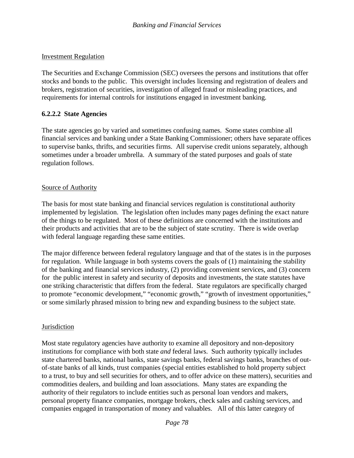#### Investment Regulation

The Securities and Exchange Commission (SEC) oversees the persons and institutions that offer stocks and bonds to the public. This oversight includes licensing and registration of dealers and brokers, registration of securities, investigation of alleged fraud or misleading practices, and requirements for internal controls for institutions engaged in investment banking.

### **6.2.2.2 State Agencies**

The state agencies go by varied and sometimes confusing names. Some states combine all financial services and banking under a State Banking Commissioner; others have separate offices to supervise banks, thrifts, and securities firms. All supervise credit unions separately, although sometimes under a broader umbrella. A summary of the stated purposes and goals of state regulation follows.

### Source of Authority

The basis for most state banking and financial services regulation is constitutional authority implemented by legislation. The legislation often includes many pages defining the exact nature of the things to be regulated. Most of these definitions are concerned with the institutions and their products and activities that are to be the subject of state scrutiny. There is wide overlap with federal language regarding these same entities.

The major difference between federal regulatory language and that of the states is in the purposes for regulation. While language in both systems covers the goals of (1) maintaining the stability of the banking and financial services industry, (2) providing convenient services, and (3) concern for the public interest in safety and security of deposits and investments, the state statutes have one striking characteristic that differs from the federal. State regulators are specifically charged to promote "economic development," "economic growth," "growth of investment opportunities," or some similarly phrased mission to bring new and expanding business to the subject state.

### **Jurisdiction**

Most state regulatory agencies have authority to examine all depository and non-depository institutions for compliance with both state *and* federal laws. Such authority typically includes state chartered banks, national banks, state savings banks, federal savings banks, branches of outof-state banks of all kinds, trust companies (special entities established to hold property subject to a trust, to buy and sell securities for others, and to offer advice on these matters), securities and commodities dealers, and building and loan associations. Many states are expanding the authority of their regulators to include entities such as personal loan vendors and makers, personal property finance companies, mortgage brokers, check sales and cashing services, and companies engaged in transportation of money and valuables. All of this latter category of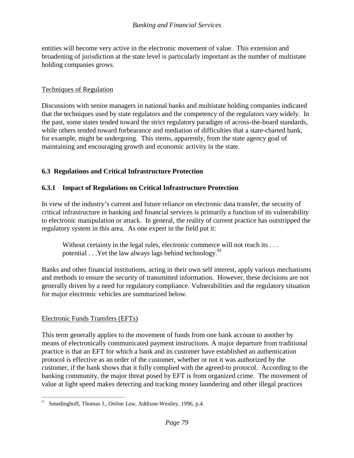entities will become very active in the electronic movement of value. This extension and broadening of jurisdiction at the state level is particularly important as the number of multistate holding companies grows.

## Techniques of Regulation

Discussions with senior managers in national banks and multistate holding companies indicated that the techniques used by state regulators and the competency of the regulators vary widely. In the past, some states tended toward the strict regulatory paradigm of across-the-board standards, while others tended toward forbearance and mediation of difficulties that a state-charted bank, for example, might be undergoing. This stems, apparently, from the state agency goal of maintaining and encouraging growth and economic activity in the state.

# **6.3 Regulations and Critical Infrastructure Protection**

# **6.3.1 Impact of Regulations on Critical Infrastructure Protection**

In view of the industry's current and future reliance on electronic data transfer, the security of critical infrastructure in banking and financial services is primarily a function of its vulnerability to electronic manipulation or attack. In general, the reality of current practice has outstripped the regulatory system in this area. As one expert in the field put it:

Without certainty in the legal rules, electronic commerce will not reach its . . . potential  $\ldots$  Yet the law always lags behind technology.<sup>81</sup>

Banks and other financial institutions, acting in their own self interest, apply various mechanisms and methods to ensure the security of transmitted information. However, these decisions are not generally driven by a need for regulatory compliance. Vulnerabilities and the regulatory situation for major electronic vehicles are summarized below.

## Electronic Funds Transfers (EFTs)

This term generally applies to the movement of funds from one bank account to another by means of electronically communicated payment instructions. A major departure from traditional practice is that an EFT for which a bank and its customer have established an authentication protocol is effective as an order of the customer, whether or not it was authorized by the customer, if the bank shows that it fully complied with the agreed-to protocol. According to the banking community, the major threat posed by EFT is from organized crime. The movement of value at light speed makes detecting and tracking money laundering and other illegal practices

<sup>&</sup>lt;sup>81</sup> Smedinghoff, Thomas J., *Online Law*, Addison-Westley, 1996, p.4.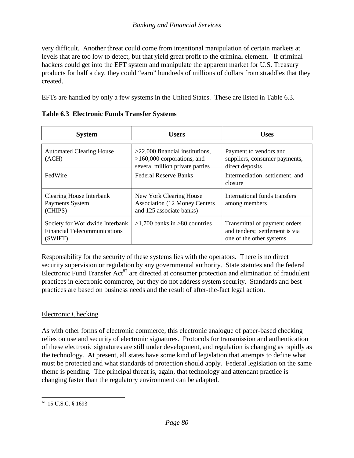very difficult. Another threat could come from intentional manipulation of certain markets at levels that are too low to detect, but that yield great profit to the criminal element. If criminal hackers could get into the EFT system and manipulate the apparent market for U.S. Treasury products for half a day, they could "earn" hundreds of millions of dollars from straddles that they created.

EFTs are handled by only a few systems in the United States. These are listed in Table 6.3.

| <b>System</b>                                                                     | <b>Users</b>                                                                                         | <b>Uses</b>                                                                                  |
|-----------------------------------------------------------------------------------|------------------------------------------------------------------------------------------------------|----------------------------------------------------------------------------------------------|
| <b>Automated Clearing House</b><br>(ACH)                                          | $>22,000$ financial institutions,<br>$>160,000$ corporations, and<br>several million private parties | Payment to vendors and<br>suppliers, consumer payments,<br>direct deposits                   |
| FedWire                                                                           | <b>Federal Reserve Banks</b>                                                                         | Intermediation, settlement, and<br>closure                                                   |
| Clearing House Interbank<br>Payments System<br>(CHIPS)                            | New York Clearing House<br><b>Association (12 Money Centers</b><br>and 125 associate banks)          | International funds transfers<br>among members                                               |
| Society for Worldwide Interbank<br><b>Financial Telecommunications</b><br>(SWIFT) | $>1,700$ banks in $>80$ countries                                                                    | Transmittal of payment orders<br>and tenders; settlement is via<br>one of the other systems. |

**Table 6.3 Electronic Funds Transfer Systems** 

Responsibility for the security of these systems lies with the operators. There is no direct security supervision or regulation by any governmental authority. State statutes and the federal Electronic Fund Transfer  $Act^{82}$  are directed at consumer protection and elimination of fraudulent practices in electronic commerce, but they do not address system security. Standards and best practices are based on business needs and the result of after-the-fact legal action.

## Electronic Checking

As with other forms of electronic commerce, this electronic analogue of paper-based checking relies on use and security of electronic signatures. Protocols for transmission and authentication of these electronic signatures are still under development, and regulation is changing as rapidly as the technology. At present, all states have some kind of legislation that attempts to define what must be protected and what standards of protection should apply. Federal legislation on the same theme is pending. The principal threat is, again, that technology and attendant practice is changing faster than the regulatory environment can be adapted.

 $82$  15 U.S.C. § 1693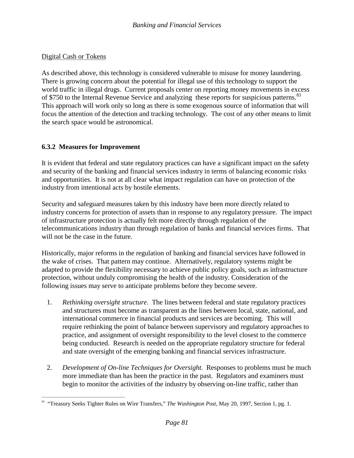## Digital Cash or Tokens

As described above, this technology is considered vulnerable to misuse for money laundering. There is growing concern about the potential for illegal use of this technology to support the world traffic in illegal drugs. Current proposals center on reporting money movements in excess of \$750 to the Internal Revenue Service and analyzing these reports for suspicious patterns.<sup>83</sup> This approach will work only so long as there is some exogenous source of information that will focus the attention of the detection and tracking technology. The cost of any other means to limit the search space would be astronomical.

### **6.3.2 Measures for Improvement**

It is evident that federal and state regulatory practices can have a significant impact on the safety and security of the banking and financial services industry in terms of balancing economic risks and opportunities. It is not at all clear what impact regulation can have on protection of the industry from intentional acts by hostile elements.

Security and safeguard measures taken by this industry have been more directly related to industry concerns for protection of assets than in response to any regulatory pressure. The impact of infrastructure protection is actually felt more directly through regulation of the telecommunications industry than through regulation of banks and financial services firms. That will not be the case in the future.

Historically, major reforms in the regulation of banking and financial services have followed in the wake of crises. That pattern may continue. Alternatively, regulatory systems might be adapted to provide the flexibility necessary to achieve public policy goals, such as infrastructure protection, without unduly compromising the health of the industry. Consideration of the following issues may serve to anticipate problems before they become severe.

- 1. *Rethinking oversight structure*. The lines between federal and state regulatory practices and structures must become as transparent as the lines between local, state, national, and international commerce in financial products and services are becoming. This will require rethinking the point of balance between supervisory and regulatory approaches to practice, and assignment of oversight responsibility to the level closest to the commerce being conducted. Research is needed on the appropriate regulatory structure for federal and state oversight of the emerging banking and financial services infrastructure.
- 2. *Development of On-line Techniques for Oversight*. Responses to problems must be much more immediate than has been the practice in the past. Regulators and examiners must begin to monitor the activities of the industry by observing on-line traffic, rather than

<sup>&</sup>lt;sup>83</sup> "Treasury Seeks Tighter Rules on Wire Transfers," *The Washington Post*, May 20, 1997, Section 1, pg. 1.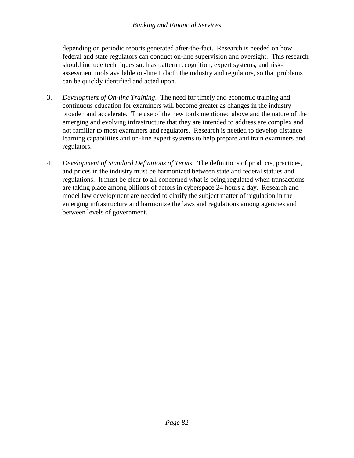### *Banking and Financial Services*

depending on periodic reports generated after-the-fact. Research is needed on how federal and state regulators can conduct on-line supervision and oversight. This research should include techniques such as pattern recognition, expert systems, and riskassessment tools available on-line to both the industry and regulators, so that problems can be quickly identified and acted upon.

- 3. *Development of On-line Training*. The need for timely and economic training and continuous education for examiners will become greater as changes in the industry broaden and accelerate. The use of the new tools mentioned above and the nature of the emerging and evolving infrastructure that they are intended to address are complex and not familiar to most examiners and regulators. Research is needed to develop distance learning capabilities and on-line expert systems to help prepare and train examiners and regulators.
- 4. *Development of Standard Definitions of Terms*. The definitions of products, practices, and prices in the industry must be harmonized between state and federal statues and regulations. It must be clear to all concerned what is being regulated when transactions are taking place among billions of actors in cyberspace 24 hours a day. Research and model law development are needed to clarify the subject matter of regulation in the emerging infrastructure and harmonize the laws and regulations among agencies and between levels of government.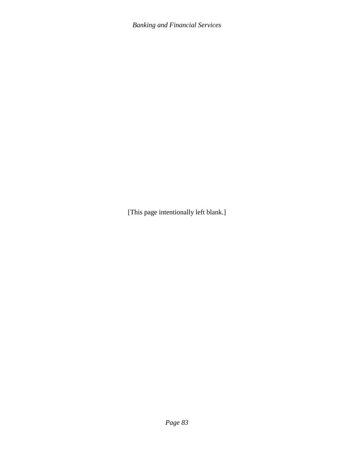[This page intentionally left blank.]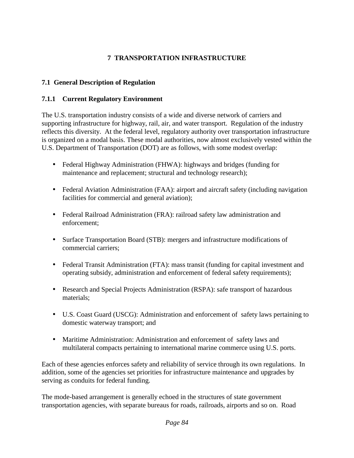# **7 TRANSPORTATION INFRASTRUCTURE**

## **7.1 General Description of Regulation**

## **7.1.1 Current Regulatory Environment**

The U.S. transportation industry consists of a wide and diverse network of carriers and supporting infrastructure for highway, rail, air, and water transport. Regulation of the industry reflects this diversity. At the federal level, regulatory authority over transportation infrastructure is organized on a modal basis. These modal authorities, now almost exclusively vested within the U.S. Department of Transportation (DOT) are as follows, with some modest overlap:

- Federal Highway Administration (FHWA): highways and bridges (funding for maintenance and replacement; structural and technology research);
- Federal Aviation Administration (FAA): airport and aircraft safety (including navigation facilities for commercial and general aviation);
- • Federal Railroad Administration (FRA): railroad safety law administration and enforcement;
- Surface Transportation Board (STB): mergers and infrastructure modifications of commercial carriers;
- Federal Transit Administration (FTA): mass transit (funding for capital investment and operating subsidy, administration and enforcement of federal safety requirements);
- Research and Special Projects Administration (RSPA): safe transport of hazardous materials;
- U.S. Coast Guard (USCG): Administration and enforcement of safety laws pertaining to domestic waterway transport; and
- Maritime Administration: Administration and enforcement of safety laws and multilateral compacts pertaining to international marine commerce using U.S. ports.

Each of these agencies enforces safety and reliability of service through its own regulations. In addition, some of the agencies set priorities for infrastructure maintenance and upgrades by serving as conduits for federal funding.

The mode-based arrangement is generally echoed in the structures of state government transportation agencies, with separate bureaus for roads, railroads, airports and so on. Road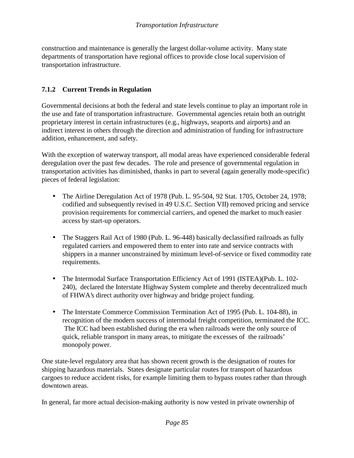construction and maintenance is generally the largest dollar-volume activity. Many state departments of transportation have regional offices to provide close local supervision of transportation infrastructure.

# **7.1.2 Current Trends in Regulation**

Governmental decisions at both the federal and state levels continue to play an important role in the use and fate of transportation infrastructure. Governmental agencies retain both an outright proprietary interest in certain infrastructures (e.g., highways, seaports and airports) and an indirect interest in others through the direction and administration of funding for infrastructure addition, enhancement, and safety.

With the exception of waterway transport, all modal areas have experienced considerable federal deregulation over the past few decades. The role and presence of governmental regulation in transportation activities has diminished, thanks in part to several (again generally mode-specific) pieces of federal legislation:

- The Airline Deregulation Act of 1978 (Pub. L. 95-504, 92 Stat. 1705, October 24, 1978; codified and subsequently revised in 49 U.S.C. Section VII) removed pricing and service provision requirements for commercial carriers, and opened the market to much easier access by start-up operators.
- The Staggers Rail Act of 1980 (Pub. L. 96-448) basically declassified railroads as fully regulated carriers and empowered them to enter into rate and service contracts with shippers in a manner unconstrained by minimum level-of-service or fixed commodity rate requirements.
- The Intermodal Surface Transportation Efficiency Act of 1991 (ISTEA)(Pub. L. 102-240), declared the Interstate Highway System complete and thereby decentralized much of FHWA's direct authority over highway and bridge project funding.
- The Interstate Commerce Commission Termination Act of 1995 (Pub. L. 104-88), in recognition of the modern success of intermodal freight competition, terminated the ICC. The ICC had been established during the era when railroads were the only source of quick, reliable transport in many areas, to mitigate the excesses of the railroads' monopoly power.

One state-level regulatory area that has shown recent growth is the designation of routes for shipping hazardous materials. States designate particular routes for transport of hazardous cargoes to reduce accident risks, for example limiting them to bypass routes rather than through downtown areas.

In general, far more actual decision-making authority is now vested in private ownership of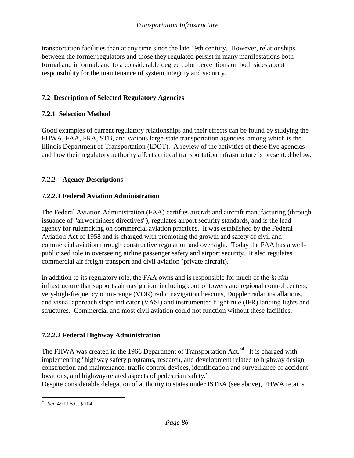transportation facilities than at any time since the late 19th century. However, relationships between the former regulators and those they regulated persist in many manifestations both formal and informal, and to a considerable degree color perceptions on both sides about responsibility for the maintenance of system integrity and security.

### **7.2 Description of Selected Regulatory Agencies**

### **7.2.1 Selection Method**

Good examples of current regulatory relationships and their effects can be found by studying the FHWA, FAA, FRA, STB, and various large-state transportation agencies, among which is the Illinois Department of Transportation (IDOT). A review of the activities of these five agencies and how their regulatory authority affects critical transportation infrastructure is presented below.

### **7.2.2 Agency Descriptions**

### **7.2.2.1 Federal Aviation Administration**

The Federal Aviation Administration (FAA) certifies aircraft and aircraft manufacturing (through issuance of "airworthiness directives"), regulates airport security standards, and is the lead agency for rulemaking on commercial aviation practices. It was established by the Federal Aviation Act of 1958 and is charged with promoting the growth and safety of civil and commercial aviation through constructive regulation and oversight. Today the FAA has a wellpublicized role in overseeing airline passenger safety and airport security. It also regulates commercial air freight transport and civil aviation (private aircraft).

In addition to its regulatory role, the FAA owns and is responsible for much of the *in situ*  infrastructure that supports air navigation, including control towers and regional control centers, very-high-frequency omni-range (VOR) radio navigation beacons, Doppler radar installations, and visual approach slope indicator (VASI) and instrumented flight rule (IFR) landing lights and structures. Commercial and most civil aviation could not function without these facilities.

## **7.2.2.2 Federal Highway Administration**

The FHWA was created in the 1966 Department of Transportation Act.<sup>84</sup> It is charged with implementing "highway safety programs, research, and development related to highway design, construction and maintenance, traffic control devices, identification and surveillance of accident locations, and highway-related aspects of pedestrian safety."

Despite considerable delegation of authority to states under ISTEA (see above), FHWA retains

<sup>84</sup>*See* 49 U.S.C. §104.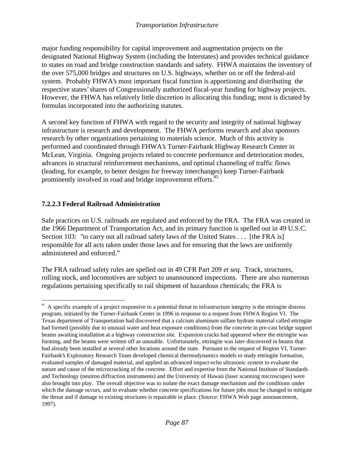major funding responsibility for capital improvement and augmentation projects on the designated National Highway System (including the Interstates) and provides technical guidance to states on road and bridge construction standards and safety. FHWA maintains the inventory of the over 575,000 bridges and structures on U.S. highways, whether on or off the federal-aid system. Probably FHWA's most important fiscal function is apportioning and distributing the respective states' shares of Congressionally authorized fiscal-year funding for highway projects. However, the FHWA has relatively little discretion in allocating this funding; most is dictated by formulas incorporated into the authorizing statutes.

A second key function of FHWA with regard to the security and integrity of national highway infrastructure is research and development. The FHWA performs research and also sponsors research by other organizations pertaining to materials science. Much of this activity is performed and coordinated through FHWA's Turner-Fairbank Highway Research Center in McLean, Virginia. Ongoing projects related to concrete performance and deterioration modes, advances in structural reinforcement mechanisms, and optimal channeling of traffic flows (leading, for example, to better designs for freeway interchanges) keep Turner-Fairbank prominently involved in road and bridge improvement efforts.<sup>85</sup>

### **7.2.2.3 Federal Railroad Administration**

Safe practices on U.S. railroads are regulated and enforced by the FRA. The FRA was created in the 1966 Department of Transportation Act, and its primary function is spelled out in 49 U.S.C. Section 103: "to carry out all railroad safety laws of the United States . . . [the FRA is] responsible for all acts taken under those laws and for ensuring that the laws are uniformly administered and enforced."

The FRA railroad safety rules are spelled out in 49 CFR Part 209 *et seq*. Track, structures, rolling stock, and locomotives are subject to unannounced inspections. There are also numerous regulations pertaining specifically to rail shipment of hazardous chemicals; the FRA is

<sup>&</sup>lt;sup>85</sup> A specific example of a project responsive to a potential threat to infrastructure integrity is the ettringite distress program, initiated by the Turner-Fairbank Center in 1996 in response to a request from FHWA Region VI. The Texas department of Transportation had discovered that a calcium aluminum sulfate hydrate material called ettringite had formed (possibly due to unusual water and heat exposure conditions) from the concrete in pre-cast bridge support beams awaiting installation at a highway construction site. Expansion cracks had appeared where the ettringite was forming, and the beams were written off as unusable. Unfortunately, ettringite was later discovered in beams that had already been installed at several other locations around the state. Pursuant to the request of Region VI, Turner-Fairbank's Exploratory Research Team developed chemical thermodynamics models to study ettringite formation, evaluated samples of damaged material, and applied an advanced impact-echo ultrasonic system to evaluate the nature and cause of the microcracking of the concrete. Effort and expertise from the National Institute of Standards and Technology (neutron diffraction instruments) and the University of Hawaii (laser scanning microscopes) were also brought into play. The overall objective was to isolate the exact damage mechanism and the conditions under which the damage occurs, and to evaluate whether concrete specifications for future jobs must be changed to mitigate the threat and if damage to existing structures is repairable in place. (Source: FHWA Web page announcement, 1997).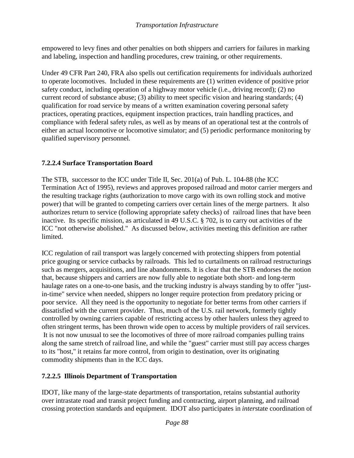empowered to levy fines and other penalties on both shippers and carriers for failures in marking and labeling, inspection and handling procedures, crew training, or other requirements.

Under 49 CFR Part 240, FRA also spells out certification requirements for individuals authorized to operate locomotives. Included in these requirements are (1) written evidence of positive prior safety conduct, including operation of a highway motor vehicle (i.e., driving record); (2) no current record of substance abuse; (3) ability to meet specific vision and hearing standards; (4) qualification for road service by means of a written examination covering personal safety practices, operating practices, equipment inspection practices, train handling practices, and compliance with federal safety rules, as well as by means of an operational test at the controls of either an actual locomotive or locomotive simulator; and (5) periodic performance monitoring by qualified supervisory personnel*.* 

# **7.2.2.4 Surface Transportation Board**

The STB, successor to the ICC under Title II, Sec. 201(a) of Pub. L. 104-88 (the ICC Termination Act of 1995), reviews and approves proposed railroad and motor carrier mergers and the resulting trackage rights (authorization to move cargo with its own rolling stock and motive power) that will be granted to competing carriers over certain lines of the merge partners. It also authorizes return to service (following appropriate safety checks) of railroad lines that have been inactive. Its specific mission, as articulated in 49 U.S.C. § 702, is to carry out activities of the ICC "not otherwise abolished." As discussed below, activities meeting this definition are rather limited.

ICC regulation of rail transport was largely concerned with protecting shippers from potential price gouging or service cutbacks by railroads. This led to curtailments on railroad restructurings such as mergers, acquisitions, and line abandonments. It is clear that the STB endorses the notion that, because shippers and carriers are now fully able to negotiate both short- and long-term haulage rates on a one-to-one basis, and the trucking industry is always standing by to offer "justin-time" service when needed, shippers no longer require protection from predatory pricing or poor service. All they need is the opportunity to negotiate for better terms from other carriers if dissatisfied with the current provider. Thus, much of the U.S. rail network, formerly tightly controlled by owning carriers capable of restricting access by other haulers unless they agreed to often stringent terms, has been thrown wide open to access by multiple providers of rail services. It is not now unusual to see the locomotives of three of more railroad companies pulling trains along the same stretch of railroad line, and while the "guest" carrier must still pay access charges to its "host," it retains far more control, from origin to destination, over its originating commodity shipments than in the ICC days.

# **7.2.2.5 Illinois Department of Transportation**

IDOT, like many of the large-state departments of transportation, retains substantial authority over intrastate road and transit project funding and contracting, airport planning, and railroad crossing protection standards and equipment. IDOT also participates in *inter*state coordination of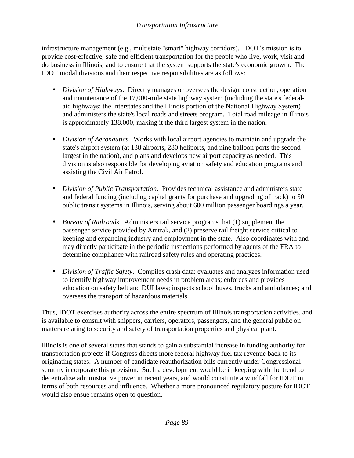### *Transportation Infrastructure*

infrastructure management (e.g., multistate "smart" highway corridors). IDOT's mission is to provide cost-effective, safe and efficient transportation for the people who live, work, visit and do business in Illinois, and to ensure that the system supports the state's economic growth. The IDOT modal divisions and their respective responsibilities are as follows:

- *Division of Highways*. Directly manages or oversees the design, construction, operation and maintenance of the 17,000-mile state highway system (including the state's federalaid highways: the Interstates and the Illinois portion of the National Highway System) and administers the state's local roads and streets program. Total road mileage in Illinois is approximately 138,000, making it the third largest system in the nation.
- *Division of Aeronautics*. Works with local airport agencies to maintain and upgrade the state's airport system (at 138 airports, 280 heliports, and nine balloon ports the second largest in the nation), and plans and develops new airport capacity as needed. This division is also responsible for developing aviation safety and education programs and assisting the Civil Air Patrol.
- • *Division of Public Transportation*. Provides technical assistance and administers state and federal funding (including capital grants for purchase and upgrading of track) to 50 public transit systems in Illinois, serving about 600 million passenger boardings a year.
- *Bureau of Railroads.* Administers rail service programs that (1) supplement the passenger service provided by Amtrak, and (2) preserve rail freight service critical to keeping and expanding industry and employment in the state. Also coordinates with and may directly participate in the periodic inspections performed by agents of the FRA to determine compliance with railroad safety rules and operating practices.
- *Division of Traffic Safety.* Compiles crash data; evaluates and analyzes information used to identify highway improvement needs in problem areas; enforces and provides education on safety belt and DUI laws; inspects school buses, trucks and ambulances; and oversees the transport of hazardous materials.

Thus, IDOT exercises authority across the entire spectrum of Illinois transportation activities, and is available to consult with shippers, carriers, operators, passengers, and the general public on matters relating to security and safety of transportation properties and physical plant.

Illinois is one of several states that stands to gain a substantial increase in funding authority for transportation projects if Congress directs more federal highway fuel tax revenue back to its originating states. A number of candidate reauthorization bills currently under Congressional scrutiny incorporate this provision. Such a development would be in keeping with the trend to decentralize administrative power in recent years, and would constitute a windfall for IDOT in terms of both resources and influence. Whether a more pronounced regulatory posture for IDOT would also ensue remains open to question.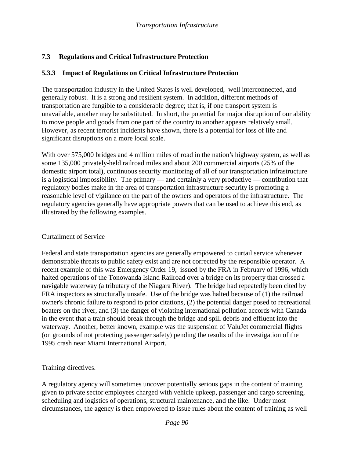## **7.3 Regulations and Critical Infrastructure Protection**

### **5.3.3 Impact of Regulations on Critical Infrastructure Protection**

The transportation industry in the United States is well developed, well interconnected, and generally robust. It is a strong and resilient system. In addition, different methods of transportation are fungible to a considerable degree; that is, if one transport system is unavailable, another may be substituted. In short, the potential for major disruption of our ability to move people and goods from one part of the country to another appears relatively small. However, as recent terrorist incidents have shown, there is a potential for loss of life and significant disruptions on a more local scale.

With over 575,000 bridges and 4 million miles of road in the nation's highway system, as well as some 135,000 privately-held railroad miles and about 200 commercial airports (25% of the domestic airport total), continuous security monitoring of all of our transportation infrastructure is a logistical impossibility. The primary — and certainly a very productive — contribution that regulatory bodies make in the area of transportation infrastructure security is promoting a reasonable level of vigilance on the part of the owners and operators of the infrastructure. The regulatory agencies generally have appropriate powers that can be used to achieve this end, as illustrated by the following examples.

### Curtailment of Service

Federal and state transportation agencies are generally empowered to curtail service whenever demonstrable threats to public safety exist and are not corrected by the responsible operator. A recent example of this was Emergency Order 19, issued by the FRA in February of 1996, which halted operations of the Tonowanda Island Railroad over a bridge on its property that crossed a navigable waterway (a tributary of the Niagara River). The bridge had repeatedly been cited by FRA inspectors as structurally unsafe. Use of the bridge was halted because of (1) the railroad owner's chronic failure to respond to prior citations, (2) the potential danger posed to recreational boaters on the river, and (3) the danger of violating international pollution accords with Canada in the event that a train should break through the bridge and spill debris and effluent into the waterway. Another, better known, example was the suspension of ValuJet commercial flights (on grounds of not protecting passenger safety) pending the results of the investigation of the 1995 crash near Miami International Airport.

### Training directives.

A regulatory agency will sometimes uncover potentially serious gaps in the content of training given to private sector employees charged with vehicle upkeep, passenger and cargo screening, scheduling and logistics of operations, structural maintenance, and the like. Under most circumstances, the agency is then empowered to issue rules about the content of training as well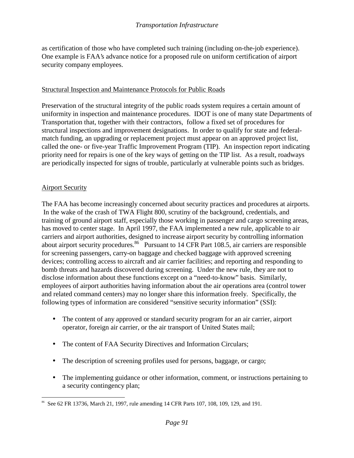as certification of those who have completed such training (including on-the-job experience). One example is FAA's advance notice for a proposed rule on uniform certification of airport security company employees.

## Structural Inspection and Maintenance Protocols for Public Roads

Preservation of the structural integrity of the public roads system requires a certain amount of uniformity in inspection and maintenance procedures. IDOT is one of many state Departments of Transportation that, together with their contractors, follow a fixed set of procedures for structural inspections and improvement designations. In order to qualify for state and federalmatch funding, an upgrading or replacement project must appear on an approved project list, called the one- or five-year Traffic Improvement Program (TIP). An inspection report indicating priority need for repairs is one of the key ways of getting on the TIP list. As a result, roadways are periodically inspected for signs of trouble, particularly at vulnerable points such as bridges.

# Airport Security

The FAA has become increasingly concerned about security practices and procedures at airports. In the wake of the crash of TWA Flight 800, scrutiny of the background, credentials, and training of ground airport staff, especially those working in passenger and cargo screening areas, has moved to center stage. In April 1997, the FAA implemented a new rule, applicable to air carriers and airport authorities, designed to increase airport security by controlling information about airport security procedures.<sup>86</sup> Pursuant to 14 CFR Part 108.5, air carriers are responsible for screening passengers, carry-on baggage and checked baggage with approved screening devices; controlling access to aircraft and air carrier facilities; and reporting and responding to bomb threats and hazards discovered during screening. Under the new rule, they are not to disclose information about these functions except on a "need-to-know" basis. Similarly, employees of airport authorities having information about the air operations area (control tower and related command centers) may no longer share this information freely. Specifically, the following types of information are considered "sensitive security information" (SSI):

- The content of any approved or standard security program for an air carrier, airport operator, foreign air carrier, or the air transport of United States mail;
- The content of FAA Security Directives and Information Circulars;
- The description of screening profiles used for persons, baggage, or cargo;
- The implementing guidance or other information, comment, or instructions pertaining to a security contingency plan;

See 62 FR 13736, March 21, 1997, rule amending 14 CFR Parts 107, 108, 109, 129, and 191. 86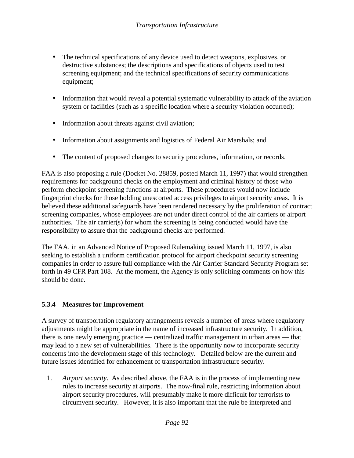- The technical specifications of any device used to detect weapons, explosives, or destructive substances; the descriptions and specifications of objects used to test screening equipment; and the technical specifications of security communications equipment;
- Information that would reveal a potential systematic vulnerability to attack of the aviation system or facilities (such as a specific location where a security violation occurred);
- Information about threats against civil aviation;
- Information about assignments and logistics of Federal Air Marshals; and
- The content of proposed changes to security procedures, information, or records.

FAA is also proposing a rule (Docket No. 28859, posted March 11, 1997) that would strengthen requirements for background checks on the employment and criminal history of those who perform checkpoint screening functions at airports. These procedures would now include fingerprint checks for those holding unescorted access privileges to airport security areas. It is believed these additional safeguards have been rendered necessary by the proliferation of contract screening companies, whose employees are not under direct control of the air carriers or airport authorities. The air carrier(s) for whom the screening is being conducted would have the responsibility to assure that the background checks are performed.

The FAA, in an Advanced Notice of Proposed Rulemaking issued March 11, 1997, is also seeking to establish a uniform certification protocol for airport checkpoint security screening companies in order to assure full compliance with the Air Carrier Standard Security Program set forth in 49 CFR Part 108. At the moment, the Agency is only soliciting comments on how this should be done.

## **5.3.4 Measures for Improvement**

A survey of transportation regulatory arrangements reveals a number of areas where regulatory adjustments might be appropriate in the name of increased infrastructure security. In addition, there is one newly emerging practice — centralized traffic management in urban areas — that may lead to a new set of vulnerabilities. There is the opportunity now to incorporate security concerns into the development stage of this technology. Detailed below are the current and future issues identified for enhancement of transportation infrastructure security.

1. *Airport security*. As described above, the FAA is in the process of implementing new rules to increase security at airports. The now-final rule, restricting information about airport security procedures, will presumably make it more difficult for terrorists to circumvent security. However, it is also important that the rule be interpreted and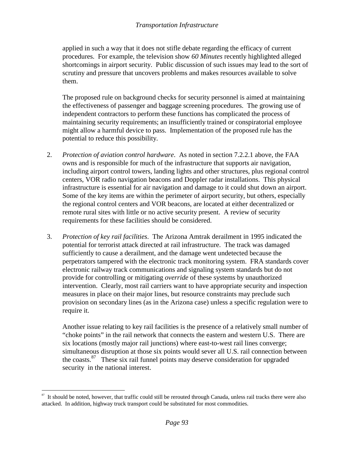#### *Transportation Infrastructure*

applied in such a way that it does not stifle debate regarding the efficacy of current procedures. For example, the television show *60 Minutes* recently highlighted alleged shortcomings in airport security. Public discussion of such issues may lead to the sort of scrutiny and pressure that uncovers problems and makes resources available to solve them.

The proposed rule on background checks for security personnel is aimed at maintaining the effectiveness of passenger and baggage screening procedures. The growing use of independent contractors to perform these functions has complicated the process of maintaining security requirements; an insufficiently trained or conspiratorial employee might allow a harmful device to pass. Implementation of the proposed rule has the potential to reduce this possibility.

- 2. *Protection of aviation control hardware*. As noted in section 7.2.2.1 above, the FAA owns and is responsible for much of the infrastructure that supports air navigation, including airport control towers, landing lights and other structures, plus regional control centers, VOR radio navigation beacons and Doppler radar installations. This physical infrastructure is essential for air navigation and damage to it could shut down an airport. Some of the key items are within the perimeter of airport security, but others, especially the regional control centers and VOR beacons, are located at either decentralized or remote rural sites with little or no active security present. A review of security requirements for these facilities should be considered.
- 3. *Protection of key rail facilities*. The Arizona Amtrak derailment in 1995 indicated the potential for terrorist attack directed at rail infrastructure. The track was damaged sufficiently to cause a derailment, and the damage went undetected because the perpetrators tampered with the electronic track monitoring system. FRA standards cover electronic railway track communications and signaling system standards but do not provide for controlling or mitigating *override* of these systems by unauthorized intervention. Clearly, most rail carriers want to have appropriate security and inspection measures in place on their major lines, but resource constraints may preclude such provision on secondary lines (as in the Arizona case) unless a specific regulation were to require it.

Another issue relating to key rail facilities is the presence of a relatively small number of "choke points" in the rail network that connects the eastern and western U.S. There are six locations (mostly major rail junctions) where east-to-west rail lines converge; simultaneous disruption at those six points would sever all U.S. rail connection between the coasts.<sup>87</sup> These six rail funnel points may deserve consideration for upgraded security in the national interest.

It should be noted, however, that traffic could still be rerouted through Canada, unless rail tracks there were also attacked. In addition, highway truck transport could be substituted for most commodities. 87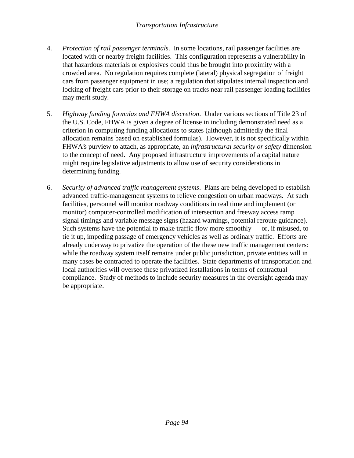### *Transportation Infrastructure*

- 4. *Protection of rail passenger terminals*. In some locations, rail passenger facilities are located with or nearby freight facilities. This configuration represents a vulnerability in that hazardous materials or explosives could thus be brought into proximity with a crowded area. No regulation requires complete (lateral) physical segregation of freight cars from passenger equipment in use; a regulation that stipulates internal inspection and locking of freight cars prior to their storage on tracks near rail passenger loading facilities may merit study.
- 5. *Highway funding formulas and FHWA discretion*. Under various sections of Title 23 of the U.S. Code, FHWA is given a degree of license in including demonstrated need as a criterion in computing funding allocations to states (although admittedly the final allocation remains based on established formulas). However, it is not specifically within FHWA's purview to attach, as appropriate, an *infrastructural security or safety* dimension to the concept of need. Any proposed infrastructure improvements of a capital nature might require legislative adjustments to allow use of security considerations in determining funding.
- 6. *Security of advanced traffic management systems*. Plans are being developed to establish advanced traffic-management systems to relieve congestion on urban roadways. At such facilities, personnel will monitor roadway conditions in real time and implement (or monitor) computer-controlled modification of intersection and freeway access ramp signal timings and variable message signs (hazard warnings, potential reroute guidance). Such systems have the potential to make traffic flow more smoothly  $-$  or, if misused, to tie it up, impeding passage of emergency vehicles as well as ordinary traffic. Efforts are already underway to privatize the operation of the these new traffic management centers: while the roadway system itself remains under public jurisdiction, private entities will in many cases be contracted to operate the facilities. State departments of transportation and local authorities will oversee these privatized installations in terms of contractual compliance. Study of methods to include security measures in the oversight agenda may be appropriate.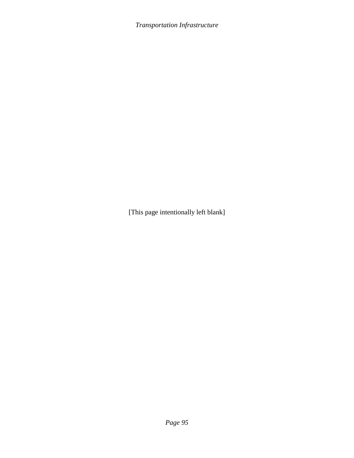[This page intentionally left blank]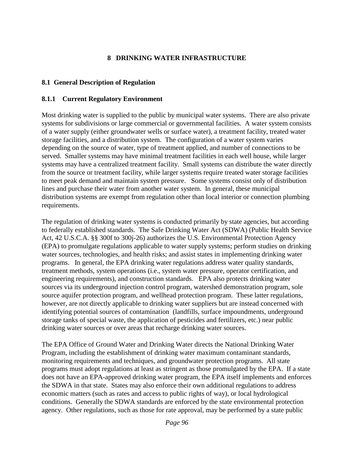### **8 DRINKING WATER INFRASTRUCTURE**

### **8.1 General Description of Regulation**

### **8.1.1 Current Regulatory Environment**

Most drinking water is supplied to the public by municipal water systems. There are also private systems for subdivisions or large commercial or governmental facilities. A water system consists of a water supply (either groundwater wells or surface water), a treatment facility, treated water storage facilities, and a distribution system. The configuration of a water system varies depending on the source of water, type of treatment applied, and number of connections to be served. Smaller systems may have minimal treatment facilities in each well house, while larger systems may have a centralized treatment facility. Small systems can distribute the water directly from the source or treatment facility, while larger systems require treated water storage facilities to meet peak demand and maintain system pressure. Some systems consist only of distribution lines and purchase their water from another water system. In general, these municipal distribution systems are exempt from regulation other than local interior or connection plumbing requirements.

The regulation of drinking water systems is conducted primarily by state agencies, but according to federally established standards. The Safe Drinking Water Act (SDWA) (Public Health Service Act, 42 U.S.C.A. §§ 300f to 300j-26) authorizes the U.S. Environmental Protection Agency (EPA) to promulgate regulations applicable to water supply systems; perform studies on drinking water sources, technologies, and health risks; and assist states in implementing drinking water programs. In general, the EPA drinking water regulations address water quality standards, treatment methods, system operations (i.e., system water pressure, operator certification, and engineering requirements), and construction standards. EPA also protects drinking water sources via its underground injection control program, watershed demonstration program, sole source aquifer protection program, and wellhead protection program. These latter regulations, however, are not directly applicable to drinking water suppliers but are instead concerned with identifying potential sources of contamination (landfills, surface impoundments, underground storage tanks of special waste, the application of pesticides and fertilizers, etc.) near public drinking water sources or over areas that recharge drinking water sources.

The EPA Office of Ground Water and Drinking Water directs the National Drinking Water Program, including the establishment of drinking water maximum contaminant standards, monitoring requirements and techniques, and groundwater protection programs. All state programs must adopt regulations at least as stringent as those promulgated by the EPA. If a state does not have an EPA-approved drinking water program, the EPA itself implements and enforces the SDWA in that state. States may also enforce their own additional regulations to address economic matters (such as rates and access to public rights of way), or local hydrological conditions. Generally the SDWA standards are enforced by the state environmental protection agency. Other regulations, such as those for rate approval, may be performed by a state public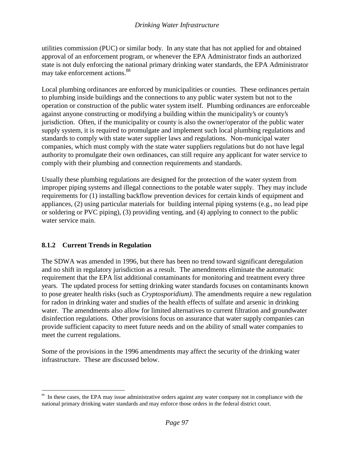utilities commission (PUC) or similar body. In any state that has not applied for and obtained approval of an enforcement program, or whenever the EPA Administrator finds an authorized state is not duly enforcing the national primary drinking water standards, the EPA Administrator may take enforcement actions.<sup>88</sup>

Local plumbing ordinances are enforced by municipalities or counties. These ordinances pertain to plumbing inside buildings and the connections to any public water system but not to the operation or construction of the public water system itself. Plumbing ordinances are enforceable against anyone constructing or modifying a building within the municipality's or county's jurisdiction. Often, if the municipality or county is also the owner/operator of the public water supply system, it is required to promulgate and implement such local plumbing regulations and standards to comply with state water supplier laws and regulations. Non-municipal water companies, which must comply with the state water suppliers regulations but do not have legal authority to promulgate their own ordinances, can still require any applicant for water service to comply with their plumbing and connection requirements and standards.

Usually these plumbing regulations are designed for the protection of the water system from improper piping systems and illegal connections to the potable water supply. They may include requirements for (1) installing backflow prevention devices for certain kinds of equipment and appliances, (2) using particular materials for building internal piping systems (e.g., no lead pipe or soldering or PVC piping), (3) providing venting, and (4) applying to connect to the public water service main.

## **8.1.2 Current Trends in Regulation**

The SDWA was amended in 1996, but there has been no trend toward significant deregulation and no shift in regulatory jurisdiction as a result. The amendments eliminate the automatic requirement that the EPA list additional contaminants for monitoring and treatment every three years. The updated process for setting drinking water standards focuses on contaminants known to pose greater health risks (such as *Cryptosporidium)*. The amendments require a new regulation for radon in drinking water and studies of the health effects of sulfate and arsenic in drinking water. The amendments also allow for limited alternatives to current filtration and groundwater disinfection regulations. Other provisions focus on assurance that water supply companies can provide sufficient capacity to meet future needs and on the ability of small water companies to meet the current regulations.

Some of the provisions in the 1996 amendments may affect the security of the drinking water infrastructure. These are discussed below.

In these cases, the EPA may issue administrative orders against any water company not in compliance with the national primary drinking water standards and may enforce those orders in the federal district court.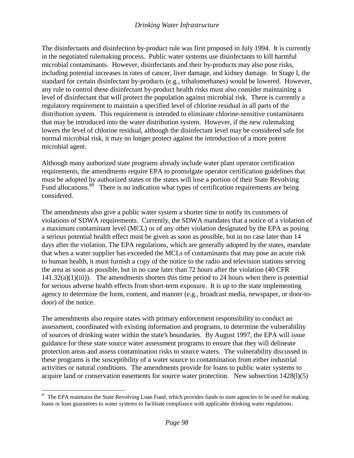#### *Drinking Water Infrastructure*

The disinfectants and disinfection by-product rule was first proposed in July 1994. It is currently in the negotiated rulemaking process. Public water systems use disinfectants to kill harmful microbial contaminants. However, disinfectants and their by-products may also pose risks, including potential increases in rates of cancer, liver damage, and kidney damage. In Stage I, the standard for certain disinfectant by-products (e.g., trihalomethanes) would be lowered. However, any rule to control these disinfectant by-product health risks must also consider maintaining a level of disinfectant that will protect the population against microbial risk. There is currently a regulatory requirement to maintain a specified level of chlorine residual in all parts of the distribution system. This requirement is intended to eliminate chlorine-sensitive contaminants that may be introduced into the water distribution system. However, if the new rulemaking lowers the level of chlorine residual, although the disinfectant level may be considered safe for normal microbial risk, it may no longer protect against the introduction of a more potent microbial agent.

Although many authorized state programs already include water plant operator certification requirements, the amendments require EPA to promulgate operator certification guidelines that must be adopted by authorized states or the states will lose a portion of their State Revolving Fund allocations.<sup>89</sup> There is no indication what types of certification requirements are being considered.

The amendments also give a public water system a shorter time to notify its customers of violations of SDWA requirements. Currently, the SDWA mandates that a notice of a violation of a maximum contaminant level (MCL) or of any other violation designated by the EPA as posing a serious potential health effect must be given as soon as possible, but in no case later than 14 days after the violation. The EPA regulations, which are generally adopted by the states, mandate that when a water supplier has exceeded the MCLs of contaminants that may pose an acute risk to human health, it must furnish a copy of the notice to the radio and television stations serving the area as soon as possible, but in no case later than 72 hours after the violation (40 CFR  $141.32(a)(1)(iii)$ . The amendments shorten this time period to 24 hours when there is potential for serious adverse health effects from short-term exposure. It is up to the state implementing agency to determine the form, content, and manner (e.g., broadcast media, newspaper, or door-todoor) of the notice.

The amendments also require states with primary enforcement responsibility to conduct an assessment, coordinated with existing information and programs, to determine the vulnerability of sources of drinking water within the state's boundaries. By August 1997, the EPA will issue guidance for these state source water assessment programs to ensure that they will delineate protection areas and assess contamination risks to source waters. The vulnerability discussed in these programs is the susceptibility of a water source to contamination from either industrial activities or natural conditions. The amendments provide for loans to public water systems to acquire land or conservation easements for source water protection. New subsection 1428(l)(5)

<sup>&</sup>lt;sup>89</sup> The EPA maintains the State Revolving Loan Fund, which provides funds to state agencies to be used for making loans or loan guarantees to water systems to facilitate compliance with applicable drinking water regulations.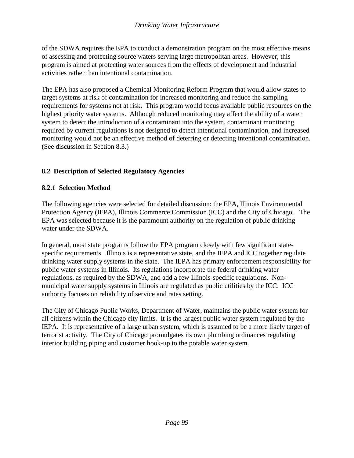of the SDWA requires the EPA to conduct a demonstration program on the most effective means of assessing and protecting source waters serving large metropolitan areas. However, this program is aimed at protecting water sources from the effects of development and industrial activities rather than intentional contamination.

The EPA has also proposed a Chemical Monitoring Reform Program that would allow states to target systems at risk of contamination for increased monitoring and reduce the sampling requirements for systems not at risk. This program would focus available public resources on the highest priority water systems. Although reduced monitoring may affect the ability of a water system to detect the introduction of a contaminant into the system, contaminant monitoring required by current regulations is not designed to detect intentional contamination, and increased monitoring would not be an effective method of deterring or detecting intentional contamination. (See discussion in Section 8.3.)

# **8.2 Description of Selected Regulatory Agencies**

### **8.2.1 Selection Method**

The following agencies were selected for detailed discussion: the EPA, Illinois Environmental Protection Agency (IEPA), Illinois Commerce Commission (ICC) and the City of Chicago. The EPA was selected because it is the paramount authority on the regulation of public drinking water under the SDWA.

In general, most state programs follow the EPA program closely with few significant statespecific requirements. Illinois is a representative state, and the IEPA and ICC together regulate drinking water supply systems in the state. The IEPA has primary enforcement responsibility for public water systems in Illinois. Its regulations incorporate the federal drinking water regulations, as required by the SDWA, and add a few Illinois-specific regulations. Nonmunicipal water supply systems in Illinois are regulated as public utilities by the ICC. ICC authority focuses on reliability of service and rates setting.

The City of Chicago Public Works, Department of Water, maintains the public water system for all citizens within the Chicago city limits. It is the largest public water system regulated by the IEPA. It is representative of a large urban system, which is assumed to be a more likely target of terrorist activity. The City of Chicago promulgates its own plumbing ordinances regulating interior building piping and customer hook-up to the potable water system.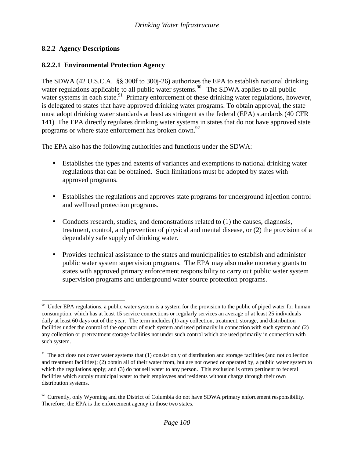# **8.2.2 Agency Descriptions**

### **8.2.2.1 Environmental Protection Agency**

The SDWA (42 U.S.C.A. §§ 300f to 300j-26) authorizes the EPA to establish national drinking water regulations applicable to all public water systems.<sup>90</sup> The SDWA applies to all public water systems in each state.<sup>91</sup> Primary enforcement of these drinking water regulations, however, is delegated to states that have approved drinking water programs. To obtain approval, the state must adopt drinking water standards at least as stringent as the federal (EPA) standards (40 CFR 141) The EPA directly regulates drinking water systems in states that do not have approved state programs or where state enforcement has broken down.<sup>92</sup>

The EPA also has the following authorities and functions under the SDWA:

- Establishes the types and extents of variances and exemptions to national drinking water regulations that can be obtained. Such limitations must be adopted by states with approved programs.
- Establishes the regulations and approves state programs for underground injection control and wellhead protection programs.
- Conducts research, studies, and demonstrations related to (1) the causes, diagnosis, treatment, control, and prevention of physical and mental disease, or (2) the provision of a dependably safe supply of drinking water.
- Provides technical assistance to the states and municipalities to establish and administer public water system supervision programs. The EPA may also make monetary grants to states with approved primary enforcement responsibility to carry out public water system supervision programs and underground water source protection programs.

<sup>&</sup>lt;sup>90</sup> Under EPA regulations, a public water system is a system for the provision to the public of piped water for human consumption, which has at least 15 service connections or regularly services an average of at least 25 individuals daily at least 60 days out of the year. The term includes (1) any collection, treatment, storage, and distribution facilities under the control of the operator of such system and used primarily in connection with such system and (2) any collection or pretreatment storage facilities not under such control which are used primarily in connection with such system.

 $91$  The act does not cover water systems that (1) consist only of distribution and storage facilities (and not collection and treatment facilities); (2) obtain all of their water from, but are not owned or operated by, a public water system to which the regulations apply; and (3) do not sell water to any person. This exclusion is often pertinent to federal facilities which supply municipal water to their employees and residents without charge through their own distribution systems.

<sup>&</sup>lt;sup>92</sup> Currently, only Wyoming and the District of Columbia do not have SDWA primary enforcement responsibility. Therefore, the EPA is the enforcement agency in those two states.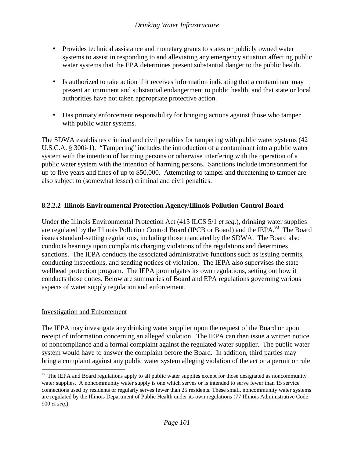- Provides technical assistance and monetary grants to states or publicly owned water systems to assist in responding to and alleviating any emergency situation affecting public water systems that the EPA determines present substantial danger to the public health.
- Is authorized to take action if it receives information indicating that a contaminant may present an imminent and substantial endangerment to public health, and that state or local authorities have not taken appropriate protective action.
- Has primary enforcement responsibility for bringing actions against those who tamper with public water systems.

The SDWA establishes criminal and civil penalties for tampering with public water systems (42 U.S.C.A. § 300i-1). "Tampering" includes the introduction of a contaminant into a public water system with the intention of harming persons or otherwise interfering with the operation of a public water system with the intention of harming persons. Sanctions include imprisonment for up to five years and fines of up to \$50,000. Attempting to tamper and threatening to tamper are also subject to (somewhat lesser) criminal and civil penalties.

# **8.2.2.2 Illinois Environmental Protection Agency/Illinois Pollution Control Board**

Under the Illinois Environmental Protection Act (415 ILCS 5/1 *et seq.*), drinking water supplies are regulated by the Illinois Pollution Control Board (IPCB or Board) and the IEPA.<sup>93</sup> The Board issues standard-setting regulations, including those mandated by the SDWA. The Board also conducts hearings upon complaints charging violations of the regulations and determines sanctions. The IEPA conducts the associated administrative functions such as issuing permits, conducting inspections, and sending notices of violation. The IEPA also supervises the state wellhead protection program. The IEPA promulgates its own regulations, setting out how it conducts those duties. Below are summaries of Board and EPA regulations governing various aspects of water supply regulation and enforcement.

## Investigation and Enforcement

The IEPA may investigate any drinking water supplier upon the request of the Board or upon receipt of information concerning an alleged violation. The IEPA can then issue a written notice of noncompliance and a formal complaint against the regulated water supplier. The public water system would have to answer the complaint before the Board. In addition, third parties may bring a complaint against any public water system alleging violation of the act or a permit or rule

<sup>&</sup>lt;sup>93</sup> The IEPA and Board regulations apply to all public water supplies except for those designated as noncommunity water supplies. A noncommunity water supply is one which serves or is intended to serve fewer than 15 service connections used by residents or regularly serves fewer than 25 residents. These small, noncommunity water systems are regulated by the Illinois Department of Public Health under its own regulations (77 Illinois Administrative Code 900 *et seq.*).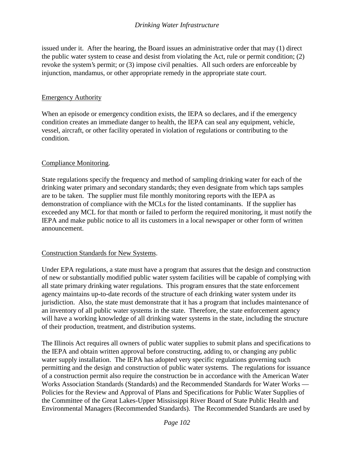issued under it. After the hearing, the Board issues an administrative order that may (1) direct the public water system to cease and desist from violating the Act, rule or permit condition; (2) revoke the system's permit; or (3) impose civil penalties. All such orders are enforceable by injunction, mandamus, or other appropriate remedy in the appropriate state court.

### Emergency Authority

When an episode or emergency condition exists, the IEPA so declares, and if the emergency condition creates an immediate danger to health, the IEPA can seal any equipment, vehicle, vessel, aircraft, or other facility operated in violation of regulations or contributing to the condition.

## Compliance Monitoring.

State regulations specify the frequency and method of sampling drinking water for each of the drinking water primary and secondary standards; they even designate from which taps samples are to be taken. The supplier must file monthly monitoring reports with the IEPA as demonstration of compliance with the MCLs for the listed contaminants. If the supplier has exceeded any MCL for that month or failed to perform the required monitoring, it must notify the IEPA and make public notice to all its customers in a local newspaper or other form of written announcement.

### Construction Standards for New Systems.

Under EPA regulations, a state must have a program that assures that the design and construction of new or substantially modified public water system facilities will be capable of complying with all state primary drinking water regulations. This program ensures that the state enforcement agency maintains up-to-date records of the structure of each drinking water system under its jurisdiction. Also, the state must demonstrate that it has a program that includes maintenance of an inventory of all public water systems in the state. Therefore, the state enforcement agency will have a working knowledge of all drinking water systems in the state, including the structure of their production, treatment, and distribution systems.

The Illinois Act requires all owners of public water supplies to submit plans and specifications to the IEPA and obtain written approval before constructing, adding to, or changing any public water supply installation. The IEPA has adopted very specific regulations governing such permitting and the design and construction of public water systems. The regulations for issuance of a construction permit also require the construction be in accordance with the American Water Works Association Standards (Standards) and the Recommended Standards for Water Works — Policies for the Review and Approval of Plans and Specifications for Public Water Supplies of the Committee of the Great Lakes-Upper Mississippi River Board of State Public Health and Environmental Managers (Recommended Standards). The Recommended Standards are used by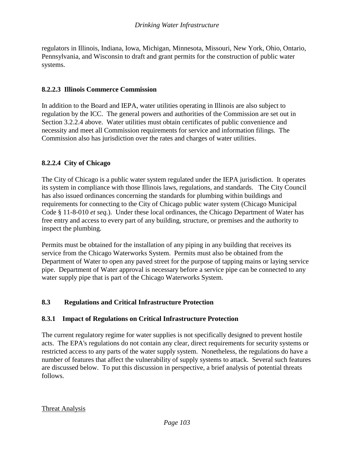regulators in Illinois, Indiana, Iowa, Michigan, Minnesota, Missouri, New York, Ohio, Ontario, Pennsylvania, and Wisconsin to draft and grant permits for the construction of public water systems.

### **8.2.2.3 Illinois Commerce Commission**

In addition to the Board and IEPA, water utilities operating in Illinois are also subject to regulation by the ICC. The general powers and authorities of the Commission are set out in Section 3.2.2.4 above. Water utilities must obtain certificates of public convenience and necessity and meet all Commission requirements for service and information filings. The Commission also has jurisdiction over the rates and charges of water utilities.

## **8.2.2.4 City of Chicago**

The City of Chicago is a public water system regulated under the IEPA jurisdiction. It operates its system in compliance with those Illinois laws, regulations, and standards. The City Council has also issued ordinances concerning the standards for plumbing within buildings and requirements for connecting to the City of Chicago public water system (Chicago Municipal Code § 11-8-010 *et seq.*). Under these local ordinances, the Chicago Department of Water has free entry and access to every part of any building, structure, or premises and the authority to inspect the plumbing.

Permits must be obtained for the installation of any piping in any building that receives its service from the Chicago Waterworks System. Permits must also be obtained from the Department of Water to open any paved street for the purpose of tapping mains or laying service pipe. Department of Water approval is necessary before a service pipe can be connected to any water supply pipe that is part of the Chicago Waterworks System.

### **8.3 Regulations and Critical Infrastructure Protection**

### **8.3.1 Impact of Regulations on Critical Infrastructure Protection**

The current regulatory regime for water supplies is not specifically designed to prevent hostile acts. The EPA's regulations do not contain any clear, direct requirements for security systems or restricted access to any parts of the water supply system. Nonetheless, the regulations do have a number of features that affect the vulnerability of supply systems to attack. Several such features are discussed below. To put this discussion in perspective, a brief analysis of potential threats follows.

**Threat Analysis**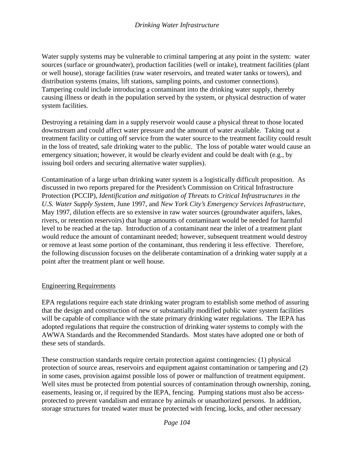Water supply systems may be vulnerable to criminal tampering at any point in the system: water sources (surface or groundwater), production facilities (well or intake), treatment facilities (plant or well house), storage facilities (raw water reservoirs, and treated water tanks or towers), and distribution systems (mains, lift stations, sampling points, and customer connections). Tampering could include introducing a contaminant into the drinking water supply, thereby causing illness or death in the population served by the system, or physical destruction of water system facilities.

Destroying a retaining dam in a supply reservoir would cause a physical threat to those located downstream and could affect water pressure and the amount of water available. Taking out a treatment facility or cutting off service from the water source to the treatment facility could result in the loss of treated, safe drinking water to the public. The loss of potable water would cause an emergency situation; however, it would be clearly evident and could be dealt with (e.g., by issuing boil orders and securing alternative water supplies).

Contamination of a large urban drinking water system is a logistically difficult proposition. As discussed in two reports prepared for the President's Commission on Critical Infrastructure Protection (PCCIP), *Identification and mitigation of Threats to Critical Infrastructures in the U.S. Water Supply System*, June 1997, and *New York City's Emergency Services Infrastructure*, May 1997, dilution effects are so extensive in raw water sources (groundwater aquifers, lakes, rivers, or retention reservoirs) that huge amounts of contaminant would be needed for harmful level to be reached at the tap. Introduction of a contaminant near the inlet of a treatment plant would reduce the amount of contaminant needed; however, subsequent treatment would destroy or remove at least some portion of the contaminant, thus rendering it less effective. Therefore, the following discussion focuses on the deliberate contamination of a drinking water supply at a point after the treatment plant or well house.

## Engineering Requirements

EPA regulations require each state drinking water program to establish some method of assuring that the design and construction of new or substantially modified public water system facilities will be capable of compliance with the state primary drinking water regulations. The IEPA has adopted regulations that require the construction of drinking water systems to comply with the AWWA Standards and the Recommended Standards. Most states have adopted one or both of these sets of standards.

These construction standards require certain protection against contingencies: (1) physical protection of source areas, reservoirs and equipment against contamination or tampering and (2) in some cases, provision against possible loss of power or malfunction of treatment equipment. Well sites must be protected from potential sources of contamination through ownership, zoning, easements, leasing or, if required by the IEPA, fencing. Pumping stations must also be accessprotected to prevent vandalism and entrance by animals or unauthorized persons. In addition, storage structures for treated water must be protected with fencing, locks, and other necessary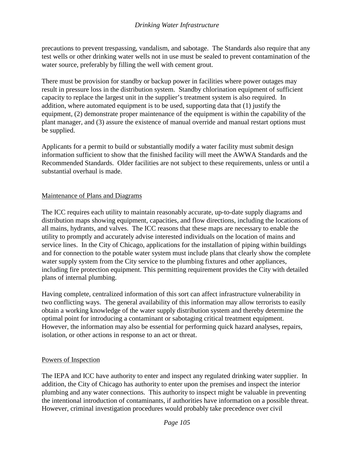precautions to prevent trespassing, vandalism, and sabotage. The Standards also require that any test wells or other drinking water wells not in use must be sealed to prevent contamination of the water source, preferably by filling the well with cement grout.

There must be provision for standby or backup power in facilities where power outages may result in pressure loss in the distribution system. Standby chlorination equipment of sufficient capacity to replace the largest unit in the supplier's treatment system is also required. In addition, where automated equipment is to be used, supporting data that (1) justify the equipment, (2) demonstrate proper maintenance of the equipment is within the capability of the plant manager, and (3) assure the existence of manual override and manual restart options must be supplied.

Applicants for a permit to build or substantially modify a water facility must submit design information sufficient to show that the finished facility will meet the AWWA Standards and the Recommended Standards. Older facilities are not subject to these requirements, unless or until a substantial overhaul is made.

## Maintenance of Plans and Diagrams

The ICC requires each utility to maintain reasonably accurate, up-to-date supply diagrams and distribution maps showing equipment, capacities, and flow directions, including the locations of all mains, hydrants, and valves. The ICC reasons that these maps are necessary to enable the utility to promptly and accurately advise interested individuals on the location of mains and service lines. In the City of Chicago, applications for the installation of piping within buildings and for connection to the potable water system must include plans that clearly show the complete water supply system from the City service to the plumbing fixtures and other appliances, including fire protection equipment. This permitting requirement provides the City with detailed plans of internal plumbing.

Having complete, centralized information of this sort can affect infrastructure vulnerability in two conflicting ways. The general availability of this information may allow terrorists to easily obtain a working knowledge of the water supply distribution system and thereby determine the optimal point for introducing a contaminant or sabotaging critical treatment equipment. However, the information may also be essential for performing quick hazard analyses, repairs, isolation, or other actions in response to an act or threat.

## Powers of Inspection

The IEPA and ICC have authority to enter and inspect any regulated drinking water supplier. In addition, the City of Chicago has authority to enter upon the premises and inspect the interior plumbing and any water connections. This authority to inspect might be valuable in preventing the intentional introduction of contaminants, if authorities have information on a possible threat. However, criminal investigation procedures would probably take precedence over civil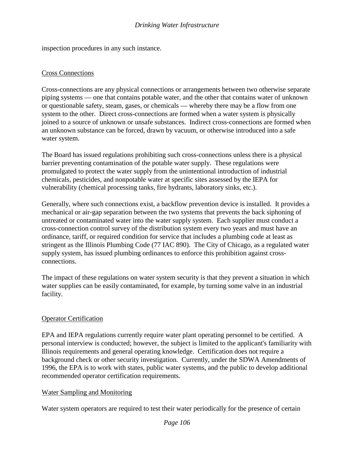inspection procedures in any such instance.

## Cross Connections

Cross-connections are any physical connections or arrangements between two otherwise separate piping systems — one that contains potable water, and the other that contains water of unknown or questionable safety, steam, gases, or chemicals — whereby there may be a flow from one system to the other. Direct cross-connections are formed when a water system is physically joined to a source of unknown or unsafe substances. Indirect cross-connections are formed when an unknown substance can be forced, drawn by vacuum, or otherwise introduced into a safe water system.

The Board has issued regulations prohibiting such cross-connections unless there is a physical barrier preventing contamination of the potable water supply. These regulations were promulgated to protect the water supply from the unintentional introduction of industrial chemicals, pesticides, and nonpotable water at specific sites assessed by the IEPA for vulnerability (chemical processing tanks, fire hydrants, laboratory sinks, etc.).

Generally, where such connections exist, a backflow prevention device is installed. It provides a mechanical or air-gap separation between the two systems that prevents the back siphoning of untreated or contaminated water into the water supply system. Each supplier must conduct a cross-connection control survey of the distribution system every two years and must have an ordinance, tariff, or required condition for service that includes a plumbing code at least as stringent as the Illinois Plumbing Code (77 IAC 890). The City of Chicago, as a regulated water supply system, has issued plumbing ordinances to enforce this prohibition against crossconnections.

The impact of these regulations on water system security is that they prevent a situation in which water supplies can be easily contaminated, for example, by turning some valve in an industrial facility.

## Operator Certification

EPA and IEPA regulations currently require water plant operating personnel to be certified. A personal interview is conducted; however, the subject is limited to the applicant's familiarity with Illinois requirements and general operating knowledge. Certification does not require a background check or other security investigation. Currently, under the SDWA Amendments of 1996, the EPA is to work with states, public water systems, and the public to develop additional recommended operator certification requirements.

## Water Sampling and Monitoring

Water system operators are required to test their water periodically for the presence of certain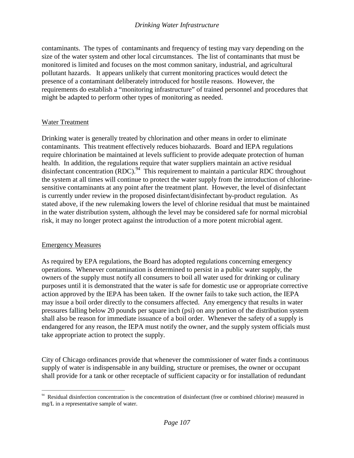contaminants. The types of contaminants and frequency of testing may vary depending on the size of the water system and other local circumstances. The list of contaminants that must be monitored is limited and focuses on the most common sanitary, industrial, and agricultural pollutant hazards. It appears unlikely that current monitoring practices would detect the presence of a contaminant deliberately introduced for hostile reasons. However, the requirements do establish a "monitoring infrastructure" of trained personnel and procedures that might be adapted to perform other types of monitoring as needed.

## Water Treatment

Drinking water is generally treated by chlorination and other means in order to eliminate contaminants. This treatment effectively reduces biohazards. Board and IEPA regulations require chlorination be maintained at levels sufficient to provide adequate protection of human health. In addition, the regulations require that water suppliers maintain an active residual disinfectant concentration  $(RDC)$ .<sup>94</sup> This requirement to maintain a particular RDC throughout the system at all times will continue to protect the water supply from the introduction of chlorinesensitive contaminants at any point after the treatment plant. However, the level of disinfectant is currently under review in the proposed disinfectant/disinfectant by-product regulation. As stated above, if the new rulemaking lowers the level of chlorine residual that must be maintained in the water distribution system, although the level may be considered safe for normal microbial risk, it may no longer protect against the introduction of a more potent microbial agent.

## Emergency Measures

As required by EPA regulations, the Board has adopted regulations concerning emergency operations. Whenever contamination is determined to persist in a public water supply, the owners of the supply must notify all consumers to boil all water used for drinking or culinary purposes until it is demonstrated that the water is safe for domestic use or appropriate corrective action approved by the IEPA has been taken. If the owner fails to take such action, the IEPA may issue a boil order directly to the consumers affected. Any emergency that results in water pressures falling below 20 pounds per square inch (psi) on any portion of the distribution system shall also be reason for immediate issuance of a boil order. Whenever the safety of a supply is endangered for any reason, the IEPA must notify the owner, and the supply system officials must take appropriate action to protect the supply.

City of Chicago ordinances provide that whenever the commissioner of water finds a continuous supply of water is indispensable in any building, structure or premises, the owner or occupant shall provide for a tank or other receptacle of sufficient capacity or for installation of redundant

<sup>&</sup>lt;sup>94</sup> Residual disinfection concentration is the concentration of disinfectant (free or combined chlorine) measured in mg/L in a representative sample of water.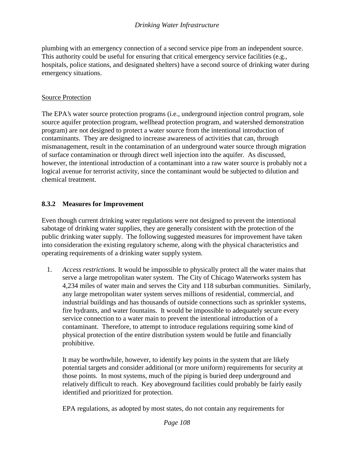plumbing with an emergency connection of a second service pipe from an independent source. This authority could be useful for ensuring that critical emergency service facilities (e.g., hospitals, police stations, and designated shelters) have a second source of drinking water during emergency situations.

#### Source Protection

The EPA's water source protection programs (i.e., underground injection control program, sole source aquifer protection program, wellhead protection program, and watershed demonstration program) are not designed to protect a water source from the intentional introduction of contaminants. They are designed to increase awareness of activities that can, through mismanagement, result in the contamination of an underground water source through migration of surface contamination or through direct well injection into the aquifer. As discussed, however, the intentional introduction of a contaminant into a raw water source is probably not a logical avenue for terrorist activity, since the contaminant would be subjected to dilution and chemical treatment.

## **8.3.2 Measures for Improvement**

Even though current drinking water regulations were not designed to prevent the intentional sabotage of drinking water supplies, they are generally consistent with the protection of the public drinking water supply. The following suggested measures for improvement have taken into consideration the existing regulatory scheme, along with the physical characteristics and operating requirements of a drinking water supply system.

1. *Access restrictions*. It would be impossible to physically protect all the water mains that serve a large metropolitan water system. The City of Chicago Waterworks system has 4,234 miles of water main and serves the City and 118 suburban communities. Similarly, any large metropolitan water system serves millions of residential, commercial, and industrial buildings and has thousands of outside connections such as sprinkler systems, fire hydrants, and water fountains. It would be impossible to adequately secure every service connection to a water main to prevent the intentional introduction of a contaminant. Therefore, to attempt to introduce regulations requiring some kind of physical protection of the entire distribution system would be futile and financially prohibitive.

It may be worthwhile, however, to identify key points in the system that are likely potential targets and consider additional (or more uniform) requirements for security at those points. In most systems, much of the piping is buried deep underground and relatively difficult to reach. Key aboveground facilities could probably be fairly easily identified and prioritized for protection.

EPA regulations, as adopted by most states, do not contain any requirements for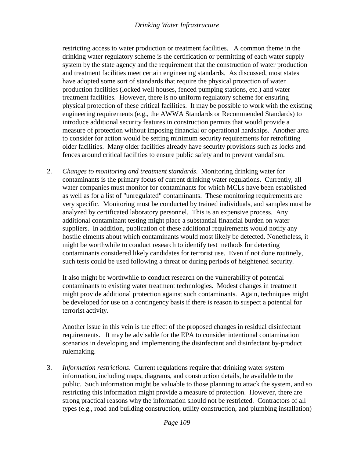restricting access to water production or treatment facilities. A common theme in the drinking water regulatory scheme is the certification or permitting of each water supply system by the state agency and the requirement that the construction of water production and treatment facilities meet certain engineering standards. As discussed, most states have adopted some sort of standards that require the physical protection of water production facilities (locked well houses, fenced pumping stations, etc.) and water treatment facilities. However, there is no uniform regulatory scheme for ensuring physical protection of these critical facilities. It may be possible to work with the existing engineering requirements (e.g., the AWWA Standards or Recommended Standards) to introduce additional security features in construction permits that would provide a measure of protection without imposing financial or operational hardships. Another area to consider for action would be setting minimum security requirements for retrofitting older facilities. Many older facilities already have security provisions such as locks and fences around critical facilities to ensure public safety and to prevent vandalism.

 2. *Changes to monitoring and treatment standards*. Monitoring drinking water for contaminants is the primary focus of current drinking water regulations. Currently, all water companies must monitor for contaminants for which MCLs have been established as well as for a list of "unregulated" contaminants. These monitoring requirements are very specific. Monitoring must be conducted by trained individuals, and samples must be analyzed by certificated laboratory personnel. This is an expensive process. Any additional contaminant testing might place a substantial financial burden on water suppliers. In addition, publication of these additional requirements would notify any hostile elments about which contaminants would most likely be detected. Nonetheless, it might be worthwhile to conduct research to identify test methods for detecting contaminants considered likely candidates for terrorist use. Even if not done routinely, such tests could be used following a threat or during periods of heightened security.

It also might be worthwhile to conduct research on the vulnerability of potential contaminants to existing water treatment technologies. Modest changes in treatment might provide additional protection against such contaminants. Again, techniques might be developed for use on a contingency basis if there is reason to suspect a potential for terrorist activity.

Another issue in this vein is the effect of the proposed changes in residual disinfectant requirements. It may be advisable for the EPA to consider intentional contamination scenarios in developing and implementing the disinfectant and disinfectant by-product rulemaking.

3. *Information restrictions*. Current regulations require that drinking water system information, including maps, diagrams, and construction details, be available to the public. Such information might be valuable to those planning to attack the system, and so restricting this information might provide a measure of protection. However, there are strong practical reasons why the information should not be restricted. Contractors of all types (e.g., road and building construction, utility construction, and plumbing installation)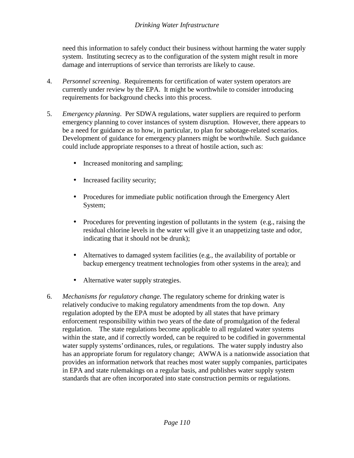need this information to safely conduct their business without harming the water supply system. Instituting secrecy as to the configuration of the system might result in more damage and interruptions of service than terrorists are likely to cause.

- 4. *Personnel screening*. Requirements for certification of water system operators are currently under review by the EPA. It might be worthwhile to consider introducing requirements for background checks into this process.
- 5. *Emergency planning*. Per SDWA regulations, water suppliers are required to perform emergency planning to cover instances of system disruption. However, there appears to be a need for guidance as to how, in particular, to plan for sabotage-related scenarios. Development of guidance for emergency planners might be worthwhile. Such guidance could include appropriate responses to a threat of hostile action, such as:
	- Increased monitoring and sampling;
	- Increased facility security;
	- Procedures for immediate public notification through the Emergency Alert System;
	- Procedures for preventing ingestion of pollutants in the system (e.g., raising the residual chlorine levels in the water will give it an unappetizing taste and odor, indicating that it should not be drunk);
	- Alternatives to damaged system facilities (e.g., the availability of portable or backup emergency treatment technologies from other systems in the area); and
	- Alternative water supply strategies.
- 6. *Mechanisms for regulatory change*. The regulatory scheme for drinking water is relatively conducive to making regulatory amendments from the top down. Any regulation adopted by the EPA must be adopted by all states that have primary enforcement responsibility within two years of the date of promulgation of the federal regulation. The state regulations become applicable to all regulated water systems within the state, and if correctly worded, can be required to be codified in governmental water supply systems' ordinances, rules, or regulations. The water supply industry also has an appropriate forum for regulatory change; AWWA is a nationwide association that provides an information network that reaches most water supply companies, participates in EPA and state rulemakings on a regular basis, and publishes water supply system standards that are often incorporated into state construction permits or regulations.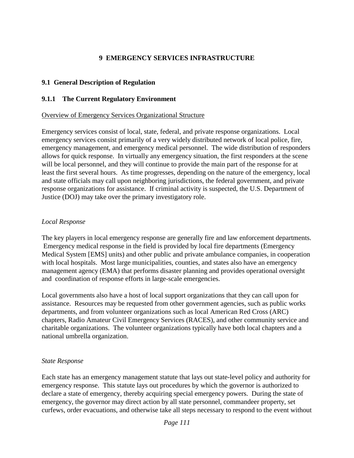## **9 EMERGENCY SERVICES INFRASTRUCTURE**

## **9.1 General Description of Regulation**

## **9.1.1 The Current Regulatory Environment**

#### Overview of Emergency Services Organizational Structure

Emergency services consist of local, state, federal, and private response organizations. Local emergency services consist primarily of a very widely distributed network of local police, fire, emergency management, and emergency medical personnel. The wide distribution of responders allows for quick response. In virtually any emergency situation, the first responders at the scene will be local personnel, and they will continue to provide the main part of the response for at least the first several hours. As time progresses, depending on the nature of the emergency, local and state officials may call upon neighboring jurisdictions, the federal government, and private response organizations for assistance. If criminal activity is suspected, the U.S. Department of Justice (DOJ) may take over the primary investigatory role.

## *Local Response*

The key players in local emergency response are generally fire and law enforcement departments. Emergency medical response in the field is provided by local fire departments (Emergency Medical System [EMS] units) and other public and private ambulance companies, in cooperation with local hospitals. Most large municipalities, counties, and states also have an emergency management agency (EMA) that performs disaster planning and provides operational oversight and coordination of response efforts in large-scale emergencies.

Local governments also have a host of local support organizations that they can call upon for assistance. Resources may be requested from other government agencies, such as public works departments, and from volunteer organizations such as local American Red Cross (ARC) chapters, Radio Amateur Civil Emergency Services (RACES), and other community service and charitable organizations. The volunteer organizations typically have both local chapters and a national umbrella organization.

## *State Response*

Each state has an emergency management statute that lays out state-level policy and authority for emergency response. This statute lays out procedures by which the governor is authorized to declare a state of emergency, thereby acquiring special emergency powers. During the state of emergency, the governor may direct action by all state personnel, commandeer property, set curfews, order evacuations, and otherwise take all steps necessary to respond to the event without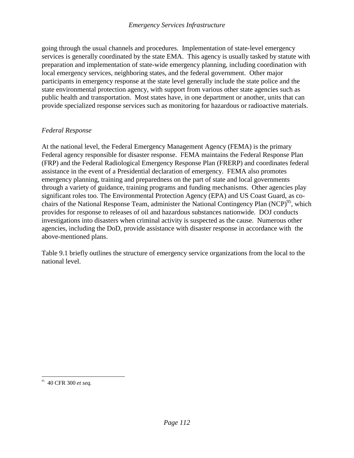#### *Emergency Services Infrastructure*

going through the usual channels and procedures. Implementation of state-level emergency services is generally coordinated by the state EMA. This agency is usually tasked by statute with preparation and implementation of state-wide emergency planning, including coordination with local emergency services, neighboring states, and the federal government. Other major participants in emergency response at the state level generally include the state police and the state environmental protection agency, with support from various other state agencies such as public health and transportation. Most states have, in one department or another, units that can provide specialized response services such as monitoring for hazardous or radioactive materials.

#### *Federal Response*

At the national level, the Federal Emergency Management Agency (FEMA) is the primary Federal agency responsible for disaster response. FEMA maintains the Federal Response Plan (FRP) and the Federal Radiological Emergency Response Plan (FRERP) and coordinates federal assistance in the event of a Presidential declaration of emergency. FEMA also promotes emergency planning, training and preparedness on the part of state and local governments through a variety of guidance, training programs and funding mechanisms. Other agencies play significant roles too. The Environmental Protection Agency (EPA) and US Coast Guard, as cochairs of the National Response Team, administer the National Contingency Plan  $(NCP)^{95}$ , which provides for response to releases of oil and hazardous substances nationwide. DOJ conducts investigations into disasters when criminal activity is suspected as the cause. Numerous other agencies, including the DoD, provide assistance with disaster response in accordance with the above-mentioned plans.

Table 9.1 briefly outlines the structure of emergency service organizations from the local to the national level.

<sup>40</sup> CFR 300 *et seq.*  95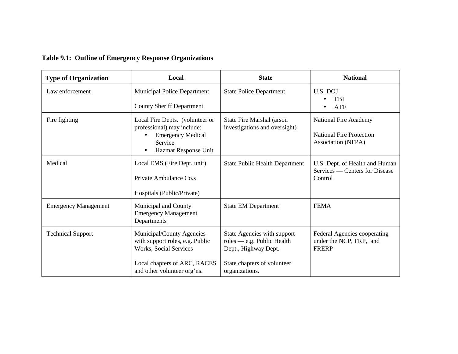| <b>Type of Organization</b> | Local                                                                                                                        | <b>State</b>                                                                                                       | <b>National</b>                                                                |
|-----------------------------|------------------------------------------------------------------------------------------------------------------------------|--------------------------------------------------------------------------------------------------------------------|--------------------------------------------------------------------------------|
| Law enforcement             | <b>Municipal Police Department</b><br><b>County Sheriff Department</b>                                                       | <b>State Police Department</b>                                                                                     | U.S. DOJ<br><b>FBI</b><br><b>ATF</b>                                           |
| Fire fighting               | Local Fire Depts. (volunteer or<br>professional) may include:<br><b>Emergency Medical</b><br>Service<br>Hazmat Response Unit | <b>State Fire Marshal (arson</b><br>investigations and oversight)                                                  | National Fire Academy<br><b>National Fire Protection</b><br>Association (NFPA) |
| Medical                     | Local EMS (Fire Dept. unit)<br>Private Ambulance Co.s<br>Hospitals (Public/Private)                                          | <b>State Public Health Department</b>                                                                              | U.S. Dept. of Health and Human<br>Services — Centers for Disease<br>Control    |
| <b>Emergency Management</b> | Municipal and County<br><b>Emergency Management</b><br>Departments                                                           | <b>State EM Department</b>                                                                                         | <b>FEMA</b>                                                                    |
| <b>Technical Support</b>    | Municipal/County Agencies<br>with support roles, e.g. Public<br>Works, Social Services<br>Local chapters of ARC, RACES       | State Agencies with support<br>$roles$ — e.g. Public Health<br>Dept., Highway Dept.<br>State chapters of volunteer | Federal Agencies cooperating<br>under the NCP, FRP, and<br><b>FRERP</b>        |
|                             | and other volunteer org'ns.                                                                                                  | organizations.                                                                                                     |                                                                                |

# **Table 9.1: Outline of Emergency Response Organizations**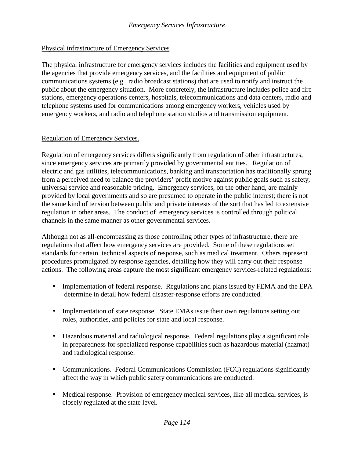## Physical infrastructure of Emergency Services

The physical infrastructure for emergency services includes the facilities and equipment used by the agencies that provide emergency services, and the facilities and equipment of public communications systems (e.g., radio broadcast stations) that are used to notify and instruct the public about the emergency situation. More concretely, the infrastructure includes police and fire stations, emergency operations centers, hospitals, telecommunications and data centers, radio and telephone systems used for communications among emergency workers, vehicles used by emergency workers, and radio and telephone station studios and transmission equipment.

## Regulation of Emergency Services.

Regulation of emergency services differs significantly from regulation of other infrastructures, since emergency services are primarily provided by governmental entities. Regulation of electric and gas utilities, telecommunications, banking and transportation has traditionally sprung from a perceived need to balance the providers' profit motive against public goals such as safety, universal service and reasonable pricing. Emergency services, on the other hand, are mainly provided by local governments and so are presumed to operate in the public interest; there is not the same kind of tension between public and private interests of the sort that has led to extensive regulation in other areas. The conduct of emergency services is controlled through political channels in the same manner as other governmental services.

Although not as all-encompassing as those controlling other types of infrastructure, there are regulations that affect how emergency services are provided. Some of these regulations set standards for certain technical aspects of response, such as medical treatment. Others represent procedures promulgated by response agencies, detailing how they will carry out their response actions. The following areas capture the most significant emergency services-related regulations:

- Implementation of federal response. Regulations and plans issued by FEMA and the EPA determine in detail how federal disaster-response efforts are conducted.
- Implementation of state response. State EMAs issue their own regulations setting out roles, authorities, and policies for state and local response.
- Hazardous material and radiological response. Federal regulations play a significant role in preparedness for specialized response capabilities such as hazardous material (hazmat) and radiological response.
- Communications. Federal Communications Commission (FCC) regulations significantly affect the way in which public safety communications are conducted.
- Medical response. Provision of emergency medical services, like all medical services, is closely regulated at the state level.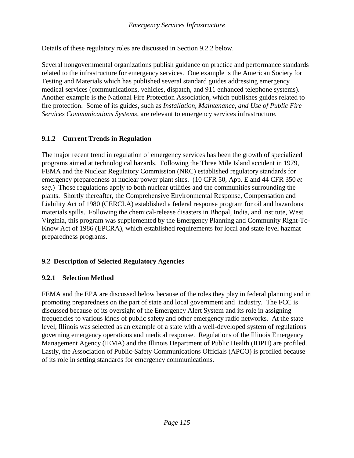Details of these regulatory roles are discussed in Section 9.2.2 below.

Several nongovernmental organizations publish guidance on practice and performance standards related to the infrastructure for emergency services. One example is the American Society for Testing and Materials which has published several standard guides addressing emergency medical services (communications, vehicles, dispatch, and 911 enhanced telephone systems). Another example is the National Fire Protection Association, which publishes guides related to fire protection. Some of its guides, such as *Installation, Maintenance, and Use of Public Fire Services Communications Systems*, are relevant to emergency services infrastructure.

## **9.1.2 Current Trends in Regulation**

The major recent trend in regulation of emergency services has been the growth of specialized programs aimed at technological hazards. Following the Three Mile Island accident in 1979, FEMA and the Nuclear Regulatory Commission (NRC) established regulatory standards for emergency preparedness at nuclear power plant sites. (10 CFR 50, App. E and 44 CFR 350 *et seq.*) Those regulations apply to both nuclear utilities and the communities surrounding the plants. Shortly thereafter, the Comprehensive Environmental Response, Compensation and Liability Act of 1980 (CERCLA) established a federal response program for oil and hazardous materials spills. Following the chemical-release disasters in Bhopal, India, and Institute, West Virginia, this program was supplemented by the Emergency Planning and Community Right-To-Know Act of 1986 (EPCRA), which established requirements for local and state level hazmat preparedness programs.

## **9.2 Description of Selected Regulatory Agencies**

## **9.2.1 Selection Method**

FEMA and the EPA are discussed below because of the roles they play in federal planning and in promoting preparedness on the part of state and local government and industry. The FCC is discussed because of its oversight of the Emergency Alert System and its role in assigning frequencies to various kinds of public safety and other emergency radio networks. At the state level, Illinois was selected as an example of a state with a well-developed system of regulations governing emergency operations and medical response. Regulations of the Illinois Emergency Management Agency (IEMA) and the Illinois Department of Public Health (IDPH) are profiled. Lastly, the Association of Public-Safety Communications Officials (APCO) is profiled because of its role in setting standards for emergency communications.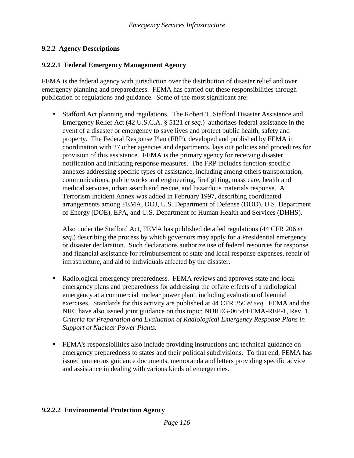## **9.2.2 Agency Descriptions**

## **9.2.2.1 Federal Emergency Management Agency**

FEMA is the federal agency with jurisdiction over the distribution of disaster relief and over emergency planning and preparedness. FEMA has carried out these responsibilities through publication of regulations and guidance. Some of the most significant are:

• Stafford Act planning and regulations. The Robert T. Stafford Disaster Assistance and Emergency Relief Act (42 U.S.C.A. § 5121 *et seq.*) authorizes federal assistance in the event of a disaster or emergency to save lives and protect public health, safety and property. The Federal Response Plan (FRP), developed and published by FEMA in coordination with 27 other agencies and departments, lays out policies and procedures for provision of this assistance. FEMA is the primary agency for receiving disaster notification and initiating response measures. The FRP includes function-specific annexes addressing specific types of assistance, including among others transportation, communications, public works and engineering, firefighting, mass care, health and medical services, urban search and rescue, and hazardous materials response. A Terrorism Incident Annex was added in February 1997, describing coordinated arrangements among FEMA, DOJ, U.S. Department of Defense (DOD), U.S. Department of Energy (DOE), EPA, and U.S. Department of Human Health and Services (DHHS).

Also under the Stafford Act, FEMA has published detailed regulations (44 CFR 206 *et seq.*) describing the process by which governors may apply for a Presidential emergency or disaster declaration. Such declarations authorize use of federal resources for response and financial assistance for reimbursement of state and local response expenses, repair of infrastructure, and aid to individuals affected by the disaster.

- Radiological emergency preparedness. FEMA reviews and approves state and local emergency plans and preparedness for addressing the offsite effects of a radiological emergency at a commercial nuclear power plant, including evaluation of biennial exercises. Standards for this activity are published at 44 CFR 350 *et seq.* FEMA and the NRC have also issued joint guidance on this topic: NUREG-0654/FEMA-REP-1, Rev. 1, *Criteria for Preparation and Evaluation of Radiological Emergency Response Plans in Support of Nuclear Power Plants.*
- FEMA's responsibilities also include providing instructions and technical guidance on emergency preparedness to states and their political subdivisions. To that end, FEMA has issued numerous guidance documents, memoranda and letters providing specific advice and assistance in dealing with various kinds of emergencies.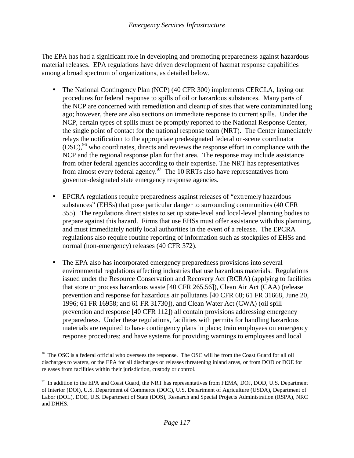The EPA has had a significant role in developing and promoting preparedness against hazardous material releases. EPA regulations have driven development of hazmat response capabilities among a broad spectrum of organizations, as detailed below.

- The National Contingency Plan (NCP) (40 CFR 300) implements CERCLA, laying out procedures for federal response to spills of oil or hazardous substances. Many parts of the NCP are concerned with remediation and cleanup of sites that were contaminated long ago; however, there are also sections on immediate response to current spills. Under the NCP, certain types of spills must be promptly reported to the National Response Center, the single point of contact for the national response team (NRT). The Center immediately relays the notification to the appropriate predesignated federal on-scene coordinator  $(OSC)$ ,  $^{96}$  who coordinates, directs and reviews the response effort in compliance with the NCP and the regional response plan for that area. The response may include assistance from other federal agencies according to their expertise. The NRT has representatives from almost every federal agency.<sup>97</sup> The 10 RRTs also have representatives from governor-designated state emergency response agencies.
- EPCRA regulations require preparedness against releases of "extremely hazardous" substances" (EHSs) that pose particular danger to surrounding communities (40 CFR 355). The regulations direct states to set up state-level and local-level planning bodies to prepare against this hazard. Firms that use EHSs must offer assistance with this planning, and must immediately notify local authorities in the event of a release. The EPCRA regulations also require routine reporting of information such as stockpiles of EHSs and normal (non-emergency) releases (40 CFR 372).
- The EPA also has incorporated emergency preparedness provisions into several environmental regulations affecting industries that use hazardous materials. Regulations issued under the Resource Conservation and Recovery Act (RCRA) (applying to facilities that store or process hazardous waste [40 CFR 265.56]), Clean Air Act (CAA) (release prevention and response for hazardous air pollutants [40 CFR 68; 61 FR 31668, June 20, 1996; 61 FR 16958; and 61 FR 31730]), and Clean Water Act (CWA) (oil spill prevention and response [40 CFR 112]) all contain provisions addressing emergency preparedness. Under these regulations, facilities with permits for handling hazardous materials are required to have contingency plans in place; train employees on emergency response procedures; and have systems for providing warnings to employees and local

<sup>&</sup>lt;sup>96</sup> The OSC is a federal official who oversees the response. The OSC will be from the Coast Guard for all oil discharges to waters, or the EPA for all discharges or releases threatening inland areas, or from DOD or DOE for releases from facilities within their jurisdiction, custody or control.

<sup>&</sup>lt;sup>97</sup> In addition to the EPA and Coast Guard, the NRT has representatives from FEMA, DOJ, DOD, U.S. Department of Interior (DOI), U.S. Department of Commerce (DOC), U.S. Department of Agriculture (USDA), Department of Labor (DOL), DOE, U.S. Department of State (DOS), Research and Special Projects Administration (RSPA), NRC and DHHS.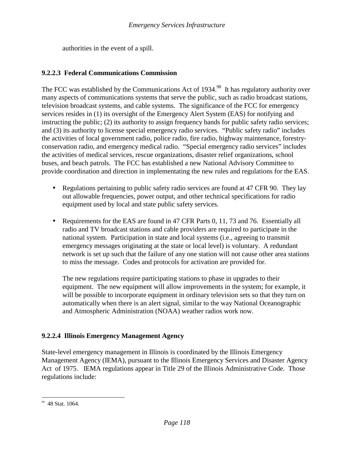authorities in the event of a spill.

## **9.2.2.3 Federal Communications Commission**

The FCC was established by the Communications Act of 1934.<sup>98</sup> It has regulatory authority over many aspects of communications systems that serve the public, such as radio broadcast stations, television broadcast systems, and cable systems. The significance of the FCC for emergency services resides in (1) its oversight of the Emergency Alert System (EAS) for notifying and instructing the public; (2) its authority to assign frequency bands for public safety radio services; and (3) its authority to license special emergency radio services. "Public safety radio" includes the activities of local government radio, police radio, fire radio, highway maintenance, forestryconservation radio, and emergency medical radio. "Special emergency radio services" includes the activities of medical services, rescue organizations, disaster relief organizations, school buses, and beach patrols. The FCC has established a new National Advisory Committee to provide coordination and direction in implementating the new rules and regulations for the EAS.

- Regulations pertaining to public safety radio services are found at 47 CFR 90. They lay out allowable frequencies, power output, and other technical specifications for radio equipment used by local and state public safety services.
- Requirements for the EAS are found in 47 CFR Parts 0, 11, 73 and 76. Essentially all radio and TV broadcast stations and cable providers are required to participate in the national system. Participation in state and local systems (i.e., agreeing to transmit emergency messages originating at the state or local level) is voluntary. A redundant network is set up such that the failure of any one station will not cause other area stations to miss the message. Codes and protocols for activation are provided for.

The new regulations require participating stations to phase in upgrades to their equipment. The new equipment will allow improvements in the system; for example, it will be possible to incorporate equipment in ordinary television sets so that they turn on automatically when there is an alert signal, similar to the way National Oceanographic and Atmospheric Administration (NOAA) weather radios work now.

## **9.2.2.4 Illinois Emergency Management Agency**

State-level emergency management in Illinois is coordinated by the Illinois Emergency Management Agency (IEMA), pursuant to the Illinois Emergency Services and Disaster Agency Act of 1975. IEMA regulations appear in Title 29 of the Illinois Administrative Code. Those regulations include:

<sup>&</sup>lt;sup>98</sup> 48 Stat. 1064.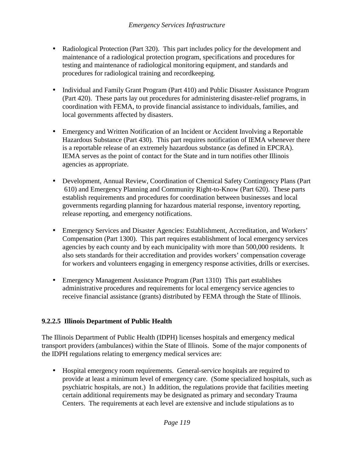- Radiological Protection (Part 320). This part includes policy for the development and maintenance of a radiological protection program, specifications and procedures for testing and maintenance of radiological monitoring equipment, and standards and procedures for radiological training and recordkeeping.
- Individual and Family Grant Program (Part 410) and Public Disaster Assistance Program (Part 420). These parts lay out procedures for administering disaster-relief programs, in coordination with FEMA, to provide financial assistance to individuals, families, and local governments affected by disasters.
- Emergency and Written Notification of an Incident or Accident Involving a Reportable Hazardous Substance (Part 430). This part requires notification of IEMA whenever there is a reportable release of an extremely hazardous substance (as defined in EPCRA). IEMA serves as the point of contact for the State and in turn notifies other Illinois agencies as appropriate.
- Development, Annual Review, Coordination of Chemical Safety Contingency Plans (Part 610) and Emergency Planning and Community Right-to-Know (Part 620). These parts establish requirements and procedures for coordination between businesses and local governments regarding planning for hazardous material response, inventory reporting, release reporting, and emergency notifications.
- Emergency Services and Disaster Agencies: Establishment, Accreditation, and Workers' Compensation (Part 1300). This part requires establishment of local emergency services agencies by each county and by each municipality with more than 500,000 residents. It also sets standards for their accreditation and provides workers' compensation coverage for workers and volunteers engaging in emergency response activities, drills or exercises.
- Emergency Management Assistance Program (Part 1310) This part establishes administrative procedures and requirements for local emergency service agencies to receive financial assistance (grants) distributed by FEMA through the State of Illinois.

## **9.2.2.5 Illinois Department of Public Health**

The Illinois Department of Public Health (IDPH) licenses hospitals and emergency medical transport providers (ambulances) within the State of Illinois. Some of the major components of the IDPH regulations relating to emergency medical services are:

• Hospital emergency room requirements. General-service hospitals are required to provide at least a minimum level of emergency care. (Some specialized hospitals, such as psychiatric hospitals, are not.) In addition, the regulations provide that facilities meeting certain additional requirements may be designated as primary and secondary Trauma Centers. The requirements at each level are extensive and include stipulations as to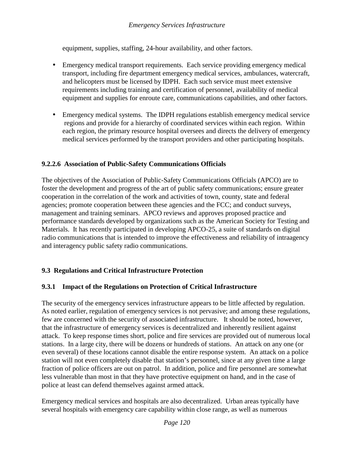## *Emergency Services Infrastructure*

equipment, supplies, staffing, 24-hour availability, and other factors.

- Emergency medical transport requirements. Each service providing emergency medical transport, including fire department emergency medical services, ambulances, watercraft, and helicopters must be licensed by IDPH. Each such service must meet extensive requirements including training and certification of personnel, availability of medical equipment and supplies for enroute care, communications capabilities, and other factors.
- Emergency medical systems. The IDPH regulations establish emergency medical service regions and provide for a hierarchy of coordinated services within each region. Within each region, the primary resource hospital oversees and directs the delivery of emergency medical services performed by the transport providers and other participating hospitals.

#### **9.2.2.6 Association of Public-Safety Communications Officials**

The objectives of the Association of Public-Safety Communications Officials (APCO) are to foster the development and progress of the art of public safety communications; ensure greater cooperation in the correlation of the work and activities of town, county, state and federal agencies; promote cooperation between these agencies and the FCC; and conduct surveys, management and training seminars. APCO reviews and approves proposed practice and performance standards developed by organizations such as the American Society for Testing and Materials. It has recently participated in developing APCO-25, a suite of standards on digital radio communications that is intended to improve the effectiveness and reliability of intraagency and interagency public safety radio communications.

## **9.3 Regulations and Critical Infrastructure Protection**

#### **9.3.1 Impact of the Regulations on Protection of Critical Infrastructure**

The security of the emergency services infrastructure appears to be little affected by regulation. As noted earlier, regulation of emergency services is not pervasive; and among these regulations, few are concerned with the security of associated infrastructure. It should be noted, however, that the infrastructure of emergency services is decentralized and inherently resilient against attack. To keep response times short, police and fire services are provided out of numerous local stations. In a large city, there will be dozens or hundreds of stations. An attack on any one (or even several) of these locations cannot disable the entire response system. An attack on a police station will not even completely disable that station's personnel, since at any given time a large fraction of police officers are out on patrol. In addition, police and fire personnel are somewhat less vulnerable than most in that they have protective equipment on hand, and in the case of police at least can defend themselves against armed attack.

Emergency medical services and hospitals are also decentralized. Urban areas typically have several hospitals with emergency care capability within close range, as well as numerous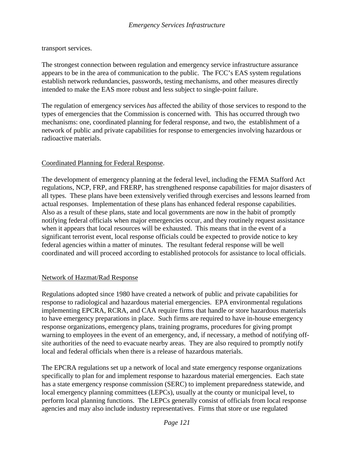transport services.

The strongest connection between regulation and emergency service infrastructure assurance appears to be in the area of communication to the public. The FCC's EAS system regulations establish network redundancies, passwords, testing mechanisms, and other measures directly intended to make the EAS more robust and less subject to single-point failure.

The regulation of emergency services *has* affected the ability of those services to respond to the types of emergencies that the Commission is concerned with. This has occurred through two mechanisms: one, coordinated planning for federal response, and two, the establishment of a network of public and private capabilities for response to emergencies involving hazardous or radioactive materials.

#### Coordinated Planning for Federal Response.

The development of emergency planning at the federal level, including the FEMA Stafford Act regulations, NCP, FRP, and FRERP, has strengthened response capabilities for major disasters of all types. These plans have been extensively verified through exercises and lessons learned from actual responses. Implementation of these plans has enhanced federal response capabilities. Also as a result of these plans, state and local governments are now in the habit of promptly notifying federal officials when major emergencies occur, and they routinely request assistance when it appears that local resources will be exhausted. This means that in the event of a significant terrorist event, local response officials could be expected to provide notice to key federal agencies within a matter of minutes. The resultant federal response will be well coordinated and will proceed according to established protocols for assistance to local officials.

#### Network of Hazmat/Rad Response

Regulations adopted since 1980 have created a network of public and private capabilities for response to radiological and hazardous material emergencies. EPA environmental regulations implementing EPCRA, RCRA, and CAA require firms that handle or store hazardous materials to have emergency preparations in place. Such firms are required to have in-house emergency response organizations, emergency plans, training programs, procedures for giving prompt warning to employees in the event of an emergency, and, if necessary, a method of notifying offsite authorities of the need to evacuate nearby areas. They are also required to promptly notify local and federal officials when there is a release of hazardous materials.

The EPCRA regulations set up a network of local and state emergency response organizations specifically to plan for and implement response to hazardous material emergencies. Each state has a state emergency response commission (SERC) to implement preparedness statewide, and local emergency planning committees (LEPCs), usually at the county or municipal level, to perform local planning functions. The LEPCs generally consist of officials from local response agencies and may also include industry representatives. Firms that store or use regulated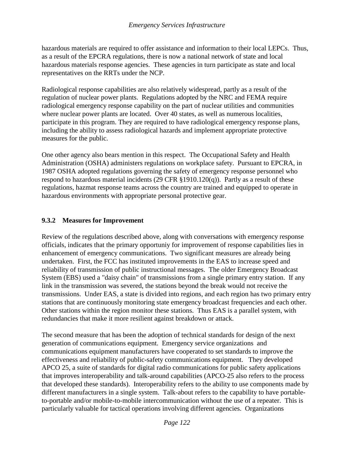hazardous materials are required to offer assistance and information to their local LEPCs. Thus, as a result of the EPCRA regulations, there is now a national network of state and local hazardous materials response agencies. These agencies in turn participate as state and local representatives on the RRTs under the NCP.

Radiological response capabilities are also relatively widespread, partly as a result of the regulation of nuclear power plants. Regulations adopted by the NRC and FEMA require radiological emergency response capability on the part of nuclear utilities and communities where nuclear power plants are located. Over 40 states, as well as numerous localities, participate in this program. They are required to have radiological emergency response plans, including the ability to assess radiological hazards and implement appropriate protective measures for the public.

One other agency also bears mention in this respect. The Occupational Safety and Health Administration (OSHA) administers regulations on workplace safety. Pursuant to EPCRA, in 1987 OSHA adopted regulations governing the safety of emergency response personnel who respond to hazardous material incidents (29 CFR  $\S 1910.120(q)$ ). Partly as a result of these regulations, hazmat response teams across the country are trained and equipped to operate in hazardous environments with appropriate personal protective gear.

## **9.3.2 Measures for Improvement**

Review of the regulations described above, along with conversations with emergency response officials, indicates that the primary opportuniy for improvement of response capabilities lies in enhancement of emergency communications. Two significant measures are already being undertaken. First, the FCC has instituted improvements in the EAS to increase speed and reliability of transmission of public instructional messages. The older Emergency Broadcast System (EBS) used a "daisy chain" of transmissions from a single primary entry station. If any link in the transmission was severed, the stations beyond the break would not receive the transmissions. Under EAS, a state is divided into regions, and each region has two primary entry stations that are continuously monitoring state emergency broadcast frequencies and each other. Other stations within the region monitor these stations. Thus EAS is a parallel system, with redundancies that make it more resilient against breakdown or attack.

The second measure that has been the adoption of technical standards for design of the next generation of communications equipment. Emergency service organizations and communications equipment manufacturers have cooperated to set standards to improve the effectiveness and reliability of public-safety communications equipment. They developed APCO 25, a suite of standards for digital radio communications for public safety applications that improves interoperability and talk-around capabilities (APCO-25 also refers to the process that developed these standards). Interoperability refers to the ability to use components made by different manufacturers in a single system. Talk-about refers to the capability to have portableto-portable and/or mobile-to-mobile intercommunication without the use of a repeater. This is particularly valuable for tactical operations involving different agencies. Organizations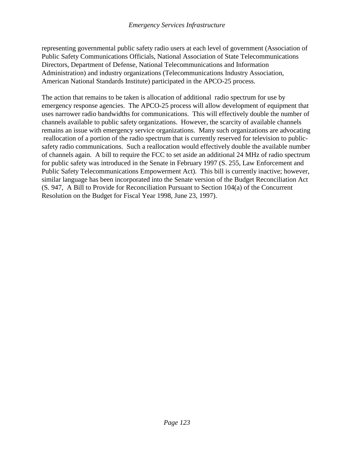representing governmental public safety radio users at each level of government (Association of Public Safety Communications Officials, National Association of State Telecommunications Directors, Department of Defense, National Telecommunications and Information Administration) and industry organizations (Telecommunications Industry Association, American National Standards Institute) participated in the APCO-25 process.

The action that remains to be taken is allocation of additional radio spectrum for use by emergency response agencies. The APCO-25 process will allow development of equipment that uses narrower radio bandwidths for communications. This will effectively double the number of channels available to public safety organizations. However, the scarcity of available channels remains an issue with emergency service organizations. Many such organizations are advocating reallocation of a portion of the radio spectrum that is currently reserved for television to publicsafety radio communications. Such a reallocation would effectively double the available number of channels again. A bill to require the FCC to set aside an additional 24 MHz of radio spectrum for public safety was introduced in the Senate in February 1997 (S. 255, Law Enforcement and Public Safety Telecommunications Empowerment Act). This bill is currently inactive; however, similar language has been incorporated into the Senate version of the Budget Reconciliation Act (S. 947, A Bill to Provide for Reconciliation Pursuant to Section 104(a) of the Concurrent Resolution on the Budget for Fiscal Year 1998, June 23, 1997).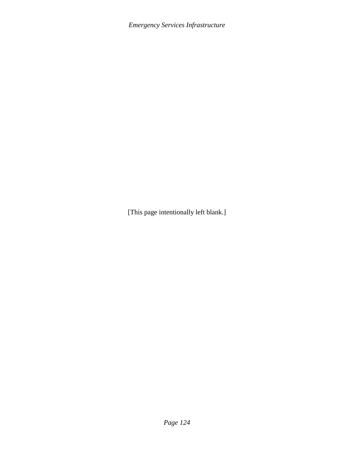[This page intentionally left blank.]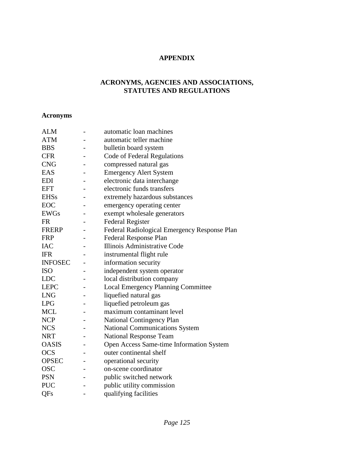## **APPENDIX**

#### **ACRONYMS, AGENCIES AND ASSOCIATIONS, STATUTES AND REGULATIONS**

## **Acronyms**

| automatic loan machines                      |
|----------------------------------------------|
| automatic teller machine                     |
| bulletin board system                        |
| Code of Federal Regulations                  |
| compressed natural gas                       |
| <b>Emergency Alert System</b>                |
| electronic data interchange                  |
| electronic funds transfers                   |
| extremely hazardous substances               |
| emergency operating center                   |
| exempt wholesale generators                  |
| <b>Federal Register</b>                      |
| Federal Radiological Emergency Response Plan |
| <b>Federal Response Plan</b>                 |
| Illinois Administrative Code                 |
| instrumental flight rule                     |
| information security                         |
| independent system operator                  |
| local distribution company                   |
| <b>Local Emergency Planning Committee</b>    |
| liquefied natural gas                        |
| liquefied petroleum gas                      |
| maximum contaminant level                    |
| National Contingency Plan                    |
| <b>National Communications System</b>        |
| National Response Team                       |
| Open Access Same-time Information System     |
| outer continental shelf                      |
| operational security                         |
| on-scene coordinator                         |
| public switched network                      |
| public utility commission                    |
| qualifying facilities                        |
|                                              |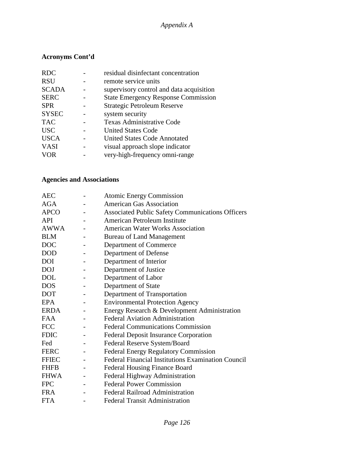## **Acronyms Cont'd**

| <b>RDC</b>   | residual disinfectant concentration        |
|--------------|--------------------------------------------|
| <b>RSU</b>   | remote service units                       |
| <b>SCADA</b> | supervisory control and data acquisition   |
| <b>SERC</b>  | <b>State Emergency Response Commission</b> |
| <b>SPR</b>   | <b>Strategic Petroleum Reserve</b>         |
| <b>SYSEC</b> | system security                            |
| <b>TAC</b>   | <b>Texas Administrative Code</b>           |
| <b>USC</b>   | <b>United States Code</b>                  |
| <b>USCA</b>  | <b>United States Code Annotated</b>        |
| <b>VASI</b>  | visual approach slope indicator            |
| VOR          | very-high-frequency omni-range             |
|              |                                            |

## **Agencies and Associations**

| <b>Atomic Energy Commission</b>                           |
|-----------------------------------------------------------|
| <b>American Gas Association</b>                           |
| Associated Public Safety Communications Officers          |
| American Petroleum Institute                              |
| American Water Works Association                          |
| <b>Bureau of Land Management</b>                          |
| Department of Commerce                                    |
| Department of Defense                                     |
| Department of Interior                                    |
| Department of Justice                                     |
| Department of Labor                                       |
| Department of State                                       |
| Department of Transportation                              |
| <b>Environmental Protection Agency</b>                    |
| Energy Research & Development Administration              |
| <b>Federal Aviation Administration</b>                    |
| <b>Federal Communications Commission</b>                  |
| <b>Federal Deposit Insurance Corporation</b>              |
| Federal Reserve System/Board                              |
| <b>Federal Energy Regulatory Commission</b>               |
| <b>Federal Financial Institutions Examination Council</b> |
| <b>Federal Housing Finance Board</b>                      |
| Federal Highway Administration                            |
| <b>Federal Power Commission</b>                           |
| <b>Federal Railroad Administration</b>                    |
| <b>Federal Transit Administration</b>                     |
|                                                           |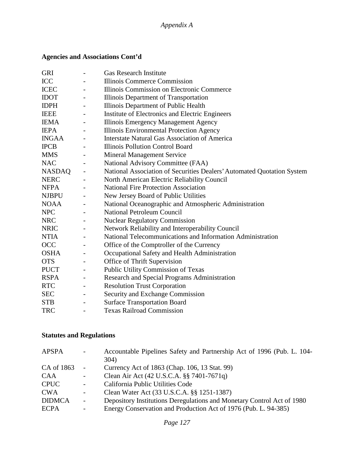## **Agencies and Associations Cont'd**

| <b>GRI</b>    |                          | <b>Gas Research Institute</b>                                          |
|---------------|--------------------------|------------------------------------------------------------------------|
| <b>ICC</b>    |                          | Illinois Commerce Commission                                           |
| <b>ICEC</b>   |                          | Illinois Commission on Electronic Commerce                             |
| <b>IDOT</b>   |                          | Illinois Department of Transportation                                  |
| <b>IDPH</b>   |                          | Illinois Department of Public Health                                   |
| <b>IEEE</b>   |                          | Institute of Electronics and Electric Engineers                        |
| <b>IEMA</b>   | $\overline{\phantom{0}}$ | Illinois Emergency Management Agency                                   |
| <b>IEPA</b>   |                          | Illinois Environmental Protection Agency                               |
| <b>INGAA</b>  |                          | <b>Interstate Natural Gas Association of America</b>                   |
| <b>IPCB</b>   |                          | <b>Illinois Pollution Control Board</b>                                |
| <b>MMS</b>    | $\overline{\phantom{0}}$ | <b>Mineral Management Service</b>                                      |
| <b>NAC</b>    |                          | National Advisory Committee (FAA)                                      |
| <b>NASDAQ</b> |                          | National Association of Securities Dealers' Automated Quotation System |
| <b>NERC</b>   |                          | North American Electric Reliability Council                            |
| <b>NFPA</b>   |                          | <b>National Fire Protection Association</b>                            |
| <b>NJBPU</b>  |                          | New Jersey Board of Public Utilities                                   |
| <b>NOAA</b>   |                          | National Oceanographic and Atmospheric Administration                  |
| <b>NPC</b>    |                          | <b>National Petroleum Council</b>                                      |
| <b>NRC</b>    |                          | <b>Nuclear Regulatory Commission</b>                                   |
| <b>NRIC</b>   |                          | Network Reliability and Interoperability Council                       |
| <b>NTIA</b>   |                          | National Telecommunications and Information Administration             |
| <b>OCC</b>    |                          | Office of the Comptroller of the Currency                              |
| <b>OSHA</b>   | $\overline{\phantom{0}}$ | Occupational Safety and Health Administration                          |
| <b>OTS</b>    |                          | Office of Thrift Supervision                                           |
| <b>PUCT</b>   |                          | Public Utility Commission of Texas                                     |
| <b>RSPA</b>   | $\qquad \qquad -$        | Research and Special Programs Administration                           |
| <b>RTC</b>    |                          | <b>Resolution Trust Corporation</b>                                    |
| <b>SEC</b>    |                          | Security and Exchange Commission                                       |
| <b>STB</b>    |                          | <b>Surface Transportation Board</b>                                    |
| <b>TRC</b>    |                          | <b>Texas Railroad Commission</b>                                       |

# **Statutes and Regulations**

| <b>APSPA</b>  |        | Accountable Pipelines Safety and Partnership Act of 1996 (Pub. L. 104- |
|---------------|--------|------------------------------------------------------------------------|
|               |        | 304)                                                                   |
| CA of 1863    | $\sim$ | Currency Act of 1863 (Chap. 106, 13 Stat. 99)                          |
| <b>CAA</b>    |        | Clean Air Act (42 U.S.C.A. §§ 7401-7671q)                              |
| <b>CPUC</b>   |        | California Public Utilities Code                                       |
| <b>CWA</b>    |        | Clean Water Act (33 U.S.C.A. §§ 1251-1387)                             |
| <b>DIDMCA</b> | $\sim$ | Depository Institutions Deregulations and Monetary Control Act of 1980 |
| <b>ECPA</b>   |        | Energy Conservation and Production Act of 1976 (Pub. L. 94-385)        |